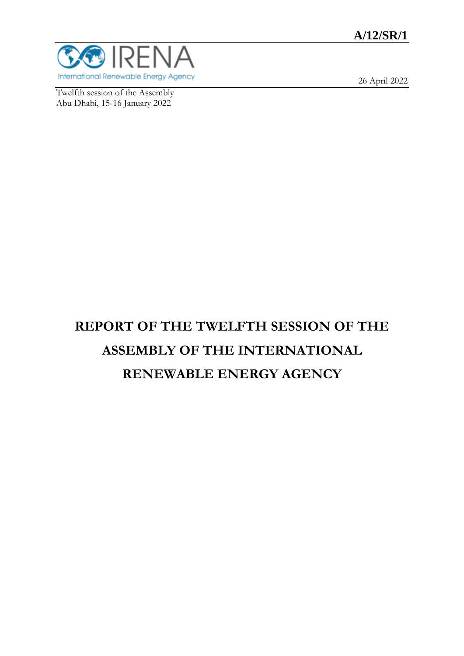# **A/12/SR/1**



Twelfth session of the Assembly Abu Dhabi, 15-16 January 2022

26 April 2022

# **REPORT OF THE TWELFTH SESSION OF THE ASSEMBLY OF THE INTERNATIONAL RENEWABLE ENERGY AGENCY**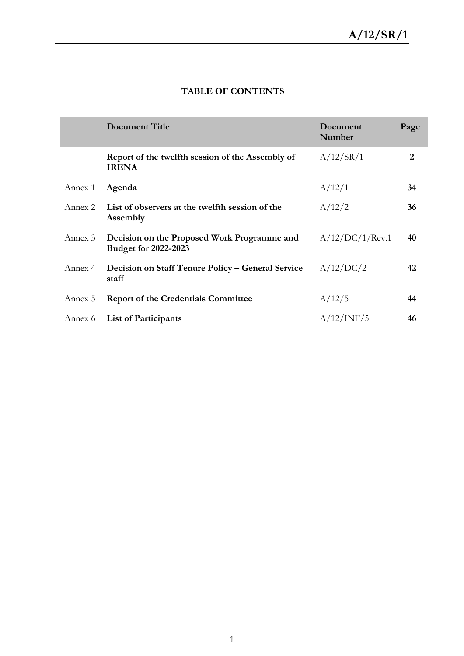|         | <b>Document Title</b>                                                      | Document<br>Number | Page |
|---------|----------------------------------------------------------------------------|--------------------|------|
|         | Report of the twelfth session of the Assembly of<br><b>IRENA</b>           | A/12/SR/1          | 2    |
| Annex 1 | Agenda                                                                     | A/12/1             | 34   |
| Annex 2 | List of observers at the twelfth session of the<br>Assembly                | A/12/2             | 36   |
| Annex 3 | Decision on the Proposed Work Programme and<br><b>Budget for 2022-2023</b> | A/12/DC/1/Rev.1    | 40   |
| Annex 4 | Decision on Staff Tenure Policy – General Service<br>staff                 | A/12/DC/2          | 42   |
| Annex 5 | <b>Report of the Credentials Committee</b>                                 | A/12/5             | 44   |
| Annex 6 | <b>List of Participants</b>                                                | A/12/INF/5         | 46   |

## **TABLE OF CONTENTS**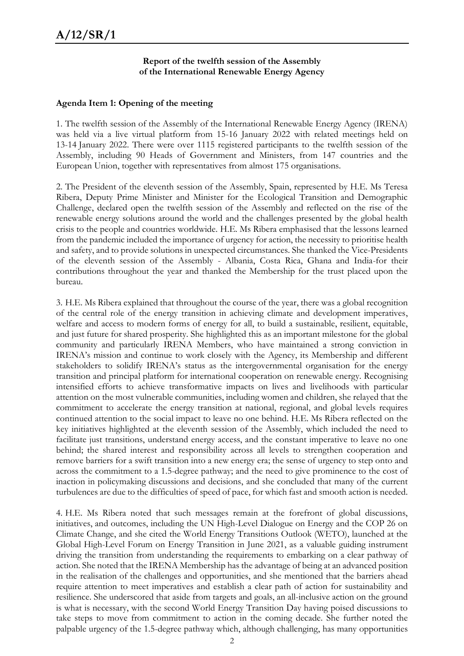#### **Report of the twelfth session of the Assembly of the International Renewable Energy Agency**

#### **Agenda Item 1: Opening of the meeting**

1. The twelfth session of the Assembly of the International Renewable Energy Agency (IRENA) was held via a live virtual platform from 15-16 January 2022 with related meetings held on 13-14 January 2022. There were over 1115 registered participants to the twelfth session of the Assembly, including 90 Heads of Government and Ministers, from 147 countries and the European Union, together with representatives from almost 175 organisations.

2. The President of the eleventh session of the Assembly, Spain, represented by H.E. Ms Teresa Ribera, Deputy Prime Minister and Minister for the Ecological Transition and Demographic Challenge, declared open the twelfth session of the Assembly and reflected on the rise of the renewable energy solutions around the world and the challenges presented by the global health crisis to the people and countries worldwide. H.E. Ms Ribera emphasised that the lessons learned from the pandemic included the importance of urgency for action, the necessity to prioritise health and safety, and to provide solutions in unexpected circumstances. She thanked the Vice-Presidents of the eleventh session of the Assembly - Albania, Costa Rica, Ghana and India-for their contributions throughout the year and thanked the Membership for the trust placed upon the bureau.

3. H.E. Ms Ribera explained that throughout the course of the year, there was a global recognition of the central role of the energy transition in achieving climate and development imperatives, welfare and access to modern forms of energy for all, to build a sustainable, resilient, equitable, and just future for shared prosperity. She highlighted this as an important milestone for the global community and particularly IRENA Members, who have maintained a strong conviction in IRENA's mission and continue to work closely with the Agency, its Membership and different stakeholders to solidify IRENA's status as the intergovernmental organisation for the energy transition and principal platform for international cooperation on renewable energy. Recognising intensified efforts to achieve transformative impacts on lives and livelihoods with particular attention on the most vulnerable communities, including women and children, she relayed that the commitment to accelerate the energy transition at national, regional, and global levels requires continued attention to the social impact to leave no one behind. H.E. Ms Ribera reflected on the key initiatives highlighted at the eleventh session of the Assembly, which included the need to facilitate just transitions, understand energy access, and the constant imperative to leave no one behind; the shared interest and responsibility across all levels to strengthen cooperation and remove barriers for a swift transition into a new energy era; the sense of urgency to step onto and across the commitment to a 1.5-degree pathway; and the need to give prominence to the cost of inaction in policymaking discussions and decisions, and she concluded that many of the current turbulences are due to the difficulties of speed of pace, for which fast and smooth action is needed.

4. H.E. Ms Ribera noted that such messages remain at the forefront of global discussions, initiatives, and outcomes, including the UN High-Level Dialogue on Energy and the COP 26 on Climate Change, and she cited the World Energy Transitions Outlook (WETO), launched at the Global High-Level Forum on Energy Transition in June 2021, as a valuable guiding instrument driving the transition from understanding the requirements to embarking on a clear pathway of action. She noted that the IRENA Membership has the advantage of being at an advanced position in the realisation of the challenges and opportunities, and she mentioned that the barriers ahead require attention to meet imperatives and establish a clear path of action for sustainability and resilience. She underscored that aside from targets and goals, an all-inclusive action on the ground is what is necessary, with the second World Energy Transition Day having poised discussions to take steps to move from commitment to action in the coming decade. She further noted the palpable urgency of the 1.5-degree pathway which, although challenging, has many opportunities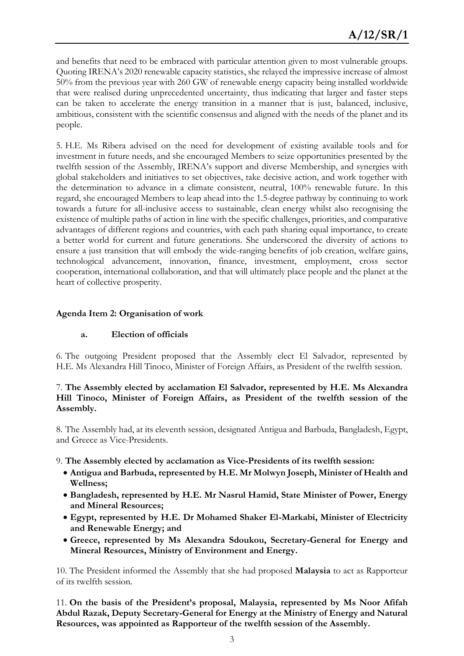and benefits that need to be embraced with particular attention given to most vulnerable groups. Quoting IRENA's 2020 renewable capacity statistics, she relayed the impressive increase of almost 50% from the previous year with 260 GW of renewable energy capacity being installed worldwide that were realised during unprecedented uncertainty, thus indicating that larger and faster steps can be taken to accelerate the energy transition in a manner that is just, balanced, inclusive, ambitious, consistent with the scientific consensus and aligned with the needs of the planet and its people.

5. H.E. Ms Ribera advised on the need for development of existing available tools and for investment in future needs, and she encouraged Members to seize opportunities presented by the twelfth session of the Assembly, IRENA's support and diverse Membership, and synergies with global stakeholders and initiatives to set objectives, take decisive action, and work together with the determination to advance in a climate consistent, neutral, 100% renewable future. In this regard, she encouraged Members to leap ahead into the 1.5-degree pathway by continuing to work towards a future for all-inclusive access to sustainable, clean energy whilst also recognising the existence of multiple paths of action in line with the specific challenges, priorities, and comparative advantages of different regions and countries, with each path sharing equal importance, to create a better world for current and future generations. She underscored the diversity of actions to ensure a just transition that will embody the wide-ranging benefits of job creation, welfare gains, technological advancement, innovation, finance, investment, employment, cross sector cooperation, international collaboration, and that will ultimately place people and the planet at the heart of collective prosperity.

#### **Agenda Item 2: Organisation of work**

#### **a. Election of officials**

6. The outgoing President proposed that the Assembly elect El Salvador, represented by H.E. Ms Alexandra Hill Tinoco, Minister of Foreign Affairs, as President of the twelfth session.

#### 7. **The Assembly elected by acclamation El Salvador, represented by H.E. Ms Alexandra Hill Tinoco, Minister of Foreign Affairs, as President of the twelfth session of the Assembly.**

8. The Assembly had, at its eleventh session, designated Antigua and Barbuda, Bangladesh, Egypt, and Greece as Vice-Presidents.

- 9. **The Assembly elected by acclamation as Vice-Presidents of its twelfth session:** 
	- **Antigua and Barbuda, represented by H.E. Mr Molwyn Joseph, Minister of Health and Wellness;**
	- **Bangladesh, represented by H.E. Mr Nasrul Hamid, State Minister of Power, Energy and Mineral Resources;**
	- **Egypt, represented by H.E. Dr Mohamed Shaker El-Markabi, Minister of Electricity and Renewable Energy; and**
	- **Greece, represented by Ms Alexandra Sdoukou, Secretary-General for Energy and Mineral Resources, Ministry of Environment and Energy.**

10. The President informed the Assembly that she had proposed **Malaysia** to act as Rapporteur of its twelfth session.

11. **On the basis of the President's proposal, Malaysia, represented by Ms Noor Afifah Abdul Razak, Deputy Secretary-General for Energy at the Ministry of Energy and Natural Resources, was appointed as Rapporteur of the twelfth session of the Assembly.**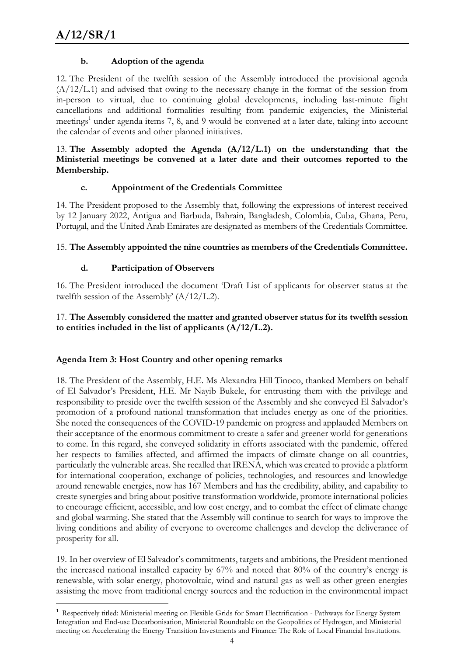**.** 

#### **b. Adoption of the agenda**

12. The President of the twelfth session of the Assembly introduced the provisional agenda  $(A/12/L.1)$  and advised that owing to the necessary change in the format of the session from in-person to virtual, due to continuing global developments, including last-minute flight cancellations and additional formalities resulting from pandemic exigencies, the Ministerial meetings<sup>1</sup> under agenda items 7, 8, and 9 would be convened at a later date, taking into account the calendar of events and other planned initiatives.

#### 13. **The Assembly adopted the Agenda (A/12/L.1) on the understanding that the Ministerial meetings be convened at a later date and their outcomes reported to the Membership.**

#### **c. Appointment of the Credentials Committee**

14. The President proposed to the Assembly that, following the expressions of interest received by 12 January 2022, Antigua and Barbuda, Bahrain, Bangladesh, Colombia, Cuba, Ghana, Peru, Portugal, and the United Arab Emirates are designated as members of the Credentials Committee.

#### 15. **The Assembly appointed the nine countries as members of the Credentials Committee.**

#### **d. Participation of Observers**

16. The President introduced the document 'Draft List of applicants for observer status at the twelfth session of the Assembly' (A/12/L.2).

#### 17. **The Assembly considered the matter and granted observer status for its twelfth session to entities included in the list of applicants (A/12/L.2).**

#### **Agenda Item 3: Host Country and other opening remarks**

18. The President of the Assembly, H.E. Ms Alexandra Hill Tinoco, thanked Members on behalf of El Salvador's President, H.E. Mr Nayib Bukele, for entrusting them with the privilege and responsibility to preside over the twelfth session of the Assembly and she conveyed El Salvador's promotion of a profound national transformation that includes energy as one of the priorities. She noted the consequences of the COVID-19 pandemic on progress and applauded Members on their acceptance of the enormous commitment to create a safer and greener world for generations to come. In this regard, she conveyed solidarity in efforts associated with the pandemic, offered her respects to families affected, and affirmed the impacts of climate change on all countries, particularly the vulnerable areas. She recalled that IRENA, which was created to provide a platform for international cooperation, exchange of policies, technologies, and resources and knowledge around renewable energies, now has 167 Members and has the credibility, ability, and capability to create synergies and bring about positive transformation worldwide, promote international policies to encourage efficient, accessible, and low cost energy, and to combat the effect of climate change and global warming. She stated that the Assembly will continue to search for ways to improve the living conditions and ability of everyone to overcome challenges and develop the deliverance of prosperity for all.

19. In her overview of El Salvador's commitments, targets and ambitions, the President mentioned the increased national installed capacity by 67% and noted that 80% of the country's energy is renewable, with solar energy, photovoltaic, wind and natural gas as well as other green energies assisting the move from traditional energy sources and the reduction in the environmental impact

<sup>&</sup>lt;sup>1</sup> Respectively titled: Ministerial meeting on Flexible Grids for Smart Electrification - Pathways for Energy System Integration and End-use Decarbonisation, Ministerial Roundtable on the Geopolitics of Hydrogen, and Ministerial meeting on Accelerating the Energy Transition Investments and Finance: The Role of Local Financial Institutions.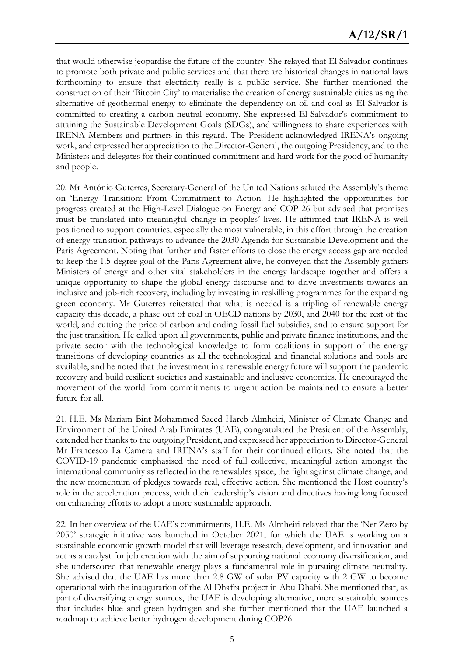that would otherwise jeopardise the future of the country. She relayed that El Salvador continues to promote both private and public services and that there are historical changes in national laws forthcoming to ensure that electricity really is a public service. She further mentioned the construction of their 'Bitcoin City' to materialise the creation of energy sustainable cities using the alternative of geothermal energy to eliminate the dependency on oil and coal as El Salvador is committed to creating a carbon neutral economy. She expressed El Salvador's commitment to attaining the Sustainable Development Goals (SDGs), and willingness to share experiences with IRENA Members and partners in this regard. The President acknowledged IRENA's ongoing work, and expressed her appreciation to the Director-General, the outgoing Presidency, and to the Ministers and delegates for their continued commitment and hard work for the good of humanity and people.

20. Mr António Guterres, Secretary-General of the United Nations saluted the Assembly's theme on 'Energy Transition: From Commitment to Action. He highlighted the opportunities for progress created at the High-Level Dialogue on Energy and COP 26 but advised that promises must be translated into meaningful change in peoples' lives. He affirmed that IRENA is well positioned to support countries, especially the most vulnerable, in this effort through the creation of energy transition pathways to advance the 2030 Agenda for Sustainable Development and the Paris Agreement. Noting that further and faster efforts to close the energy access gap are needed to keep the 1.5-degree goal of the Paris Agreement alive, he conveyed that the Assembly gathers Ministers of energy and other vital stakeholders in the energy landscape together and offers a unique opportunity to shape the global energy discourse and to drive investments towards an inclusive and job-rich recovery, including by investing in reskilling programmes for the expanding green economy. Mr Guterres reiterated that what is needed is a tripling of renewable energy capacity this decade, a phase out of coal in OECD nations by 2030, and 2040 for the rest of the world, and cutting the price of carbon and ending fossil fuel subsidies, and to ensure support for the just transition. He called upon all governments, public and private finance institutions, and the private sector with the technological knowledge to form coalitions in support of the energy transitions of developing countries as all the technological and financial solutions and tools are available, and he noted that the investment in a renewable energy future will support the pandemic recovery and build resilient societies and sustainable and inclusive economies. He encouraged the movement of the world from commitments to urgent action be maintained to ensure a better future for all.

21. H.E. Ms Mariam Bint Mohammed Saeed Hareb Almheiri, Minister of Climate Change and Environment of the United Arab Emirates (UAE), congratulated the President of the Assembly, extended her thanks to the outgoing President, and expressed her appreciation to Director-General Mr Francesco La Camera and IRENA's staff for their continued efforts. She noted that the COVID-19 pandemic emphasised the need of full collective, meaningful action amongst the international community as reflected in the renewables space, the fight against climate change, and the new momentum of pledges towards real, effective action. She mentioned the Host country's role in the acceleration process, with their leadership's vision and directives having long focused on enhancing efforts to adopt a more sustainable approach.

22. In her overview of the UAE's commitments, H.E. Ms Almheiri relayed that the 'Net Zero by 2050' strategic initiative was launched in October 2021, for which the UAE is working on a sustainable economic growth model that will leverage research, development, and innovation and act as a catalyst for job creation with the aim of supporting national economy diversification, and she underscored that renewable energy plays a fundamental role in pursuing climate neutrality. She advised that the UAE has more than 2.8 GW of solar PV capacity with 2 GW to become operational with the inauguration of the Al Dhafra project in Abu Dhabi. She mentioned that, as part of diversifying energy sources, the UAE is developing alternative, more sustainable sources that includes blue and green hydrogen and she further mentioned that the UAE launched a roadmap to achieve better hydrogen development during COP26.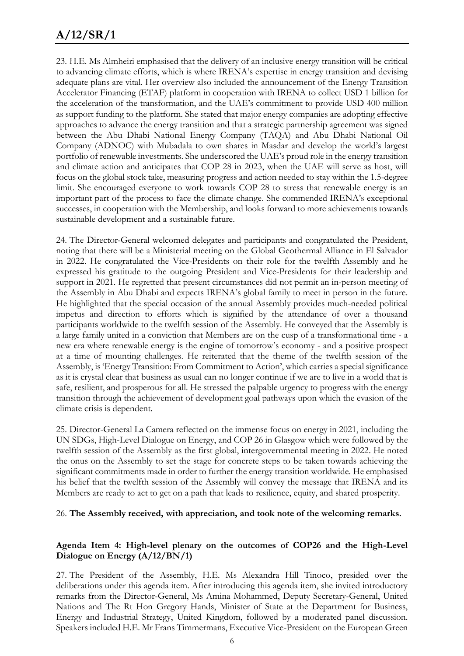# **A/12/SR/1**

23. H.E. Ms Almheiri emphasised that the delivery of an inclusive energy transition will be critical to advancing climate efforts, which is where IRENA's expertise in energy transition and devising adequate plans are vital. Her overview also included the announcement of the Energy Transition Accelerator Financing (ETAF) platform in cooperation with IRENA to collect USD 1 billion for the acceleration of the transformation, and the UAE's commitment to provide USD 400 million as support funding to the platform. She stated that major energy companies are adopting effective approaches to advance the energy transition and that a strategic partnership agreement was signed between the Abu Dhabi National Energy Company (TAQA) and Abu Dhabi National Oil Company (ADNOC) with Mubadala to own shares in Masdar and develop the world's largest portfolio of renewable investments. She underscored the UAE's proud role in the energy transition and climate action and anticipates that COP 28 in 2023, when the UAE will serve as host, will focus on the global stock take, measuring progress and action needed to stay within the 1.5-degree limit. She encouraged everyone to work towards COP 28 to stress that renewable energy is an important part of the process to face the climate change. She commended IRENA's exceptional successes, in cooperation with the Membership, and looks forward to more achievements towards sustainable development and a sustainable future.

24. The Director-General welcomed delegates and participants and congratulated the President, noting that there will be a Ministerial meeting on the Global Geothermal Alliance in El Salvador in 2022. He congratulated the Vice-Presidents on their role for the twelfth Assembly and he expressed his gratitude to the outgoing President and Vice-Presidents for their leadership and support in 2021. He regretted that present circumstances did not permit an in-person meeting of the Assembly in Abu Dhabi and expects IRENA's global family to meet in person in the future. He highlighted that the special occasion of the annual Assembly provides much-needed political impetus and direction to efforts which is signified by the attendance of over a thousand participants worldwide to the twelfth session of the Assembly. He conveyed that the Assembly is a large family united in a conviction that Members are on the cusp of a transformational time - a new era where renewable energy is the engine of tomorrow's economy - and a positive prospect at a time of mounting challenges. He reiterated that the theme of the twelfth session of the Assembly, is 'Energy Transition: From Commitment to Action', which carries a special significance as it is crystal clear that business as usual can no longer continue if we are to live in a world that is safe, resilient, and prosperous for all. He stressed the palpable urgency to progress with the energy transition through the achievement of development goal pathways upon which the evasion of the climate crisis is dependent.

25. Director-General La Camera reflected on the immense focus on energy in 2021, including the UN SDGs, High-Level Dialogue on Energy, and COP 26 in Glasgow which were followed by the twelfth session of the Assembly as the first global, intergovernmental meeting in 2022. He noted the onus on the Assembly to set the stage for concrete steps to be taken towards achieving the significant commitments made in order to further the energy transition worldwide. He emphasised his belief that the twelfth session of the Assembly will convey the message that IRENA and its Members are ready to act to get on a path that leads to resilience, equity, and shared prosperity.

#### 26. **The Assembly received, with appreciation, and took note of the welcoming remarks.**

#### **Agenda Item 4: High-level plenary on the outcomes of COP26 and the High-Level Dialogue on Energy (A/12/BN/1)**

27. The President of the Assembly, H.E. Ms Alexandra Hill Tinoco, presided over the deliberations under this agenda item. After introducing this agenda item, she invited introductory remarks from the Director-General, Ms Amina Mohammed, Deputy Secretary-General, United Nations and The Rt Hon Gregory Hands, Minister of State at the Department for Business, Energy and Industrial Strategy, United Kingdom, followed by a moderated panel discussion. Speakers included H.E. Mr Frans Timmermans, Executive Vice-President on the European Green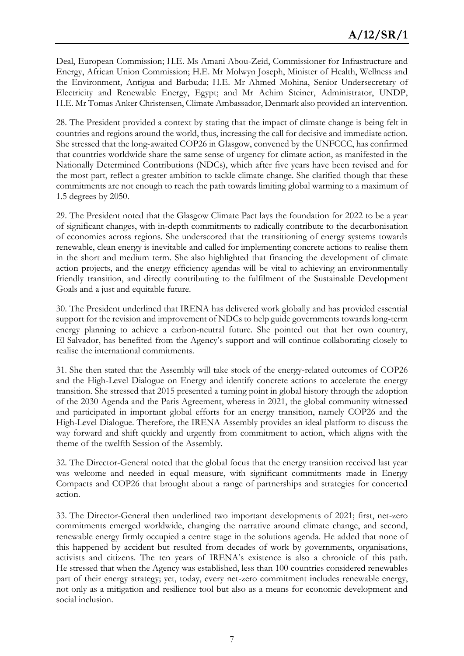Deal, European Commission; H.E. Ms Amani Abou-Zeid, Commissioner for Infrastructure and Energy, African Union Commission; H.E. Mr Molwyn Joseph, Minister of Health, Wellness and the Environment, Antigua and Barbuda; H.E. Mr Ahmed Mohina, Senior Undersecretary of Electricity and Renewable Energy, Egypt; and Mr Achim Steiner, Administrator, UNDP, H.E. Mr Tomas Anker Christensen, Climate Ambassador, Denmark also provided an intervention.

28. The President provided a context by stating that the impact of climate change is being felt in countries and regions around the world, thus, increasing the call for decisive and immediate action. She stressed that the long-awaited COP26 in Glasgow, convened by the UNFCCC, has confirmed that countries worldwide share the same sense of urgency for climate action, as manifested in the Nationally Determined Contributions (NDCs), which after five years have been revised and for the most part, reflect a greater ambition to tackle climate change. She clarified though that these commitments are not enough to reach the path towards limiting global warming to a maximum of 1.5 degrees by 2050.

29. The President noted that the Glasgow Climate Pact lays the foundation for 2022 to be a year of significant changes, with in-depth commitments to radically contribute to the decarbonisation of economies across regions. She underscored that the transitioning of energy systems towards renewable, clean energy is inevitable and called for implementing concrete actions to realise them in the short and medium term. She also highlighted that financing the development of climate action projects, and the energy efficiency agendas will be vital to achieving an environmentally friendly transition, and directly contributing to the fulfilment of the Sustainable Development Goals and a just and equitable future.

30. The President underlined that IRENA has delivered work globally and has provided essential support for the revision and improvement of NDCs to help guide governments towards long-term energy planning to achieve a carbon-neutral future. She pointed out that her own country, El Salvador, has benefited from the Agency's support and will continue collaborating closely to realise the international commitments.

31. She then stated that the Assembly will take stock of the energy-related outcomes of COP26 and the High-Level Dialogue on Energy and identify concrete actions to accelerate the energy transition. She stressed that 2015 presented a turning point in global history through the adoption of the 2030 Agenda and the Paris Agreement, whereas in 2021, the global community witnessed and participated in important global efforts for an energy transition, namely COP26 and the High-Level Dialogue. Therefore, the IRENA Assembly provides an ideal platform to discuss the way forward and shift quickly and urgently from commitment to action, which aligns with the theme of the twelfth Session of the Assembly.

32. The Director-General noted that the global focus that the energy transition received last year was welcome and needed in equal measure, with significant commitments made in Energy Compacts and COP26 that brought about a range of partnerships and strategies for concerted action.

33. The Director-General then underlined two important developments of 2021; first, net-zero commitments emerged worldwide, changing the narrative around climate change, and second, renewable energy firmly occupied a centre stage in the solutions agenda. He added that none of this happened by accident but resulted from decades of work by governments, organisations, activists and citizens. The ten years of IRENA's existence is also a chronicle of this path. He stressed that when the Agency was established, less than 100 countries considered renewables part of their energy strategy; yet, today, every net-zero commitment includes renewable energy, not only as a mitigation and resilience tool but also as a means for economic development and social inclusion.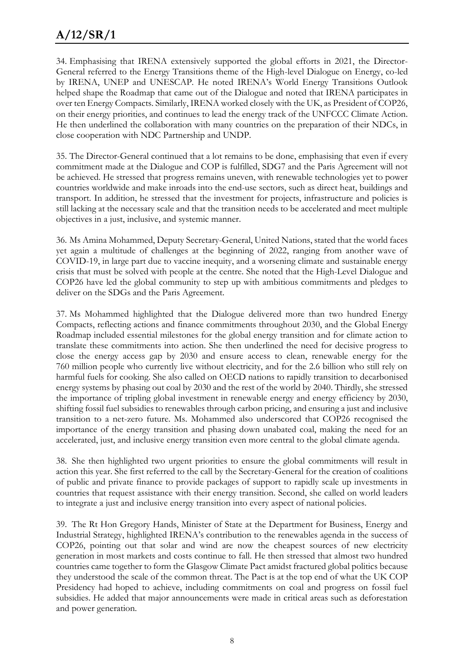34. Emphasising that IRENA extensively supported the global efforts in 2021, the Director-General referred to the Energy Transitions theme of the High-level Dialogue on Energy, co-led by IRENA, UNEP and UNESCAP. He noted IRENA's World Energy Transitions Outlook helped shape the Roadmap that came out of the Dialogue and noted that IRENA participates in over ten Energy Compacts. Similarly, IRENA worked closely with the UK, as President of COP26, on their energy priorities, and continues to lead the energy track of the UNFCCC Climate Action. He then underlined the collaboration with many countries on the preparation of their NDCs, in close cooperation with NDC Partnership and UNDP.

35. The Director-General continued that a lot remains to be done, emphasising that even if every commitment made at the Dialogue and COP is fulfilled, SDG7 and the Paris Agreement will not be achieved. He stressed that progress remains uneven, with renewable technologies yet to power countries worldwide and make inroads into the end-use sectors, such as direct heat, buildings and transport. In addition, he stressed that the investment for projects, infrastructure and policies is still lacking at the necessary scale and that the transition needs to be accelerated and meet multiple objectives in a just, inclusive, and systemic manner.

36. Ms Amina Mohammed, Deputy Secretary-General, United Nations, stated that the world faces yet again a multitude of challenges at the beginning of 2022, ranging from another wave of COVID-19, in large part due to vaccine inequity, and a worsening climate and sustainable energy crisis that must be solved with people at the centre. She noted that the High-Level Dialogue and COP26 have led the global community to step up with ambitious commitments and pledges to deliver on the SDGs and the Paris Agreement.

37. Ms Mohammed highlighted that the Dialogue delivered more than two hundred Energy Compacts, reflecting actions and finance commitments throughout 2030, and the Global Energy Roadmap included essential milestones for the global energy transition and for climate action to translate these commitments into action. She then underlined the need for decisive progress to close the energy access gap by 2030 and ensure access to clean, renewable energy for the 760 million people who currently live without electricity, and for the 2.6 billion who still rely on harmful fuels for cooking. She also called on OECD nations to rapidly transition to decarbonised energy systems by phasing out coal by 2030 and the rest of the world by 2040. Thirdly, she stressed the importance of tripling global investment in renewable energy and energy efficiency by 2030, shifting fossil fuel subsidies to renewables through carbon pricing, and ensuring a just and inclusive transition to a net-zero future. Ms. Mohammed also underscored that COP26 recognised the importance of the energy transition and phasing down unabated coal, making the need for an accelerated, just, and inclusive energy transition even more central to the global climate agenda.

38. She then highlighted two urgent priorities to ensure the global commitments will result in action this year. She first referred to the call by the Secretary-General for the creation of coalitions of public and private finance to provide packages of support to rapidly scale up investments in countries that request assistance with their energy transition. Second, she called on world leaders to integrate a just and inclusive energy transition into every aspect of national policies.

39. The Rt Hon Gregory Hands, Minister of State at the Department for Business, Energy and Industrial Strategy, highlighted IRENA's contribution to the renewables agenda in the success of COP26, pointing out that solar and wind are now the cheapest sources of new electricity generation in most markets and costs continue to fall. He then stressed that almost two hundred countries came together to form the Glasgow Climate Pact amidst fractured global politics because they understood the scale of the common threat. The Pact is at the top end of what the UK COP Presidency had hoped to achieve, including commitments on coal and progress on fossil fuel subsidies. He added that major announcements were made in critical areas such as deforestation and power generation.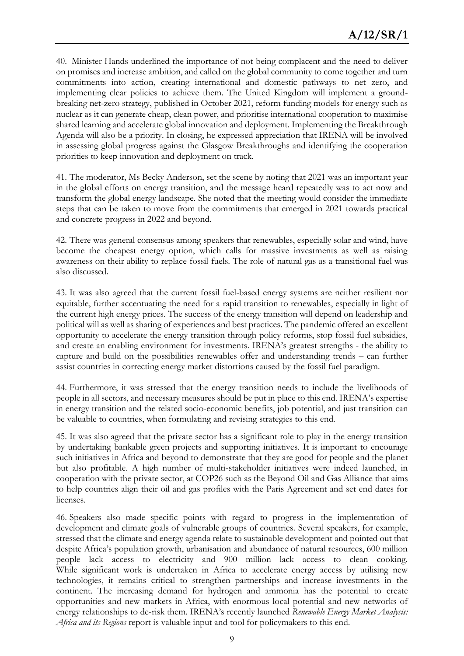40. Minister Hands underlined the importance of not being complacent and the need to deliver on promises and increase ambition, and called on the global community to come together and turn commitments into action, creating international and domestic pathways to net zero, and implementing clear policies to achieve them. The United Kingdom will implement a groundbreaking net-zero strategy, published in October 2021, reform funding models for energy such as nuclear as it can generate cheap, clean power, and prioritise international cooperation to maximise shared learning and accelerate global innovation and deployment. Implementing the Breakthrough Agenda will also be a priority. In closing, he expressed appreciation that IRENA will be involved in assessing global progress against the Glasgow Breakthroughs and identifying the cooperation priorities to keep innovation and deployment on track.

41. The moderator, Ms Becky Anderson, set the scene by noting that 2021 was an important year in the global efforts on energy transition, and the message heard repeatedly was to act now and transform the global energy landscape. She noted that the meeting would consider the immediate steps that can be taken to move from the commitments that emerged in 2021 towards practical and concrete progress in 2022 and beyond.

42. There was general consensus among speakers that renewables, especially solar and wind, have become the cheapest energy option, which calls for massive investments as well as raising awareness on their ability to replace fossil fuels. The role of natural gas as a transitional fuel was also discussed.

43. It was also agreed that the current fossil fuel-based energy systems are neither resilient nor equitable, further accentuating the need for a rapid transition to renewables, especially in light of the current high energy prices. The success of the energy transition will depend on leadership and political will as well as sharing of experiences and best practices. The pandemic offered an excellent opportunity to accelerate the energy transition through policy reforms, stop fossil fuel subsidies, and create an enabling environment for investments. IRENA's greatest strengths - the ability to capture and build on the possibilities renewables offer and understanding trends – can further assist countries in correcting energy market distortions caused by the fossil fuel paradigm.

44. Furthermore, it was stressed that the energy transition needs to include the livelihoods of people in all sectors, and necessary measures should be put in place to this end. IRENA's expertise in energy transition and the related socio-economic benefits, job potential, and just transition can be valuable to countries, when formulating and revising strategies to this end.

45. It was also agreed that the private sector has a significant role to play in the energy transition by undertaking bankable green projects and supporting initiatives. It is important to encourage such initiatives in Africa and beyond to demonstrate that they are good for people and the planet but also profitable. A high number of multi-stakeholder initiatives were indeed launched, in cooperation with the private sector, at COP26 such as the Beyond Oil and Gas Alliance that aims to help countries align their oil and gas profiles with the Paris Agreement and set end dates for licenses.

46. Speakers also made specific points with regard to progress in the implementation of development and climate goals of vulnerable groups of countries. Several speakers, for example, stressed that the climate and energy agenda relate to sustainable development and pointed out that despite Africa's population growth, urbanisation and abundance of natural resources, 600 million people lack access to electricity and 900 million lack access to clean cooking. While significant work is undertaken in Africa to accelerate energy access by utilising new technologies, it remains critical to strengthen partnerships and increase investments in the continent. The increasing demand for hydrogen and ammonia has the potential to create opportunities and new markets in Africa, with enormous local potential and new networks of energy relationships to de-risk them. IRENA's recently launched *Renewable Energy Market Analysis: Africa and its Regions* report is valuable input and tool for policymakers to this end.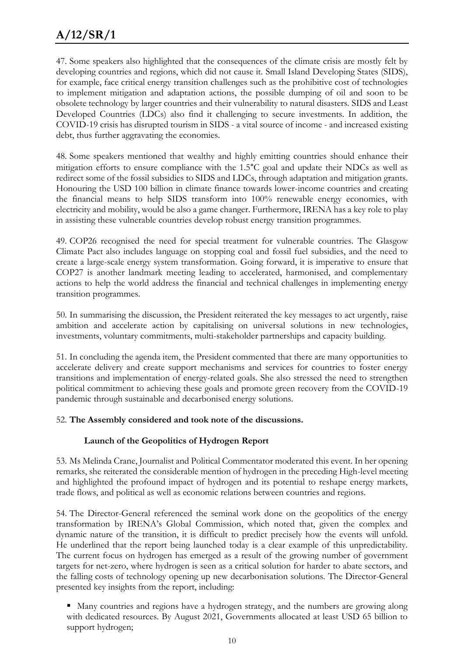# **A/12/SR/1**

47. Some speakers also highlighted that the consequences of the climate crisis are mostly felt by developing countries and regions, which did not cause it. Small Island Developing States (SIDS), for example, face critical energy transition challenges such as the prohibitive cost of technologies to implement mitigation and adaptation actions, the possible dumping of oil and soon to be obsolete technology by larger countries and their vulnerability to natural disasters. SIDS and Least Developed Countries (LDCs) also find it challenging to secure investments. In addition, the COVID-19 crisis has disrupted tourism in SIDS - a vital source of income - and increased existing debt, thus further aggravating the economies.

48. Some speakers mentioned that wealthy and highly emitting countries should enhance their mitigation efforts to ensure compliance with the 1.5°C goal and update their NDCs as well as redirect some of the fossil subsidies to SIDS and LDCs, through adaptation and mitigation grants. Honouring the USD 100 billion in climate finance towards lower-income countries and creating the financial means to help SIDS transform into 100% renewable energy economies, with electricity and mobility, would be also a game changer. Furthermore, IRENA has a key role to play in assisting these vulnerable countries develop robust energy transition programmes.

49. COP26 recognised the need for special treatment for vulnerable countries. The Glasgow Climate Pact also includes language on stopping coal and fossil fuel subsidies, and the need to create a large-scale energy system transformation. Going forward, it is imperative to ensure that COP27 is another landmark meeting leading to accelerated, harmonised, and complementary actions to help the world address the financial and technical challenges in implementing energy transition programmes.

50. In summarising the discussion, the President reiterated the key messages to act urgently, raise ambition and accelerate action by capitalising on universal solutions in new technologies, investments, voluntary commitments, multi-stakeholder partnerships and capacity building.

51. In concluding the agenda item, the President commented that there are many opportunities to accelerate delivery and create support mechanisms and services for countries to foster energy transitions and implementation of energy-related goals. She also stressed the need to strengthen political commitment to achieving these goals and promote green recovery from the COVID-19 pandemic through sustainable and decarbonised energy solutions.

#### 52. **The Assembly considered and took note of the discussions.**

#### **Launch of the Geopolitics of Hydrogen Report**

53. Ms Melinda Crane, Journalist and Political Commentator moderated this event. In her opening remarks, she reiterated the considerable mention of hydrogen in the preceding High-level meeting and highlighted the profound impact of hydrogen and its potential to reshape energy markets, trade flows, and political as well as economic relations between countries and regions.

54. The Director-General referenced the seminal work done on the geopolitics of the energy transformation by IRENA's Global Commission, which noted that, given the complex and dynamic nature of the transition, it is difficult to predict precisely how the events will unfold. He underlined that the report being launched today is a clear example of this unpredictability. The current focus on hydrogen has emerged as a result of the growing number of government targets for net-zero, where hydrogen is seen as a critical solution for harder to abate sectors, and the falling costs of technology opening up new decarbonisation solutions. The Director-General presented key insights from the report, including:

 Many countries and regions have a hydrogen strategy, and the numbers are growing along with dedicated resources. By August 2021, Governments allocated at least USD 65 billion to support hydrogen;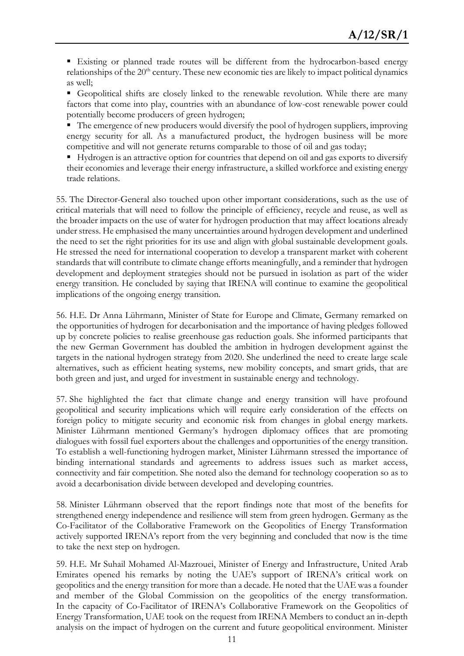Existing or planned trade routes will be different from the hydrocarbon-based energy relationships of the 20<sup>th</sup> century. These new economic ties are likely to impact political dynamics as well;

 Geopolitical shifts are closely linked to the renewable revolution. While there are many factors that come into play, countries with an abundance of low-cost renewable power could potentially become producers of green hydrogen;

■ The emergence of new producers would diversify the pool of hydrogen suppliers, improving energy security for all. As a manufactured product, the hydrogen business will be more competitive and will not generate returns comparable to those of oil and gas today;

Hydrogen is an attractive option for countries that depend on oil and gas exports to diversify their economies and leverage their energy infrastructure, a skilled workforce and existing energy trade relations.

55. The Director-General also touched upon other important considerations, such as the use of critical materials that will need to follow the principle of efficiency, recycle and reuse, as well as the broader impacts on the use of water for hydrogen production that may affect locations already under stress. He emphasised the many uncertainties around hydrogen development and underlined the need to set the right priorities for its use and align with global sustainable development goals. He stressed the need for international cooperation to develop a transparent market with coherent standards that will contribute to climate change efforts meaningfully, and a reminder that hydrogen development and deployment strategies should not be pursued in isolation as part of the wider energy transition. He concluded by saying that IRENA will continue to examine the geopolitical implications of the ongoing energy transition.

56. H.E. Dr Anna Lührmann, Minister of State for Europe and Climate, Germany remarked on the opportunities of hydrogen for decarbonisation and the importance of having pledges followed up by concrete policies to realise greenhouse gas reduction goals. She informed participants that the new German Government has doubled the ambition in hydrogen development against the targets in the national hydrogen strategy from 2020. She underlined the need to create large scale alternatives, such as efficient heating systems, new mobility concepts, and smart grids, that are both green and just, and urged for investment in sustainable energy and technology.

57. She highlighted the fact that climate change and energy transition will have profound geopolitical and security implications which will require early consideration of the effects on foreign policy to mitigate security and economic risk from changes in global energy markets. Minister Lührmann mentioned Germany's hydrogen diplomacy offices that are promoting dialogues with fossil fuel exporters about the challenges and opportunities of the energy transition. To establish a well-functioning hydrogen market, Minister Lührmann stressed the importance of binding international standards and agreements to address issues such as market access, connectivity and fair competition. She noted also the demand for technology cooperation so as to avoid a decarbonisation divide between developed and developing countries.

58. Minister Lührmann observed that the report findings note that most of the benefits for strengthened energy independence and resilience will stem from green hydrogen. Germany as the Co-Facilitator of the Collaborative Framework on the Geopolitics of Energy Transformation actively supported IRENA's report from the very beginning and concluded that now is the time to take the next step on hydrogen.

59. H.E. Mr Suhail Mohamed Al-Mazrouei, Minister of Energy and Infrastructure, United Arab Emirates opened his remarks by noting the UAE's support of IRENA's critical work on geopolitics and the energy transition for more than a decade. He noted that the UAE was a founder and member of the Global Commission on the geopolitics of the energy transformation. In the capacity of Co-Facilitator of IRENA's Collaborative Framework on the Geopolitics of Energy Transformation, UAE took on the request from IRENA Members to conduct an in-depth analysis on the impact of hydrogen on the current and future geopolitical environment. Minister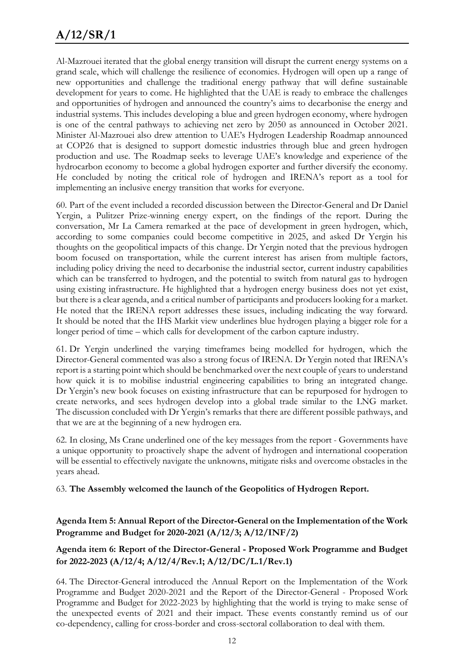# **A/12/SR/1**

Al-Mazrouei iterated that the global energy transition will disrupt the current energy systems on a grand scale, which will challenge the resilience of economies. Hydrogen will open up a range of new opportunities and challenge the traditional energy pathway that will define sustainable development for years to come. He highlighted that the UAE is ready to embrace the challenges and opportunities of hydrogen and announced the country's aims to decarbonise the energy and industrial systems. This includes developing a blue and green hydrogen economy, where hydrogen is one of the central pathways to achieving net zero by 2050 as announced in October 2021. Minister Al-Mazrouei also drew attention to UAE's Hydrogen Leadership Roadmap announced at COP26 that is designed to support domestic industries through blue and green hydrogen production and use. The Roadmap seeks to leverage UAE's knowledge and experience of the hydrocarbon economy to become a global hydrogen exporter and further diversify the economy. He concluded by noting the critical role of hydrogen and IRENA's report as a tool for implementing an inclusive energy transition that works for everyone.

60. Part of the event included a recorded discussion between the Director-General and Dr Daniel Yergin, a Pulitzer Prize-winning energy expert, on the findings of the report. During the conversation, Mr La Camera remarked at the pace of development in green hydrogen, which, according to some companies could become competitive in 2025, and asked Dr Yergin his thoughts on the geopolitical impacts of this change. Dr Yergin noted that the previous hydrogen boom focused on transportation, while the current interest has arisen from multiple factors, including policy driving the need to decarbonise the industrial sector, current industry capabilities which can be transferred to hydrogen, and the potential to switch from natural gas to hydrogen using existing infrastructure. He highlighted that a hydrogen energy business does not yet exist, but there is a clear agenda, and a critical number of participants and producers looking for a market. He noted that the IRENA report addresses these issues, including indicating the way forward. It should be noted that the IHS Markit view underlines blue hydrogen playing a bigger role for a longer period of time – which calls for development of the carbon capture industry.

61. Dr Yergin underlined the varying timeframes being modelled for hydrogen, which the Director-General commented was also a strong focus of IRENA. Dr Yergin noted that IRENA's report is a starting point which should be benchmarked over the next couple of years to understand how quick it is to mobilise industrial engineering capabilities to bring an integrated change. Dr Yergin's new book focuses on existing infrastructure that can be repurposed for hydrogen to create networks, and sees hydrogen develop into a global trade similar to the LNG market. The discussion concluded with Dr Yergin's remarks that there are different possible pathways, and that we are at the beginning of a new hydrogen era.

62. In closing, Ms Crane underlined one of the key messages from the report - Governments have a unique opportunity to proactively shape the advent of hydrogen and international cooperation will be essential to effectively navigate the unknowns, mitigate risks and overcome obstacles in the years ahead.

#### 63. **The Assembly welcomed the launch of the Geopolitics of Hydrogen Report.**

**Agenda Item 5: Annual Report of the Director-General on the Implementation of the Work Programme and Budget for 2020-2021 (A/12/3; A/12/INF/2)**

#### **Agenda item 6: Report of the Director-General - Proposed Work Programme and Budget for 2022-2023 (A/12/4; A/12/4/Rev.1; A/12/DC/L.1/Rev.1)**

64. The Director-General introduced the Annual Report on the Implementation of the Work Programme and Budget 2020-2021 and the Report of the Director-General - Proposed Work Programme and Budget for 2022-2023 by highlighting that the world is trying to make sense of the unexpected events of 2021 and their impact. These events constantly remind us of our co-dependency, calling for cross-border and cross-sectoral collaboration to deal with them.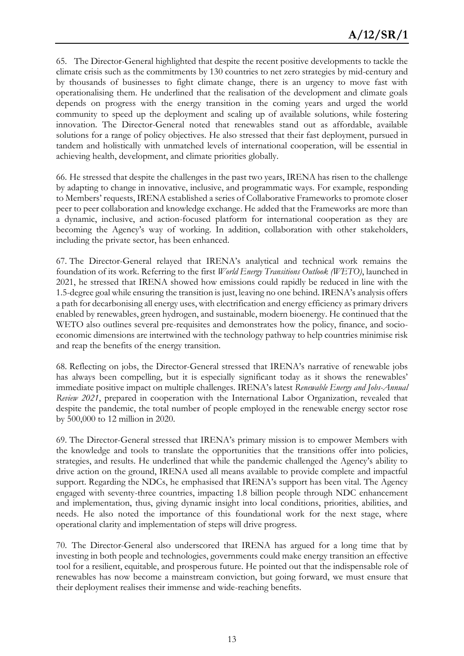65. The Director-General highlighted that despite the recent positive developments to tackle the climate crisis such as the commitments by 130 countries to net zero strategies by mid-century and by thousands of businesses to fight climate change, there is an urgency to move fast with operationalising them. He underlined that the realisation of the development and climate goals depends on progress with the energy transition in the coming years and urged the world community to speed up the deployment and scaling up of available solutions, while fostering innovation. The Director-General noted that renewables stand out as affordable, available solutions for a range of policy objectives. He also stressed that their fast deployment, pursued in tandem and holistically with unmatched levels of international cooperation, will be essential in achieving health, development, and climate priorities globally.

66. He stressed that despite the challenges in the past two years, IRENA has risen to the challenge by adapting to change in innovative, inclusive, and programmatic ways. For example, responding to Members' requests, IRENA established a series of Collaborative Frameworks to promote closer peer to peer collaboration and knowledge exchange. He added that the Frameworks are more than a dynamic, inclusive, and action-focused platform for international cooperation as they are becoming the Agency's way of working. In addition, collaboration with other stakeholders, including the private sector, has been enhanced.

67. The Director-General relayed that IRENA's analytical and technical work remains the foundation of its work. Referring to the first *World Energy Transitions Outlook (WETO)*, launched in 2021, he stressed that IRENA showed how emissions could rapidly be reduced in line with the 1.5-degree goal while ensuring the transition is just, leaving no one behind. IRENA's analysis offers a path for decarbonising all energy uses, with electrification and energy efficiency as primary drivers enabled by renewables, green hydrogen, and sustainable, modern bioenergy. He continued that the WETO also outlines several pre-requisites and demonstrates how the policy, finance, and socioeconomic dimensions are intertwined with the technology pathway to help countries minimise risk and reap the benefits of the energy transition.

68. Reflecting on jobs, the Director-General stressed that IRENA's narrative of renewable jobs has always been compelling, but it is especially significant today as it shows the renewables' immediate positive impact on multiple challenges. IRENA's latest *Renewable Energy and Jobs-Annual Review 2021*, prepared in cooperation with the International Labor Organization, revealed that despite the pandemic, the total number of people employed in the renewable energy sector rose by 500,000 to 12 million in 2020.

69. The Director-General stressed that IRENA's primary mission is to empower Members with the knowledge and tools to translate the opportunities that the transitions offer into policies, strategies, and results. He underlined that while the pandemic challenged the Agency's ability to drive action on the ground, IRENA used all means available to provide complete and impactful support. Regarding the NDCs, he emphasised that IRENA's support has been vital. The Agency engaged with seventy-three countries, impacting 1.8 billion people through NDC enhancement and implementation, thus, giving dynamic insight into local conditions, priorities, abilities, and needs. He also noted the importance of this foundational work for the next stage, where operational clarity and implementation of steps will drive progress.

70. The Director-General also underscored that IRENA has argued for a long time that by investing in both people and technologies, governments could make energy transition an effective tool for a resilient, equitable, and prosperous future. He pointed out that the indispensable role of renewables has now become a mainstream conviction, but going forward, we must ensure that their deployment realises their immense and wide-reaching benefits.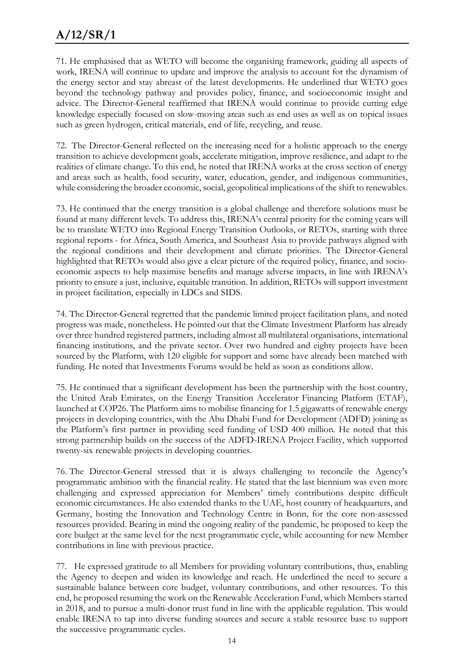71. He emphasised that as WETO will become the organising framework, guiding all aspects of work, IRENA will continue to update and improve the analysis to account for the dynamism of the energy sector and stay abreast of the latest developments. He underlined that WETO goes beyond the technology pathway and provides policy, finance, and socioeconomic insight and advice. The Director-General reaffirmed that IRENA would continue to provide cutting edge knowledge especially focused on slow-moving areas such as end uses as well as on topical issues such as green hydrogen, critical materials, end of life, recycling, and reuse.

72. The Director-General reflected on the increasing need for a holistic approach to the energy transition to achieve development goals, accelerate mitigation, improve resilience, and adapt to the realities of climate change. To this end, he noted that IRENA works at the cross section of energy and areas such as health, food security, water, education, gender, and indigenous communities, while considering the broader economic, social, geopolitical implications of the shift to renewables.

73. He continued that the energy transition is a global challenge and therefore solutions must be found at many different levels. To address this, IRENA's central priority for the coming years will be to translate WETO into Regional Energy Transition Outlooks, or RETOs, starting with three regional reports - for Africa, South America, and Southeast Asia to provide pathways aligned with the regional conditions and their development and climate priorities. The Director-General highlighted that RETOs would also give a clear picture of the required policy, finance, and socioeconomic aspects to help maximise benefits and manage adverse impacts, in line with IRENA's priority to ensure a just, inclusive, equitable transition. In addition, RETOs will support investment in project facilitation, especially in LDCs and SIDS.

74. The Director-General regretted that the pandemic limited project facilitation plans, and noted progress was made, nonetheless. He pointed out that the Climate Investment Platform has already over three hundred registered partners, including almost all multilateral organisations, international financing institutions, and the private sector. Over two hundred and eighty projects have been sourced by the Platform, with 120 eligible for support and some have already been matched with funding. He noted that Investments Forums would be held as soon as conditions allow.

75. He continued that a significant development has been the partnership with the host country, the United Arab Emirates, on the Energy Transition Accelerator Financing Platform (ETAF), launched at COP26. The Platform aims to mobilise financing for 1.5 gigawatts of renewable energy projects in developing countries, with the Abu Dhabi Fund for Development (ADFD) joining as the Platform's first partner in providing seed funding of USD 400 million. He noted that this strong partnership builds on the success of the ADFD-IRENA Project Facility, which supported twenty-six renewable projects in developing countries.

76. The Director-General stressed that it is always challenging to reconcile the Agency's programmatic ambition with the financial reality. He stated that the last biennium was even more challenging and expressed appreciation for Members' timely contributions despite difficult economic circumstances. He also extended thanks to the UAE, host country of headquarters, and Germany, hosting the Innovation and Technology Centre in Bonn, for the core non-assessed resources provided. Bearing in mind the ongoing reality of the pandemic, he proposed to keep the core budget at the same level for the next programmatic cycle, while accounting for new Member contributions in line with previous practice.

77. He expressed gratitude to all Members for providing voluntary contributions, thus, enabling the Agency to deepen and widen its knowledge and reach. He underlined the need to secure a sustainable balance between core budget, voluntary contributions, and other resources. To this end, he proposed resuming the work on the Renewable Acceleration Fund, which Members started in 2018, and to pursue a multi-donor trust fund in line with the applicable regulation. This would enable IRENA to tap into diverse funding sources and secure a stable resource base to support the successive programmatic cycles.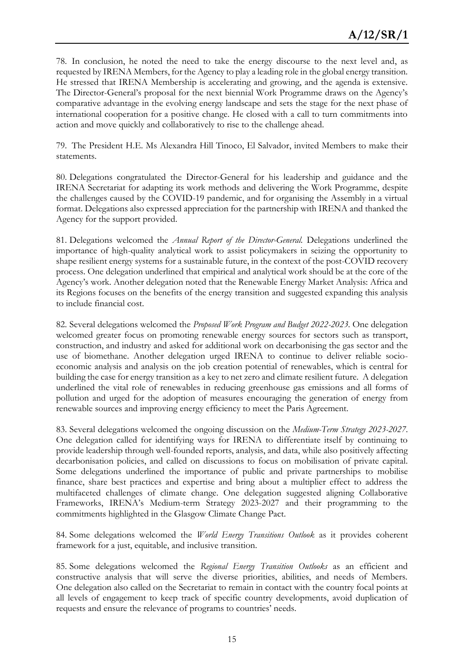78. In conclusion, he noted the need to take the energy discourse to the next level and, as requested by IRENA Members, for the Agency to play a leading role in the global energy transition. He stressed that IRENA Membership is accelerating and growing, and the agenda is extensive. The Director-General's proposal for the next biennial Work Programme draws on the Agency's comparative advantage in the evolving energy landscape and sets the stage for the next phase of international cooperation for a positive change. He closed with a call to turn commitments into action and move quickly and collaboratively to rise to the challenge ahead.

79. The President H.E. Ms Alexandra Hill Tinoco, El Salvador, invited Members to make their statements.

80. Delegations congratulated the Director-General for his leadership and guidance and the IRENA Secretariat for adapting its work methods and delivering the Work Programme, despite the challenges caused by the COVID-19 pandemic, and for organising the Assembly in a virtual format. Delegations also expressed appreciation for the partnership with IRENA and thanked the Agency for the support provided.

81. Delegations welcomed the *Annual Report of the Director-General.* Delegations underlined the importance of high-quality analytical work to assist policymakers in seizing the opportunity to shape resilient energy systems for a sustainable future, in the context of the post-COVID recovery process. One delegation underlined that empirical and analytical work should be at the core of the Agency's work. Another delegation noted that the Renewable Energy Market Analysis: Africa and its Regions focuses on the benefits of the energy transition and suggested expanding this analysis to include financial cost.

82. Several delegations welcomed the *Proposed Work Program and Budget 2022-2023.* One delegation welcomed greater focus on promoting renewable energy sources for sectors such as transport, construction, and industry and asked for additional work on decarbonising the gas sector and the use of biomethane. Another delegation urged IRENA to continue to deliver reliable socioeconomic analysis and analysis on the job creation potential of renewables, which is central for building the case for energy transition as a key to net zero and climate resilient future. A delegation underlined the vital role of renewables in reducing greenhouse gas emissions and all forms of pollution and urged for the adoption of measures encouraging the generation of energy from renewable sources and improving energy efficiency to meet the Paris Agreement.

83. Several delegations welcomed the ongoing discussion on the *Medium-Term Strategy 2023-2027*. One delegation called for identifying ways for IRENA to differentiate itself by continuing to provide leadership through well-founded reports, analysis, and data, while also positively affecting decarbonisation policies, and called on discussions to focus on mobilisation of private capital. Some delegations underlined the importance of public and private partnerships to mobilise finance, share best practices and expertise and bring about a multiplier effect to address the multifaceted challenges of climate change. One delegation suggested aligning Collaborative Frameworks, IRENA's Medium-term Strategy 2023-2027 and their programming to the commitments highlighted in the Glasgow Climate Change Pact.

84. Some delegations welcomed the *World Energy Transitions Outlook* as it provides coherent framework for a just, equitable, and inclusive transition.

85. Some delegations welcomed the *Regional Energy Transition Outlooks* as an efficient and constructive analysis that will serve the diverse priorities, abilities, and needs of Members. One delegation also called on the Secretariat to remain in contact with the country focal points at all levels of engagement to keep track of specific country developments, avoid duplication of requests and ensure the relevance of programs to countries' needs.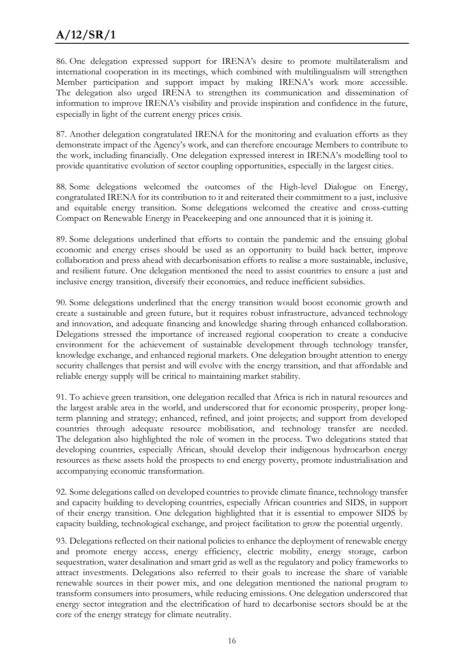# **A/12/SR/1**

86. One delegation expressed support for IRENA's desire to promote multilateralism and international cooperation in its meetings, which combined with multilingualism will strengthen Member participation and support impact by making IRENA's work more accessible. The delegation also urged IRENA to strengthen its communication and dissemination of information to improve IRENA's visibility and provide inspiration and confidence in the future, especially in light of the current energy prices crisis.

87. Another delegation congratulated IRENA for the monitoring and evaluation efforts as they demonstrate impact of the Agency's work, and can therefore encourage Members to contribute to the work, including financially. One delegation expressed interest in IRENA's modelling tool to provide quantitative evolution of sector coupling opportunities, especially in the largest cities.

88. Some delegations welcomed the outcomes of the High-level Dialogue on Energy, congratulated IRENA for its contribution to it and reiterated their commitment to a just, inclusive and equitable energy transition. Some delegations welcomed the creative and cross-cutting Compact on Renewable Energy in Peacekeeping and one announced that it is joining it.

89. Some delegations underlined that efforts to contain the pandemic and the ensuing global economic and energy crises should be used as an opportunity to build back better, improve collaboration and press ahead with decarbonisation efforts to realise a more sustainable, inclusive, and resilient future. One delegation mentioned the need to assist countries to ensure a just and inclusive energy transition, diversify their economies, and reduce inefficient subsidies.

90. Some delegations underlined that the energy transition would boost economic growth and create a sustainable and green future, but it requires robust infrastructure, advanced technology and innovation, and adequate financing and knowledge sharing through enhanced collaboration. Delegations stressed the importance of increased regional cooperation to create a conducive environment for the achievement of sustainable development through technology transfer, knowledge exchange, and enhanced regional markets. One delegation brought attention to energy security challenges that persist and will evolve with the energy transition, and that affordable and reliable energy supply will be critical to maintaining market stability.

91. To achieve green transition, one delegation recalled that Africa is rich in natural resources and the largest arable area in the world, and underscored that for economic prosperity, proper longterm planning and strategy; enhanced, refined, and joint projects; and support from developed countries through adequate resource mobilisation, and technology transfer are needed. The delegation also highlighted the role of women in the process. Two delegations stated that developing countries, especially African, should develop their indigenous hydrocarbon energy resources as these assets hold the prospects to end energy poverty, promote industrialisation and accompanying economic transformation.

92. Some delegations called on developed countries to provide climate finance, technology transfer and capacity building to developing countries, especially African countries and SIDS, in support of their energy transition. One delegation highlighted that it is essential to empower SIDS by capacity building, technological exchange, and project facilitation to grow the potential urgently.

93. Delegations reflected on their national policies to enhance the deployment of renewable energy and promote energy access, energy efficiency, electric mobility, energy storage, carbon sequestration, water desalination and smart grid as well as the regulatory and policy frameworks to attract investments. Delegations also referred to their goals to increase the share of variable renewable sources in their power mix, and one delegation mentioned the national program to transform consumers into prosumers, while reducing emissions. One delegation underscored that energy sector integration and the electrification of hard to decarbonise sectors should be at the core of the energy strategy for climate neutrality.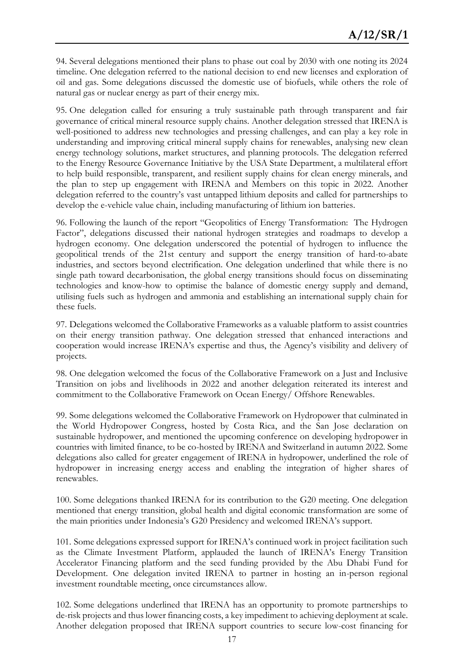94. Several delegations mentioned their plans to phase out coal by 2030 with one noting its 2024 timeline. One delegation referred to the national decision to end new licenses and exploration of oil and gas. Some delegations discussed the domestic use of biofuels, while others the role of natural gas or nuclear energy as part of their energy mix.

95. One delegation called for ensuring a truly sustainable path through transparent and fair governance of critical mineral resource supply chains. Another delegation stressed that IRENA is well-positioned to address new technologies and pressing challenges, and can play a key role in understanding and improving critical mineral supply chains for renewables, analysing new clean energy technology solutions, market structures, and planning protocols. The delegation referred to the Energy Resource Governance Initiative by the USA State Department, a multilateral effort to help build responsible, transparent, and resilient supply chains for clean energy minerals, and the plan to step up engagement with IRENA and Members on this topic in 2022. Another delegation referred to the country's vast untapped lithium deposits and called for partnerships to develop the e-vehicle value chain, including manufacturing of lithium ion batteries.

96. Following the launch of the report "Geopolitics of Energy Transformation: The Hydrogen Factor", delegations discussed their national hydrogen strategies and roadmaps to develop a hydrogen economy. One delegation underscored the potential of hydrogen to influence the geopolitical trends of the 21st century and support the energy transition of hard-to-abate industries, and sectors beyond electrification. One delegation underlined that while there is no single path toward decarbonisation, the global energy transitions should focus on disseminating technologies and know-how to optimise the balance of domestic energy supply and demand, utilising fuels such as hydrogen and ammonia and establishing an international supply chain for these fuels.

97. Delegations welcomed the Collaborative Frameworks as a valuable platform to assist countries on their energy transition pathway. One delegation stressed that enhanced interactions and cooperation would increase IRENA's expertise and thus, the Agency's visibility and delivery of projects.

98. One delegation welcomed the focus of the Collaborative Framework on a Just and Inclusive Transition on jobs and livelihoods in 2022 and another delegation reiterated its interest and commitment to the Collaborative Framework on Ocean Energy/ Offshore Renewables.

99. Some delegations welcomed the Collaborative Framework on Hydropower that culminated in the World Hydropower Congress, hosted by Costa Rica, and the San Jose declaration on sustainable hydropower, and mentioned the upcoming conference on developing hydropower in countries with limited finance, to be co-hosted by IRENA and Switzerland in autumn 2022. Some delegations also called for greater engagement of IRENA in hydropower, underlined the role of hydropower in increasing energy access and enabling the integration of higher shares of renewables.

100. Some delegations thanked IRENA for its contribution to the G20 meeting. One delegation mentioned that energy transition, global health and digital economic transformation are some of the main priorities under Indonesia's G20 Presidency and welcomed IRENA's support.

101. Some delegations expressed support for IRENA's continued work in project facilitation such as the Climate Investment Platform, applauded the launch of IRENA's Energy Transition Accelerator Financing platform and the seed funding provided by the Abu Dhabi Fund for Development. One delegation invited IRENA to partner in hosting an in-person regional investment roundtable meeting, once circumstances allow.

102. Some delegations underlined that IRENA has an opportunity to promote partnerships to de-risk projects and thus lower financing costs, a key impediment to achieving deployment at scale. Another delegation proposed that IRENA support countries to secure low-cost financing for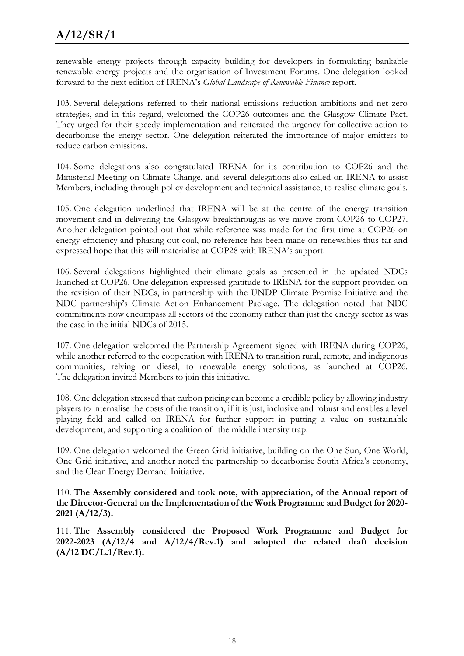renewable energy projects through capacity building for developers in formulating bankable renewable energy projects and the organisation of Investment Forums. One delegation looked forward to the next edition of IRENA's *Global Landscape of Renewable Finance* report.

103. Several delegations referred to their national emissions reduction ambitions and net zero strategies, and in this regard, welcomed the COP26 outcomes and the Glasgow Climate Pact. They urged for their speedy implementation and reiterated the urgency for collective action to decarbonise the energy sector. One delegation reiterated the importance of major emitters to reduce carbon emissions.

104. Some delegations also congratulated IRENA for its contribution to COP26 and the Ministerial Meeting on Climate Change, and several delegations also called on IRENA to assist Members, including through policy development and technical assistance, to realise climate goals.

105. One delegation underlined that IRENA will be at the centre of the energy transition movement and in delivering the Glasgow breakthroughs as we move from COP26 to COP27. Another delegation pointed out that while reference was made for the first time at COP26 on energy efficiency and phasing out coal, no reference has been made on renewables thus far and expressed hope that this will materialise at COP28 with IRENA's support.

106. Several delegations highlighted their climate goals as presented in the updated NDCs launched at COP26. One delegation expressed gratitude to IRENA for the support provided on the revision of their NDCs, in partnership with the UNDP Climate Promise Initiative and the NDC partnership's Climate Action Enhancement Package. The delegation noted that NDC commitments now encompass all sectors of the economy rather than just the energy sector as was the case in the initial NDCs of 2015.

107. One delegation welcomed the Partnership Agreement signed with IRENA during COP26, while another referred to the cooperation with IRENA to transition rural, remote, and indigenous communities, relying on diesel, to renewable energy solutions, as launched at COP26. The delegation invited Members to join this initiative.

108. One delegation stressed that carbon pricing can become a credible policy by allowing industry players to internalise the costs of the transition, if it is just, inclusive and robust and enables a level playing field and called on IRENA for further support in putting a value on sustainable development, and supporting a coalition of the middle intensity trap.

109. One delegation welcomed the Green Grid initiative, building on the One Sun, One World, One Grid initiative, and another noted the partnership to decarbonise South Africa's economy, and the Clean Energy Demand Initiative.

110. **The Assembly considered and took note, with appreciation, of the Annual report of the Director-General on the Implementation of the Work Programme and Budget for 2020- 2021 (A/12/3).**

111. **The Assembly considered the Proposed Work Programme and Budget for 2022-2023 (A/12/4 and A/12/4/Rev.1) and adopted the related draft decision (A/12 DC/L.1/Rev.1).**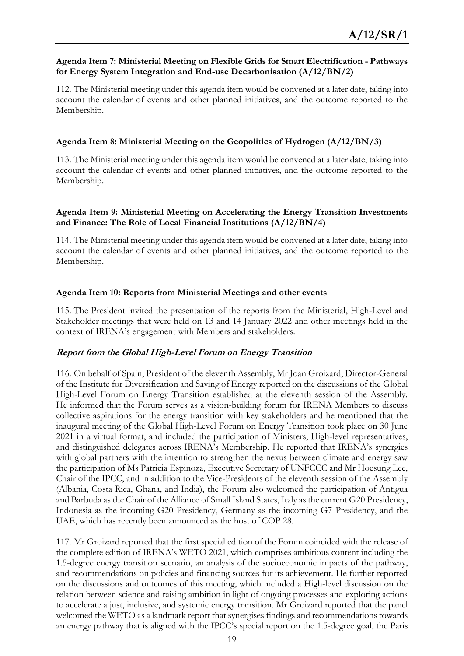#### **Agenda Item 7: Ministerial Meeting on Flexible Grids for Smart Electrification - Pathways for Energy System Integration and End-use Decarbonisation (A/12/BN/2)**

112. The Ministerial meeting under this agenda item would be convened at a later date, taking into account the calendar of events and other planned initiatives, and the outcome reported to the Membership.

#### **Agenda Item 8: Ministerial Meeting on the Geopolitics of Hydrogen (A/12/BN/3)**

113. The Ministerial meeting under this agenda item would be convened at a later date, taking into account the calendar of events and other planned initiatives, and the outcome reported to the Membership.

#### **Agenda Item 9: Ministerial Meeting on Accelerating the Energy Transition Investments and Finance: The Role of Local Financial Institutions (A/12/BN/4)**

114. The Ministerial meeting under this agenda item would be convened at a later date, taking into account the calendar of events and other planned initiatives, and the outcome reported to the Membership.

#### **Agenda Item 10: Reports from Ministerial Meetings and other events**

115. The President invited the presentation of the reports from the Ministerial, High-Level and Stakeholder meetings that were held on 13 and 14 January 2022 and other meetings held in the context of IRENA's engagement with Members and stakeholders.

#### **Report from the Global High-Level Forum on Energy Transition**

116. On behalf of Spain, President of the eleventh Assembly, Mr Joan Groizard, Director-General of the Institute for Diversification and Saving of Energy reported on the discussions of the Global High-Level Forum on Energy Transition established at the eleventh session of the Assembly. He informed that the Forum serves as a vision-building forum for IRENA Members to discuss collective aspirations for the energy transition with key stakeholders and he mentioned that the inaugural meeting of the Global High-Level Forum on Energy Transition took place on 30 June 2021 in a virtual format, and included the participation of Ministers, High-level representatives, and distinguished delegates across IRENA's Membership. He reported that IRENA's synergies with global partners with the intention to strengthen the nexus between climate and energy saw the participation of Ms Patricia Espinoza, Executive Secretary of UNFCCC and Mr Hoesung Lee, Chair of the IPCC, and in addition to the Vice-Presidents of the eleventh session of the Assembly (Albania, Costa Rica, Ghana, and India), the Forum also welcomed the participation of Antigua and Barbuda as the Chair of the Alliance of Small Island States, Italy as the current G20 Presidency, Indonesia as the incoming G20 Presidency, Germany as the incoming G7 Presidency, and the UAE, which has recently been announced as the host of COP 28.

117. Mr Groizard reported that the first special edition of the Forum coincided with the release of the complete edition of IRENA's WETO 2021, which comprises ambitious content including the 1.5-degree energy transition scenario, an analysis of the socioeconomic impacts of the pathway, and recommendations on policies and financing sources for its achievement. He further reported on the discussions and outcomes of this meeting, which included a High-level discussion on the relation between science and raising ambition in light of ongoing processes and exploring actions to accelerate a just, inclusive, and systemic energy transition. Mr Groizard reported that the panel welcomed the WETO as a landmark report that synergises findings and recommendations towards an energy pathway that is aligned with the IPCC's special report on the 1.5-degree goal, the Paris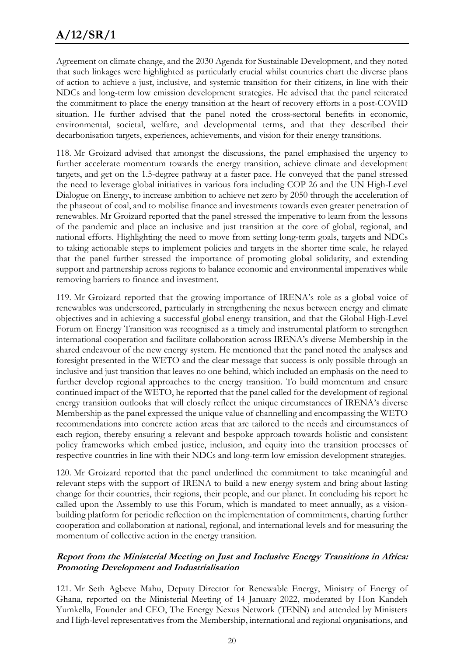Agreement on climate change, and the 2030 Agenda for Sustainable Development, and they noted that such linkages were highlighted as particularly crucial whilst countries chart the diverse plans of action to achieve a just, inclusive, and systemic transition for their citizens, in line with their NDCs and long-term low emission development strategies. He advised that the panel reiterated the commitment to place the energy transition at the heart of recovery efforts in a post-COVID situation. He further advised that the panel noted the cross-sectoral benefits in economic, environmental, societal, welfare, and developmental terms, and that they described their decarbonisation targets, experiences, achievements, and vision for their energy transitions.

118. Mr Groizard advised that amongst the discussions, the panel emphasised the urgency to further accelerate momentum towards the energy transition, achieve climate and development targets, and get on the 1.5-degree pathway at a faster pace. He conveyed that the panel stressed the need to leverage global initiatives in various fora including COP 26 and the UN High-Level Dialogue on Energy, to increase ambition to achieve net zero by 2050 through the acceleration of the phaseout of coal, and to mobilise finance and investments towards even greater penetration of renewables. Mr Groizard reported that the panel stressed the imperative to learn from the lessons of the pandemic and place an inclusive and just transition at the core of global, regional, and national efforts. Highlighting the need to move from setting long-term goals, targets and NDCs to taking actionable steps to implement policies and targets in the shorter time scale, he relayed that the panel further stressed the importance of promoting global solidarity, and extending support and partnership across regions to balance economic and environmental imperatives while removing barriers to finance and investment.

119. Mr Groizard reported that the growing importance of IRENA's role as a global voice of renewables was underscored, particularly in strengthening the nexus between energy and climate objectives and in achieving a successful global energy transition, and that the Global High-Level Forum on Energy Transition was recognised as a timely and instrumental platform to strengthen international cooperation and facilitate collaboration across IRENA's diverse Membership in the shared endeavour of the new energy system. He mentioned that the panel noted the analyses and foresight presented in the WETO and the clear message that success is only possible through an inclusive and just transition that leaves no one behind, which included an emphasis on the need to further develop regional approaches to the energy transition. To build momentum and ensure continued impact of the WETO, he reported that the panel called for the development of regional energy transition outlooks that will closely reflect the unique circumstances of IRENA's diverse Membership as the panel expressed the unique value of channelling and encompassing the WETO recommendations into concrete action areas that are tailored to the needs and circumstances of each region, thereby ensuring a relevant and bespoke approach towards holistic and consistent policy frameworks which embed justice, inclusion, and equity into the transition processes of respective countries in line with their NDCs and long-term low emission development strategies.

120. Mr Groizard reported that the panel underlined the commitment to take meaningful and relevant steps with the support of IRENA to build a new energy system and bring about lasting change for their countries, their regions, their people, and our planet. In concluding his report he called upon the Assembly to use this Forum, which is mandated to meet annually, as a visionbuilding platform for periodic reflection on the implementation of commitments, charting further cooperation and collaboration at national, regional, and international levels and for measuring the momentum of collective action in the energy transition.

#### **Report from the Ministerial Meeting on Just and Inclusive Energy Transitions in Africa: Promoting Development and Industrialisation**

121. Mr Seth Agbeve Mahu, Deputy Director for Renewable Energy, Ministry of Energy of Ghana, reported on the Ministerial Meeting of 14 January 2022, moderated by Hon Kandeh Yumkella, Founder and CEO, The Energy Nexus Network (TENN) and attended by Ministers and High-level representatives from the Membership, international and regional organisations, and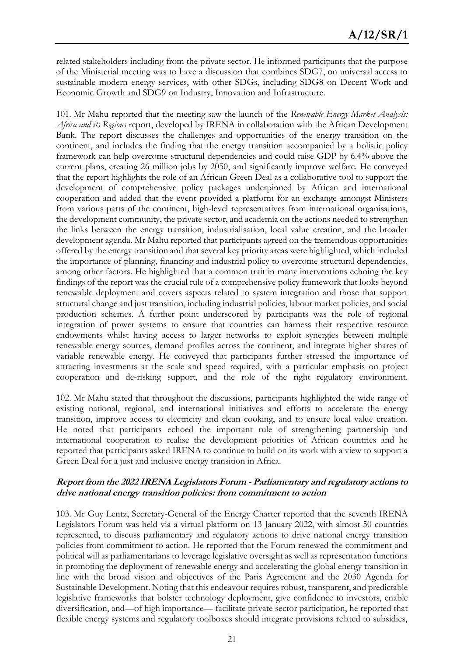related stakeholders including from the private sector. He informed participants that the purpose of the Ministerial meeting was to have a discussion that combines SDG7, on universal access to sustainable modern energy services, with other SDGs, including SDG8 on Decent Work and Economic Growth and SDG9 on Industry, Innovation and Infrastructure.

101. Mr Mahu reported that the meeting saw the launch of the *Renewable Energy Market Analysis: Africa and its Regions* report, developed by IRENA in collaboration with the African Development Bank. The report discusses the challenges and opportunities of the energy transition on the continent, and includes the finding that the energy transition accompanied by a holistic policy framework can help overcome structural dependencies and could raise GDP by 6.4% above the current plans, creating 26 million jobs by 2050, and significantly improve welfare. He conveyed that the report highlights the role of an African Green Deal as a collaborative tool to support the development of comprehensive policy packages underpinned by African and international cooperation and added that the event provided a platform for an exchange amongst Ministers from various parts of the continent, high-level representatives from international organisations, the development community, the private sector, and academia on the actions needed to strengthen the links between the energy transition, industrialisation, local value creation, and the broader development agenda. Mr Mahu reported that participants agreed on the tremendous opportunities offered by the energy transition and that several key priority areas were highlighted, which included the importance of planning, financing and industrial policy to overcome structural dependencies, among other factors. He highlighted that a common trait in many interventions echoing the key findings of the report was the crucial rule of a comprehensive policy framework that looks beyond renewable deployment and covers aspects related to system integration and those that support structural change and just transition, including industrial policies, labour market policies, and social production schemes. A further point underscored by participants was the role of regional integration of power systems to ensure that countries can harness their respective resource endowments whilst having access to larger networks to exploit synergies between multiple renewable energy sources, demand profiles across the continent, and integrate higher shares of variable renewable energy. He conveyed that participants further stressed the importance of attracting investments at the scale and speed required, with a particular emphasis on project cooperation and de-risking support, and the role of the right regulatory environment.

102. Mr Mahu stated that throughout the discussions, participants highlighted the wide range of existing national, regional, and international initiatives and efforts to accelerate the energy transition, improve access to electricity and clean cooking, and to ensure local value creation. He noted that participants echoed the important rule of strengthening partnership and international cooperation to realise the development priorities of African countries and he reported that participants asked IRENA to continue to build on its work with a view to support a Green Deal for a just and inclusive energy transition in Africa.

#### **Report from the 2022 IRENA Legislators Forum - Parliamentary and regulatory actions to drive national energy transition policies: from commitment to action**

103. Mr Guy Lentz, Secretary-General of the Energy Charter reported that the seventh IRENA Legislators Forum was held via a virtual platform on 13 January 2022, with almost 50 countries represented, to discuss parliamentary and regulatory actions to drive national energy transition policies from commitment to action. He reported that the Forum renewed the commitment and political will as parliamentarians to leverage legislative oversight as well as representation functions in promoting the deployment of renewable energy and accelerating the global energy transition in line with the broad vision and objectives of the Paris Agreement and the 2030 Agenda for Sustainable Development. Noting that this endeavour requires robust, transparent, and predictable legislative frameworks that bolster technology deployment, give confidence to investors, enable diversification, and—of high importance— facilitate private sector participation, he reported that flexible energy systems and regulatory toolboxes should integrate provisions related to subsidies,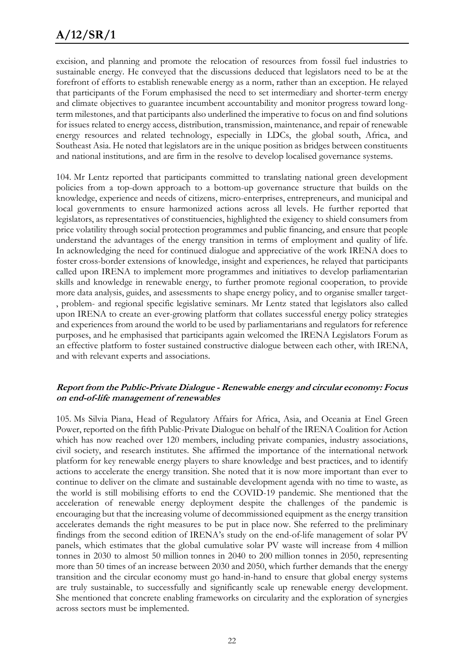excision, and planning and promote the relocation of resources from fossil fuel industries to sustainable energy. He conveyed that the discussions deduced that legislators need to be at the forefront of efforts to establish renewable energy as a norm, rather than an exception. He relayed that participants of the Forum emphasised the need to set intermediary and shorter-term energy and climate objectives to guarantee incumbent accountability and monitor progress toward longterm milestones, and that participants also underlined the imperative to focus on and find solutions for issues related to energy access, distribution, transmission, maintenance, and repair of renewable energy resources and related technology, especially in LDCs, the global south, Africa, and Southeast Asia. He noted that legislators are in the unique position as bridges between constituents and national institutions, and are firm in the resolve to develop localised governance systems.

104. Mr Lentz reported that participants committed to translating national green development policies from a top-down approach to a bottom-up governance structure that builds on the knowledge, experience and needs of citizens, micro-enterprises, entrepreneurs, and municipal and local governments to ensure harmonized actions across all levels. He further reported that legislators, as representatives of constituencies, highlighted the exigency to shield consumers from price volatility through social protection programmes and public financing, and ensure that people understand the advantages of the energy transition in terms of employment and quality of life. In acknowledging the need for continued dialogue and appreciative of the work IRENA does to foster cross-border extensions of knowledge, insight and experiences, he relayed that participants called upon IRENA to implement more programmes and initiatives to develop parliamentarian skills and knowledge in renewable energy, to further promote regional cooperation, to provide more data analysis, guides, and assessments to shape energy policy, and to organise smaller target- , problem- and regional specific legislative seminars. Mr Lentz stated that legislators also called upon IRENA to create an ever-growing platform that collates successful energy policy strategies and experiences from around the world to be used by parliamentarians and regulators for reference purposes, and he emphasised that participants again welcomed the IRENA Legislators Forum as an effective platform to foster sustained constructive dialogue between each other, with IRENA, and with relevant experts and associations.

#### **Report from the Public-Private Dialogue - Renewable energy and circular economy: Focus on end-of-life management of renewables**

105. Ms Silvia Piana, Head of Regulatory Affairs for Africa, Asia, and Oceania at Enel Green Power, reported on the fifth Public-Private Dialogue on behalf of the IRENA Coalition for Action which has now reached over 120 members, including private companies, industry associations, civil society, and research institutes. She affirmed the importance of the international network platform for key renewable energy players to share knowledge and best practices, and to identify actions to accelerate the energy transition. She noted that it is now more important than ever to continue to deliver on the climate and sustainable development agenda with no time to waste, as the world is still mobilising efforts to end the COVID-19 pandemic. She mentioned that the acceleration of renewable energy deployment despite the challenges of the pandemic is encouraging but that the increasing volume of decommissioned equipment as the energy transition accelerates demands the right measures to be put in place now. She referred to the preliminary findings from the second edition of IRENA's study on the end-of-life management of solar PV panels, which estimates that the global cumulative solar PV waste will increase from 4 million tonnes in 2030 to almost 50 million tonnes in 2040 to 200 million tonnes in 2050, representing more than 50 times of an increase between 2030 and 2050, which further demands that the energy transition and the circular economy must go hand-in-hand to ensure that global energy systems are truly sustainable, to successfully and significantly scale up renewable energy development. She mentioned that concrete enabling frameworks on circularity and the exploration of synergies across sectors must be implemented.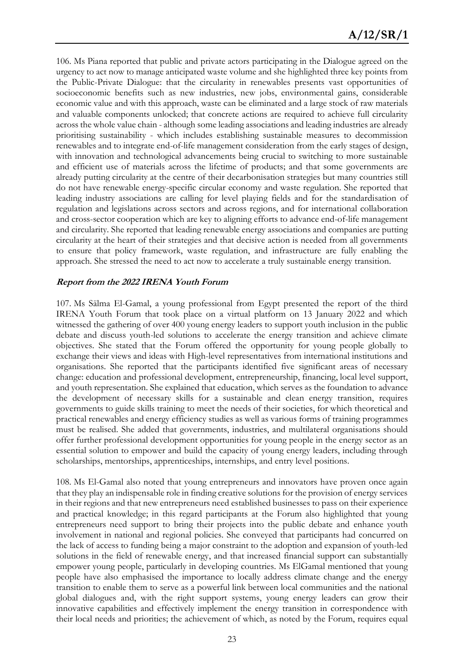106. Ms Piana reported that public and private actors participating in the Dialogue agreed on the urgency to act now to manage anticipated waste volume and she highlighted three key points from the Public-Private Dialogue: that the circularity in renewables presents vast opportunities of socioeconomic benefits such as new industries, new jobs, environmental gains, considerable economic value and with this approach, waste can be eliminated and a large stock of raw materials and valuable components unlocked; that concrete actions are required to achieve full circularity across the whole value chain - although some leading associations and leading industries are already prioritising sustainability - which includes establishing sustainable measures to decommission renewables and to integrate end-of-life management consideration from the early stages of design, with innovation and technological advancements being crucial to switching to more sustainable and efficient use of materials across the lifetime of products; and that some governments are already putting circularity at the centre of their decarbonisation strategies but many countries still do not have renewable energy-specific circular economy and waste regulation. She reported that leading industry associations are calling for level playing fields and for the standardisation of regulation and legislations across sectors and across regions, and for international collaboration and cross-sector cooperation which are key to aligning efforts to advance end-of-life management and circularity. She reported that leading renewable energy associations and companies are putting circularity at the heart of their strategies and that decisive action is needed from all governments to ensure that policy framework, waste regulation, and infrastructure are fully enabling the approach. She stressed the need to act now to accelerate a truly sustainable energy transition.

#### **Report from the 2022 IRENA Youth Forum**

107. Ms Sälma El-Gamal, a young professional from Egypt presented the report of the third IRENA Youth Forum that took place on a virtual platform on 13 January 2022 and which witnessed the gathering of over 400 young energy leaders to support youth inclusion in the public debate and discuss youth-led solutions to accelerate the energy transition and achieve climate objectives. She stated that the Forum offered the opportunity for young people globally to exchange their views and ideas with High-level representatives from international institutions and organisations. She reported that the participants identified five significant areas of necessary change: education and professional development, entrepreneurship, financing, local level support, and youth representation. She explained that education, which serves as the foundation to advance the development of necessary skills for a sustainable and clean energy transition, requires governments to guide skills training to meet the needs of their societies, for which theoretical and practical renewables and energy efficiency studies as well as various forms of training programmes must be realised. She added that governments, industries, and multilateral organisations should offer further professional development opportunities for young people in the energy sector as an essential solution to empower and build the capacity of young energy leaders, including through scholarships, mentorships, apprenticeships, internships, and entry level positions.

108. Ms El-Gamal also noted that young entrepreneurs and innovators have proven once again that they play an indispensable role in finding creative solutions for the provision of energy services in their regions and that new entrepreneurs need established businesses to pass on their experience and practical knowledge; in this regard participants at the Forum also highlighted that young entrepreneurs need support to bring their projects into the public debate and enhance youth involvement in national and regional policies. She conveyed that participants had concurred on the lack of access to funding being a major constraint to the adoption and expansion of youth-led solutions in the field of renewable energy, and that increased financial support can substantially empower young people, particularly in developing countries. Ms ElGamal mentioned that young people have also emphasised the importance to locally address climate change and the energy transition to enable them to serve as a powerful link between local communities and the national global dialogues and, with the right support systems, young energy leaders can grow their innovative capabilities and effectively implement the energy transition in correspondence with their local needs and priorities; the achievement of which, as noted by the Forum, requires equal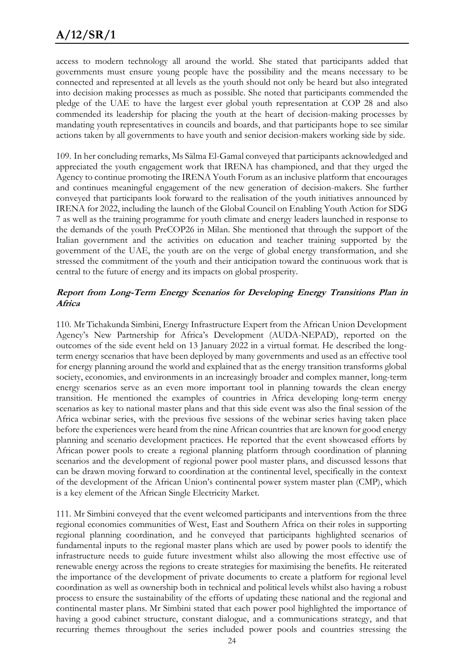access to modern technology all around the world. She stated that participants added that governments must ensure young people have the possibility and the means necessary to be connected and represented at all levels as the youth should not only be heard but also integrated into decision making processes as much as possible. She noted that participants commended the pledge of the UAE to have the largest ever global youth representation at COP 28 and also commended its leadership for placing the youth at the heart of decision-making processes by mandating youth representatives in councils and boards, and that participants hope to see similar actions taken by all governments to have youth and senior decision-makers working side by side.

109. In her concluding remarks, Ms Sälma El-Gamal conveyed that participants acknowledged and appreciated the youth engagement work that IRENA has championed, and that they urged the Agency to continue promoting the IRENA Youth Forum as an inclusive platform that encourages and continues meaningful engagement of the new generation of decision-makers. She further conveyed that participants look forward to the realisation of the youth initiatives announced by IRENA for 2022, including the launch of the Global Council on Enabling Youth Action for SDG 7 as well as the training programme for youth climate and energy leaders launched in response to the demands of the youth PreCOP26 in Milan. She mentioned that through the support of the Italian government and the activities on education and teacher training supported by the government of the UAE, the youth are on the verge of global energy transformation, and she stressed the commitment of the youth and their anticipation toward the continuous work that is central to the future of energy and its impacts on global prosperity.

#### **Report from Long-Term Energy Scenarios for Developing Energy Transitions Plan in Africa**

110. Mr Tichakunda Simbini, Energy Infrastructure Expert from the African Union Development Agency's New Partnership for Africa's Development (AUDA-NEPAD), reported on the outcomes of the side event held on 13 January 2022 in a virtual format. He described the longterm energy scenarios that have been deployed by many governments and used as an effective tool for energy planning around the world and explained that as the energy transition transforms global society, economies, and environments in an increasingly broader and complex manner, long-term energy scenarios serve as an even more important tool in planning towards the clean energy transition. He mentioned the examples of countries in Africa developing long-term energy scenarios as key to national master plans and that this side event was also the final session of the Africa webinar series, with the previous five sessions of the webinar series having taken place before the experiences were heard from the nine African countries that are known for good energy planning and scenario development practices. He reported that the event showcased efforts by African power pools to create a regional planning platform through coordination of planning scenarios and the development of regional power pool master plans, and discussed lessons that can be drawn moving forward to coordination at the continental level, specifically in the context of the development of the African Union's continental power system master plan (CMP), which is a key element of the African Single Electricity Market.

111. Mr Simbini conveyed that the event welcomed participants and interventions from the three regional economies communities of West, East and Southern Africa on their roles in supporting regional planning coordination, and he conveyed that participants highlighted scenarios of fundamental inputs to the regional master plans which are used by power pools to identify the infrastructure needs to guide future investment whilst also allowing the most effective use of renewable energy across the regions to create strategies for maximising the benefits. He reiterated the importance of the development of private documents to create a platform for regional level coordination as well as ownership both in technical and political levels whilst also having a robust process to ensure the sustainability of the efforts of updating these national and the regional and continental master plans. Mr Simbini stated that each power pool highlighted the importance of having a good cabinet structure, constant dialogue, and a communications strategy, and that recurring themes throughout the series included power pools and countries stressing the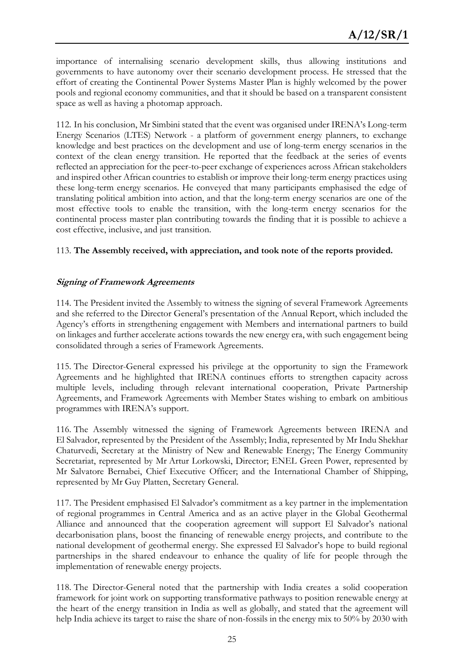importance of internalising scenario development skills, thus allowing institutions and governments to have autonomy over their scenario development process. He stressed that the effort of creating the Continental Power Systems Master Plan is highly welcomed by the power pools and regional economy communities, and that it should be based on a transparent consistent space as well as having a photomap approach.

112. In his conclusion, Mr Simbini stated that the event was organised under IRENA's Long-term Energy Scenarios (LTES) Network - a platform of government energy planners, to exchange knowledge and best practices on the development and use of long-term energy scenarios in the context of the clean energy transition. He reported that the feedback at the series of events reflected an appreciation for the peer-to-peer exchange of experiences across African stakeholders and inspired other African countries to establish or improve their long-term energy practices using these long-term energy scenarios. He conveyed that many participants emphasised the edge of translating political ambition into action, and that the long-term energy scenarios are one of the most effective tools to enable the transition, with the long-term energy scenarios for the continental process master plan contributing towards the finding that it is possible to achieve a cost effective, inclusive, and just transition.

#### 113. **The Assembly received, with appreciation, and took note of the reports provided.**

#### **Signing of Framework Agreements**

114. The President invited the Assembly to witness the signing of several Framework Agreements and she referred to the Director General's presentation of the Annual Report, which included the Agency's efforts in strengthening engagement with Members and international partners to build on linkages and further accelerate actions towards the new energy era, with such engagement being consolidated through a series of Framework Agreements.

115. The Director-General expressed his privilege at the opportunity to sign the Framework Agreements and he highlighted that IRENA continues efforts to strengthen capacity across multiple levels, including through relevant international cooperation, Private Partnership Agreements, and Framework Agreements with Member States wishing to embark on ambitious programmes with IRENA's support.

116. The Assembly witnessed the signing of Framework Agreements between IRENA and El Salvador, represented by the President of the Assembly; India, represented by Mr Indu Shekhar Chaturvedi, Secretary at the Ministry of New and Renewable Energy; The Energy Community Secretariat, represented by Mr Artur Lorkowski, Director; ENEL Green Power, represented by Mr Salvatore Bernabei, Chief Executive Officer; and the International Chamber of Shipping, represented by Mr Guy Platten, Secretary General.

117. The President emphasised El Salvador's commitment as a key partner in the implementation of regional programmes in Central America and as an active player in the Global Geothermal Alliance and announced that the cooperation agreement will support El Salvador's national decarbonisation plans, boost the financing of renewable energy projects, and contribute to the national development of geothermal energy. She expressed El Salvador's hope to build regional partnerships in the shared endeavour to enhance the quality of life for people through the implementation of renewable energy projects.

118. The Director-General noted that the partnership with India creates a solid cooperation framework for joint work on supporting transformative pathways to position renewable energy at the heart of the energy transition in India as well as globally, and stated that the agreement will help India achieve its target to raise the share of non-fossils in the energy mix to 50% by 2030 with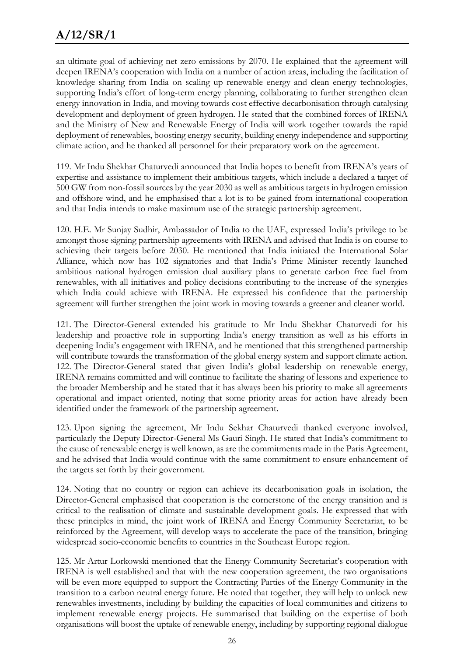an ultimate goal of achieving net zero emissions by 2070. He explained that the agreement will deepen IRENA's cooperation with India on a number of action areas, including the facilitation of knowledge sharing from India on scaling up renewable energy and clean energy technologies, supporting India's effort of long-term energy planning, collaborating to further strengthen clean energy innovation in India, and moving towards cost effective decarbonisation through catalysing development and deployment of green hydrogen. He stated that the combined forces of IRENA and the Ministry of New and Renewable Energy of India will work together towards the rapid deployment of renewables, boosting energy security, building energy independence and supporting climate action, and he thanked all personnel for their preparatory work on the agreement.

119. Mr Indu Shekhar Chaturvedi announced that India hopes to benefit from IRENA's years of expertise and assistance to implement their ambitious targets, which include a declared a target of 500 GW from non-fossil sources by the year 2030 as well as ambitious targets in hydrogen emission and offshore wind, and he emphasised that a lot is to be gained from international cooperation and that India intends to make maximum use of the strategic partnership agreement.

120. H.E. Mr Sunjay Sudhir, Ambassador of India to the UAE, expressed India's privilege to be amongst those signing partnership agreements with IRENA and advised that India is on course to achieving their targets before 2030. He mentioned that India initiated the International Solar Alliance, which now has 102 signatories and that India's Prime Minister recently launched ambitious national hydrogen emission dual auxiliary plans to generate carbon free fuel from renewables, with all initiatives and policy decisions contributing to the increase of the synergies which India could achieve with IRENA. He expressed his confidence that the partnership agreement will further strengthen the joint work in moving towards a greener and cleaner world.

121. The Director-General extended his gratitude to Mr Indu Shekhar Chaturvedi for his leadership and proactive role in supporting India's energy transition as well as his efforts in deepening India's engagement with IRENA, and he mentioned that this strengthened partnership will contribute towards the transformation of the global energy system and support climate action. 122. The Director-General stated that given India's global leadership on renewable energy, IRENA remains committed and will continue to facilitate the sharing of lessons and experience to the broader Membership and he stated that it has always been his priority to make all agreements operational and impact oriented, noting that some priority areas for action have already been identified under the framework of the partnership agreement.

123. Upon signing the agreement, Mr Indu Sekhar Chaturvedi thanked everyone involved, particularly the Deputy Director-General Ms Gauri Singh. He stated that India's commitment to the cause of renewable energy is well known, as are the commitments made in the Paris Agreement, and he advised that India would continue with the same commitment to ensure enhancement of the targets set forth by their government.

124. Noting that no country or region can achieve its decarbonisation goals in isolation, the Director-General emphasised that cooperation is the cornerstone of the energy transition and is critical to the realisation of climate and sustainable development goals. He expressed that with these principles in mind, the joint work of IRENA and Energy Community Secretariat, to be reinforced by the Agreement, will develop ways to accelerate the pace of the transition, bringing widespread socio-economic benefits to countries in the Southeast Europe region.

125. Mr Artur Lorkowski mentioned that the Energy Community Secretariat's cooperation with IRENA is well established and that with the new cooperation agreement, the two organisations will be even more equipped to support the Contracting Parties of the Energy Community in the transition to a carbon neutral energy future. He noted that together, they will help to unlock new renewables investments, including by building the capacities of local communities and citizens to implement renewable energy projects. He summarised that building on the expertise of both organisations will boost the uptake of renewable energy, including by supporting regional dialogue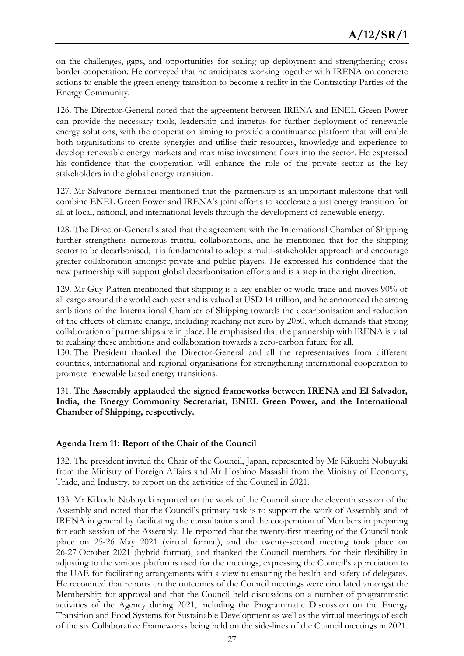on the challenges, gaps, and opportunities for scaling up deployment and strengthening cross border cooperation. He conveyed that he anticipates working together with IRENA on concrete actions to enable the green energy transition to become a reality in the Contracting Parties of the Energy Community.

126. The Director-General noted that the agreement between IRENA and ENEL Green Power can provide the necessary tools, leadership and impetus for further deployment of renewable energy solutions, with the cooperation aiming to provide a continuance platform that will enable both organisations to create synergies and utilise their resources, knowledge and experience to develop renewable energy markets and maximise investment flows into the sector. He expressed his confidence that the cooperation will enhance the role of the private sector as the key stakeholders in the global energy transition.

127. Mr Salvatore Bernabei mentioned that the partnership is an important milestone that will combine ENEL Green Power and IRENA's joint efforts to accelerate a just energy transition for all at local, national, and international levels through the development of renewable energy.

128. The Director-General stated that the agreement with the International Chamber of Shipping further strengthens numerous fruitful collaborations, and he mentioned that for the shipping sector to be decarbonised, it is fundamental to adopt a multi-stakeholder approach and encourage greater collaboration amongst private and public players. He expressed his confidence that the new partnership will support global decarbonisation efforts and is a step in the right direction.

129. Mr Guy Platten mentioned that shipping is a key enabler of world trade and moves 90% of all cargo around the world each year and is valued at USD 14 trillion, and he announced the strong ambitions of the International Chamber of Shipping towards the decarbonisation and reduction of the effects of climate change, including reaching net zero by 2050, which demands that strong collaboration of partnerships are in place. He emphasised that the partnership with IRENA is vital to realising these ambitions and collaboration towards a zero-carbon future for all.

130. The President thanked the Director-General and all the representatives from different countries, international and regional organisations for strengthening international cooperation to promote renewable based energy transitions.

131. **The Assembly applauded the signed frameworks between IRENA and El Salvador, India, the Energy Community Secretariat, ENEL Green Power, and the International Chamber of Shipping, respectively.** 

#### **Agenda Item 11: Report of the Chair of the Council**

132. The president invited the Chair of the Council, Japan, represented by Mr Kikuchi Nobuyuki from the Ministry of Foreign Affairs and Mr Hoshino Masashi from the Ministry of Economy, Trade, and Industry, to report on the activities of the Council in 2021.

133. Mr Kikuchi Nobuyuki reported on the work of the Council since the eleventh session of the Assembly and noted that the Council's primary task is to support the work of Assembly and of IRENA in general by facilitating the consultations and the cooperation of Members in preparing for each session of the Assembly. He reported that the twenty-first meeting of the Council took place on 25-26 May 2021 (virtual format), and the twenty-second meeting took place on 26-27 October 2021 (hybrid format), and thanked the Council members for their flexibility in adjusting to the various platforms used for the meetings, expressing the Council's appreciation to the UAE for facilitating arrangements with a view to ensuring the health and safety of delegates. He recounted that reports on the outcomes of the Council meetings were circulated amongst the Membership for approval and that the Council held discussions on a number of programmatic activities of the Agency during 2021, including the Programmatic Discussion on the Energy Transition and Food Systems for Sustainable Development as well as the virtual meetings of each of the six Collaborative Frameworks being held on the side-lines of the Council meetings in 2021.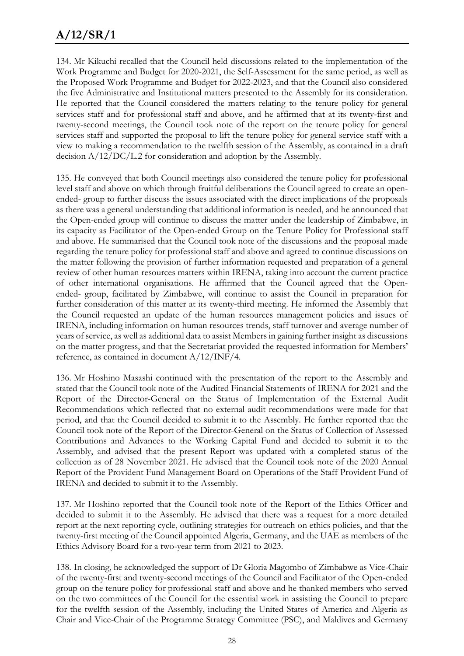# **A/12/SR/1**

134. Mr Kikuchi recalled that the Council held discussions related to the implementation of the Work Programme and Budget for 2020-2021, the Self-Assessment for the same period, as well as the Proposed Work Programme and Budget for 2022-2023, and that the Council also considered the five Administrative and Institutional matters presented to the Assembly for its consideration. He reported that the Council considered the matters relating to the tenure policy for general services staff and for professional staff and above, and he affirmed that at its twenty-first and twenty-second meetings, the Council took note of the report on the tenure policy for general services staff and supported the proposal to lift the tenure policy for general service staff with a view to making a recommendation to the twelfth session of the Assembly, as contained in a draft decision A/12/DC/L.2 for consideration and adoption by the Assembly.

135. He conveyed that both Council meetings also considered the tenure policy for professional level staff and above on which through fruitful deliberations the Council agreed to create an openended- group to further discuss the issues associated with the direct implications of the proposals as there was a general understanding that additional information is needed, and he announced that the Open-ended group will continue to discuss the matter under the leadership of Zimbabwe, in its capacity as Facilitator of the Open-ended Group on the Tenure Policy for Professional staff and above. He summarised that the Council took note of the discussions and the proposal made regarding the tenure policy for professional staff and above and agreed to continue discussions on the matter following the provision of further information requested and preparation of a general review of other human resources matters within IRENA, taking into account the current practice of other international organisations. He affirmed that the Council agreed that the Openended- group, facilitated by Zimbabwe, will continue to assist the Council in preparation for further consideration of this matter at its twenty-third meeting. He informed the Assembly that the Council requested an update of the human resources management policies and issues of IRENA, including information on human resources trends, staff turnover and average number of years of service, as well as additional data to assist Members in gaining further insight as discussions on the matter progress, and that the Secretariat provided the requested information for Members' reference, as contained in document A/12/INF/4.

136. Mr Hoshino Masashi continued with the presentation of the report to the Assembly and stated that the Council took note of the Audited Financial Statements of IRENA for 2021 and the Report of the Director-General on the Status of Implementation of the External Audit Recommendations which reflected that no external audit recommendations were made for that period, and that the Council decided to submit it to the Assembly. He further reported that the Council took note of the Report of the Director-General on the Status of Collection of Assessed Contributions and Advances to the Working Capital Fund and decided to submit it to the Assembly, and advised that the present Report was updated with a completed status of the collection as of 28 November 2021. He advised that the Council took note of the 2020 Annual Report of the Provident Fund Management Board on Operations of the Staff Provident Fund of IRENA and decided to submit it to the Assembly.

137. Mr Hoshino reported that the Council took note of the Report of the Ethics Officer and decided to submit it to the Assembly. He advised that there was a request for a more detailed report at the next reporting cycle, outlining strategies for outreach on ethics policies, and that the twenty-first meeting of the Council appointed Algeria, Germany, and the UAE as members of the Ethics Advisory Board for a two-year term from 2021 to 2023.

138. In closing, he acknowledged the support of Dr Gloria Magombo of Zimbabwe as Vice-Chair of the twenty-first and twenty-second meetings of the Council and Facilitator of the Open-ended group on the tenure policy for professional staff and above and he thanked members who served on the two committees of the Council for the essential work in assisting the Council to prepare for the twelfth session of the Assembly, including the United States of America and Algeria as Chair and Vice-Chair of the Programme Strategy Committee (PSC), and Maldives and Germany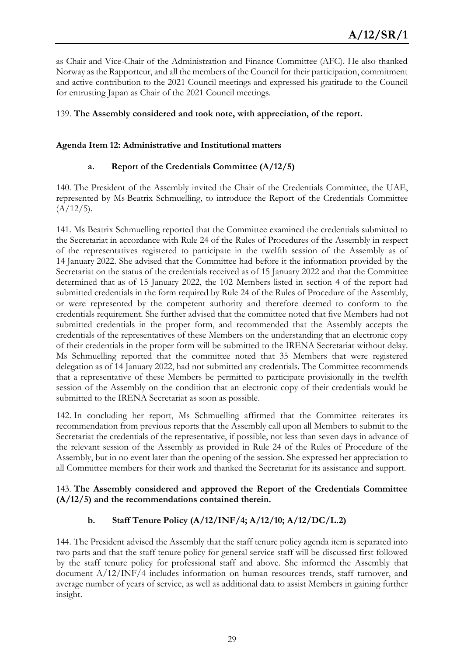as Chair and Vice-Chair of the Administration and Finance Committee (AFC). He also thanked Norway as the Rapporteur, and all the members of the Council for their participation, commitment and active contribution to the 2021 Council meetings and expressed his gratitude to the Council for entrusting Japan as Chair of the 2021 Council meetings.

#### 139. **The Assembly considered and took note, with appreciation, of the report.**

#### **Agenda Item 12: Administrative and Institutional matters**

### **a. Report of the Credentials Committee (A/12/5)**

140. The President of the Assembly invited the Chair of the Credentials Committee, the UAE, represented by Ms Beatrix Schmuelling, to introduce the Report of the Credentials Committee  $(A/12/5).$ 

141. Ms Beatrix Schmuelling reported that the Committee examined the credentials submitted to the Secretariat in accordance with Rule 24 of the Rules of Procedures of the Assembly in respect of the representatives registered to participate in the twelfth session of the Assembly as of 14 January 2022. She advised that the Committee had before it the information provided by the Secretariat on the status of the credentials received as of 15 January 2022 and that the Committee determined that as of 15 January 2022, the 102 Members listed in section 4 of the report had submitted credentials in the form required by Rule 24 of the Rules of Procedure of the Assembly, or were represented by the competent authority and therefore deemed to conform to the credentials requirement. She further advised that the committee noted that five Members had not submitted credentials in the proper form, and recommended that the Assembly accepts the credentials of the representatives of these Members on the understanding that an electronic copy of their credentials in the proper form will be submitted to the IRENA Secretariat without delay. Ms Schmuelling reported that the committee noted that 35 Members that were registered delegation as of 14 January 2022, had not submitted any credentials. The Committee recommends that a representative of these Members be permitted to participate provisionally in the twelfth session of the Assembly on the condition that an electronic copy of their credentials would be submitted to the IRENA Secretariat as soon as possible.

142. In concluding her report, Ms Schmuelling affirmed that the Committee reiterates its recommendation from previous reports that the Assembly call upon all Members to submit to the Secretariat the credentials of the representative, if possible, not less than seven days in advance of the relevant session of the Assembly as provided in Rule 24 of the Rules of Procedure of the Assembly, but in no event later than the opening of the session. She expressed her appreciation to all Committee members for their work and thanked the Secretariat for its assistance and support.

#### 143. **The Assembly considered and approved the Report of the Credentials Committee (A/12/5) and the recommendations contained therein.**

### **b. Staff Tenure Policy (A/12/INF/4; A/12/10; A/12/DC/L.2)**

144. The President advised the Assembly that the staff tenure policy agenda item is separated into two parts and that the staff tenure policy for general service staff will be discussed first followed by the staff tenure policy for professional staff and above. She informed the Assembly that document A/12/INF/4 includes information on human resources trends, staff turnover, and average number of years of service, as well as additional data to assist Members in gaining further insight.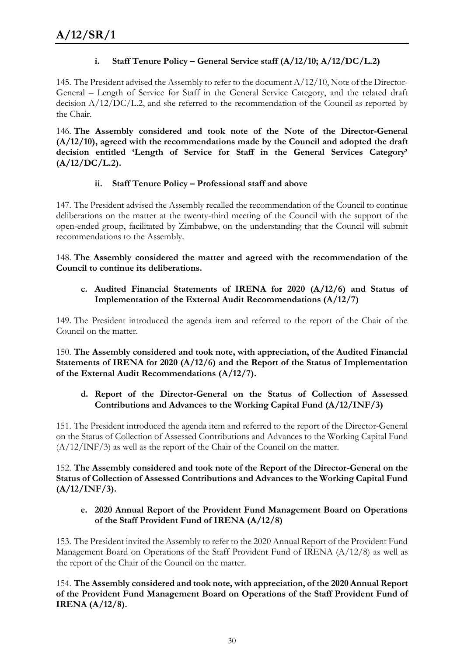### **i.** Staff Tenure Policy – General Service staff (A/12/10; A/12/DC/L.2)

145. The President advised the Assembly to refer to the document  $A/12/10$ , Note of the Director-General – Length of Service for Staff in the General Service Category, and the related draft decision A/12/DC/L.2, and she referred to the recommendation of the Council as reported by the Chair.

146. **The Assembly considered and took note of the Note of the Director-General (A/12/10), agreed with the recommendations made by the Council and adopted the draft decision entitled 'Length of Service for Staff in the General Services Category' (A/12/DC/L.2).** 

### **ii. Staff Tenure Policy – Professional staff and above**

147. The President advised the Assembly recalled the recommendation of the Council to continue deliberations on the matter at the twenty-third meeting of the Council with the support of the open-ended group, facilitated by Zimbabwe, on the understanding that the Council will submit recommendations to the Assembly.

148. **The Assembly considered the matter and agreed with the recommendation of the Council to continue its deliberations.**

#### **c. Audited Financial Statements of IRENA for 2020 (A/12/6) and Status of Implementation of the External Audit Recommendations (A/12/7)**

149. The President introduced the agenda item and referred to the report of the Chair of the Council on the matter.

150. **The Assembly considered and took note, with appreciation, of the Audited Financial Statements of IRENA for 2020 (A/12/6) and the Report of the Status of Implementation of the External Audit Recommendations (A/12/7).** 

#### **d. Report of the Director-General on the Status of Collection of Assessed Contributions and Advances to the Working Capital Fund (A/12/INF/3)**

151. The President introduced the agenda item and referred to the report of the Director-General on the Status of Collection of Assessed Contributions and Advances to the Working Capital Fund (A/12/INF/3) as well as the report of the Chair of the Council on the matter.

152. **The Assembly considered and took note of the Report of the Director-General on the Status of Collection of Assessed Contributions and Advances to the Working Capital Fund (A/12/INF/3).**

#### **e. 2020 Annual Report of the Provident Fund Management Board on Operations of the Staff Provident Fund of IRENA (A/12/8)**

153. The President invited the Assembly to refer to the 2020 Annual Report of the Provident Fund Management Board on Operations of the Staff Provident Fund of IRENA (A/12/8) as well as the report of the Chair of the Council on the matter.

154. **The Assembly considered and took note, with appreciation, of the 2020 Annual Report of the Provident Fund Management Board on Operations of the Staff Provident Fund of IRENA (A/12/8).**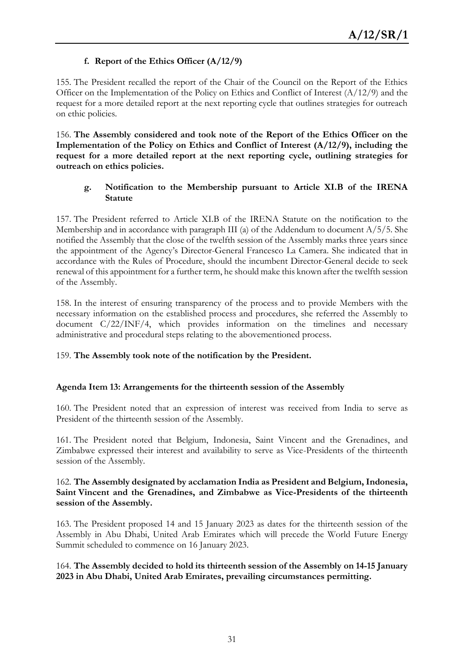### **f. Report of the Ethics Officer (A/12/9)**

155. The President recalled the report of the Chair of the Council on the Report of the Ethics Officer on the Implementation of the Policy on Ethics and Conflict of Interest (A/12/9) and the request for a more detailed report at the next reporting cycle that outlines strategies for outreach on ethic policies.

156. **The Assembly considered and took note of the Report of the Ethics Officer on the Implementation of the Policy on Ethics and Conflict of Interest (A/12/9), including the request for a more detailed report at the next reporting cycle, outlining strategies for outreach on ethics policies.** 

#### **g. Notification to the Membership pursuant to Article XI.B of the IRENA Statute**

157. The President referred to Article XI.B of the IRENA Statute on the notification to the Membership and in accordance with paragraph III (a) of the Addendum to document A/5/5. She notified the Assembly that the close of the twelfth session of the Assembly marks three years since the appointment of the Agency's Director-General Francesco La Camera. She indicated that in accordance with the Rules of Procedure, should the incumbent Director-General decide to seek renewal of this appointment for a further term, he should make this known after the twelfth session of the Assembly.

158. In the interest of ensuring transparency of the process and to provide Members with the necessary information on the established process and procedures, she referred the Assembly to document C/22/INF/4, which provides information on the timelines and necessary administrative and procedural steps relating to the abovementioned process.

#### 159. **The Assembly took note of the notification by the President.**

#### **Agenda Item 13: Arrangements for the thirteenth session of the Assembly**

160. The President noted that an expression of interest was received from India to serve as President of the thirteenth session of the Assembly.

161. The President noted that Belgium, Indonesia, Saint Vincent and the Grenadines, and Zimbabwe expressed their interest and availability to serve as Vice-Presidents of the thirteenth session of the Assembly.

#### 162. **The Assembly designated by acclamation India as President and Belgium, Indonesia, Saint Vincent and the Grenadines, and Zimbabwe as Vice-Presidents of the thirteenth session of the Assembly.**

163. The President proposed 14 and 15 January 2023 as dates for the thirteenth session of the Assembly in Abu Dhabi, United Arab Emirates which will precede the World Future Energy Summit scheduled to commence on 16 January 2023.

#### 164. **The Assembly decided to hold its thirteenth session of the Assembly on 14-15 January 2023 in Abu Dhabi, United Arab Emirates, prevailing circumstances permitting.**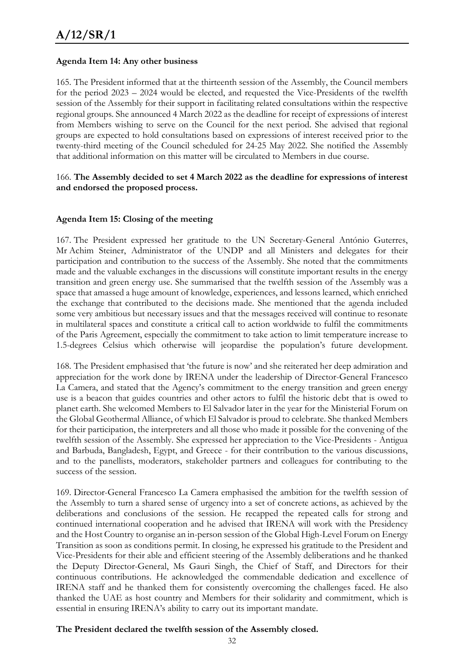#### **Agenda Item 14: Any other business**

165. The President informed that at the thirteenth session of the Assembly, the Council members for the period 2023 – 2024 would be elected, and requested the Vice-Presidents of the twelfth session of the Assembly for their support in facilitating related consultations within the respective regional groups. She announced 4 March 2022 as the deadline for receipt of expressions of interest from Members wishing to serve on the Council for the next period. She advised that regional groups are expected to hold consultations based on expressions of interest received prior to the twenty-third meeting of the Council scheduled for 24-25 May 2022. She notified the Assembly that additional information on this matter will be circulated to Members in due course.

#### 166. **The Assembly decided to set 4 March 2022 as the deadline for expressions of interest and endorsed the proposed process.**

#### **Agenda Item 15: Closing of the meeting**

167. The President expressed her gratitude to the UN Secretary-General António Guterres, Mr Achim Steiner, Administrator of the UNDP and all Ministers and delegates for their participation and contribution to the success of the Assembly. She noted that the commitments made and the valuable exchanges in the discussions will constitute important results in the energy transition and green energy use. She summarised that the twelfth session of the Assembly was a space that amassed a huge amount of knowledge, experiences, and lessons learned, which enriched the exchange that contributed to the decisions made. She mentioned that the agenda included some very ambitious but necessary issues and that the messages received will continue to resonate in multilateral spaces and constitute a critical call to action worldwide to fulfil the commitments of the Paris Agreement, especially the commitment to take action to limit temperature increase to 1.5-degrees Celsius which otherwise will jeopardise the population's future development.

168. The President emphasised that 'the future is now' and she reiterated her deep admiration and appreciation for the work done by IRENA under the leadership of Director-General Francesco La Camera, and stated that the Agency's commitment to the energy transition and green energy use is a beacon that guides countries and other actors to fulfil the historic debt that is owed to planet earth. She welcomed Members to El Salvador later in the year for the Ministerial Forum on the Global Geothermal Alliance, of which El Salvador is proud to celebrate. She thanked Members for their participation, the interpreters and all those who made it possible for the convening of the twelfth session of the Assembly. She expressed her appreciation to the Vice-Presidents - Antigua and Barbuda, Bangladesh, Egypt, and Greece - for their contribution to the various discussions, and to the panellists, moderators, stakeholder partners and colleagues for contributing to the success of the session.

169. Director-General Francesco La Camera emphasised the ambition for the twelfth session of the Assembly to turn a shared sense of urgency into a set of concrete actions, as achieved by the deliberations and conclusions of the session. He recapped the repeated calls for strong and continued international cooperation and he advised that IRENA will work with the Presidency and the Host Country to organise an in-person session of the Global High-Level Forum on Energy Transition as soon as conditions permit. In closing, he expressed his gratitude to the President and Vice-Presidents for their able and efficient steering of the Assembly deliberations and he thanked the Deputy Director-General, Ms Gauri Singh, the Chief of Staff, and Directors for their continuous contributions. He acknowledged the commendable dedication and excellence of IRENA staff and he thanked them for consistently overcoming the challenges faced. He also thanked the UAE as host country and Members for their solidarity and commitment, which is essential in ensuring IRENA's ability to carry out its important mandate.

#### **The President declared the twelfth session of the Assembly closed.**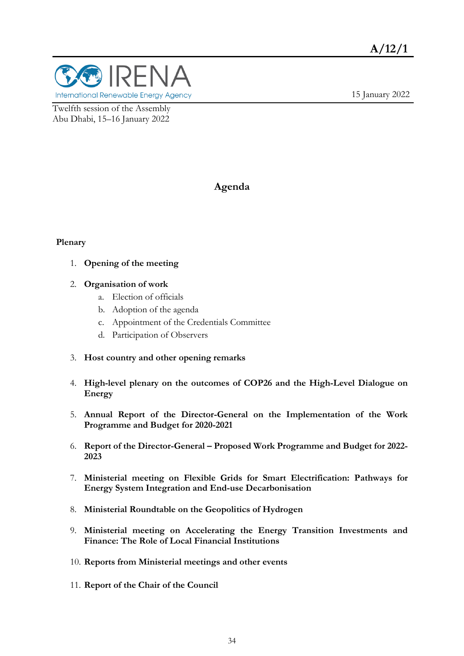

15 January 2022

Twelfth session of the Assembly Abu Dhabi, 15–16 January 2022

### **Agenda**

#### **Plenary**

- 1. **Opening of the meeting**
- 2. **Organisation of work**
	- a. Election of officials
	- b. Adoption of the agenda
	- c. Appointment of the Credentials Committee
	- d. Participation of Observers
- 3. **Host country and other opening remarks**
- 4. **High-level plenary on the outcomes of COP26 and the High-Level Dialogue on Energy**
- 5. **Annual Report of the Director-General on the Implementation of the Work Programme and Budget for 2020-2021**
- 6. **Report of the Director-General – Proposed Work Programme and Budget for 2022- 2023**
- 7. **Ministerial meeting on Flexible Grids for Smart Electrification: Pathways for Energy System Integration and End-use Decarbonisation**
- 8. **Ministerial Roundtable on the Geopolitics of Hydrogen**
- 9. **Ministerial meeting on Accelerating the Energy Transition Investments and Finance: The Role of Local Financial Institutions**
- 10. **Reports from Ministerial meetings and other events**
- 11. **Report of the Chair of the Council**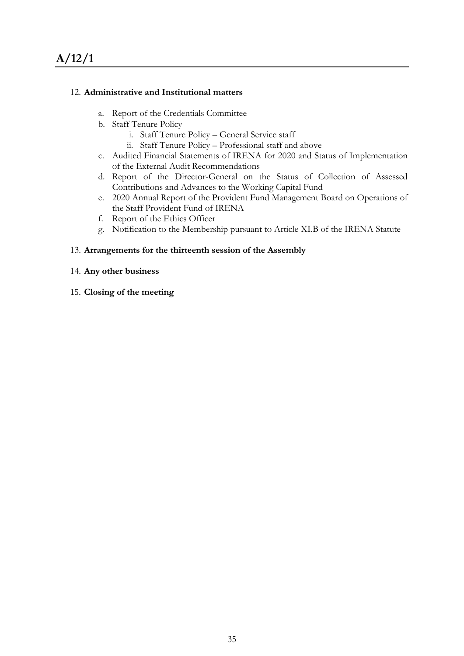#### 12. **Administrative and Institutional matters**

- a. Report of the Credentials Committee
- b. Staff Tenure Policy
	- i. Staff Tenure Policy General Service staff
	- ii. Staff Tenure Policy Professional staff and above
- c. Audited Financial Statements of IRENA for 2020 and Status of Implementation of the External Audit Recommendations
- d. Report of the Director-General on the Status of Collection of Assessed Contributions and Advances to the Working Capital Fund
- e. 2020 Annual Report of the Provident Fund Management Board on Operations of the Staff Provident Fund of IRENA
- f. Report of the Ethics Officer
- g. Notification to the Membership pursuant to Article XI.B of the IRENA Statute

#### 13. **Arrangements for the thirteenth session of the Assembly**

- 14. **Any other business**
- 15. **Closing of the meeting**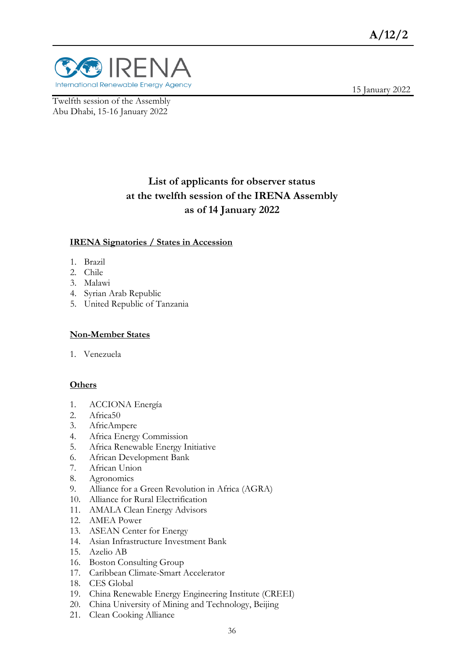

Twelfth session of the Assembly Abu Dhabi, 15-16 January 2022

15 January 2022

# **List of applicants for observer status at the twelfth session of the IRENA Assembly as of 14 January 2022**

#### **IRENA Signatories / States in Accession**

- 1. Brazil
- 2. Chile
- 3. Malawi
- 4. Syrian Arab Republic
- 5. United Republic of Tanzania

#### **Non-Member States**

1. Venezuela

#### **Others**

- 1. ACCIONA Energía
- 2. Africa50
- 3. AfricAmpere
- 4. Africa Energy Commission
- 5. Africa Renewable Energy Initiative
- 6. African Development Bank
- 7. African Union
- 8. Agronomics
- 9. Alliance for a Green Revolution in Africa (AGRA)
- 10. Alliance for Rural Electrification
- 11. AMALA Clean Energy Advisors
- 12. AMEA Power
- 13. ASEAN Center for Energy
- 14. Asian Infrastructure Investment Bank
- 15. Azelio AB
- 16. Boston Consulting Group
- 17. Caribbean Climate-Smart Accelerator
- 18. CES Global
- 19. China Renewable Energy Engineering Institute (CREEI)
- 20. China University of Mining and Technology, Beijing
- 21. Clean Cooking Alliance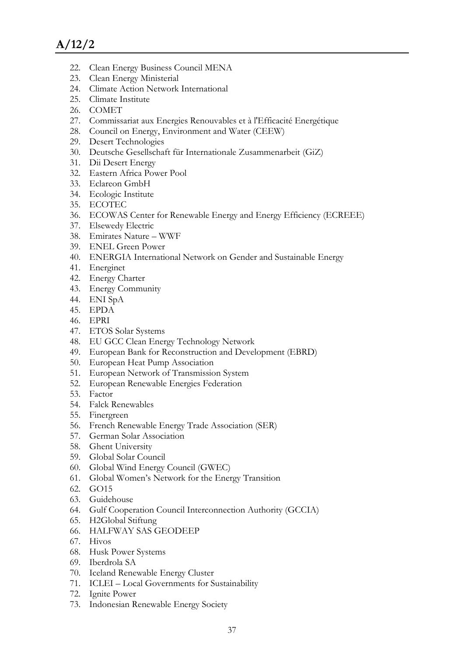- 22. Clean Energy Business Council MENA
- 23. Clean Energy Ministerial
- 24. Climate Action Network International
- 25. Climate Institute
- 26. COMET
- 27. Commissariat aux Energies Renouvables et à l'Efficacité Energétique
- 28. Council on Energy, Environment and Water (CEEW)
- 29. Desert Technologies
- 30. Deutsche Gesellschaft für Internationale Zusammenarbeit (GiZ)
- 31. Dii Desert Energy
- 32. Eastern Africa Power Pool
- 33. Eclareon GmbH
- 34. Ecologic Institute
- 35. ECOTEC
- 36. ECOWAS Center for Renewable Energy and Energy Efficiency (ECREEE)
- 37. Elsewedy Electric
- 38. Emirates Nature WWF
- 39. ENEL Green Power
- 40. ENERGIA International Network on Gender and Sustainable Energy
- 41. Energinet
- 42. Energy Charter
- 43. Energy Community
- 44. ENI SpA
- 45. EPDA
- 46. EPRI
- 47. ETOS Solar Systems
- 48. EU GCC Clean Energy Technology Network
- 49. European Bank for Reconstruction and Development (EBRD)
- 50. European Heat Pump Association
- 51. European Network of Transmission System
- 52. European Renewable Energies Federation
- 53. Factor
- 54. Falck Renewables
- 55. Finergreen
- 56. French Renewable Energy Trade Association (SER)
- 57. German Solar Association
- 58. Ghent University
- 59. Global Solar Council
- 60. Global Wind Energy Council (GWEC)
- 61. Global Women's Network for the Energy Transition
- 62. GO15
- 63. Guidehouse
- 64. Gulf Cooperation Council Interconnection Authority (GCCIA)
- 65. H2Global Stiftung
- 66. HALFWAY SAS GEODEEP
- 67. Hivos
- 68. Husk Power Systems
- 69. Iberdrola SA
- 70. Iceland Renewable Energy Cluster
- 71. ICLEI Local Governments for Sustainability
- 72. Ignite Power
- 73. Indonesian Renewable Energy Society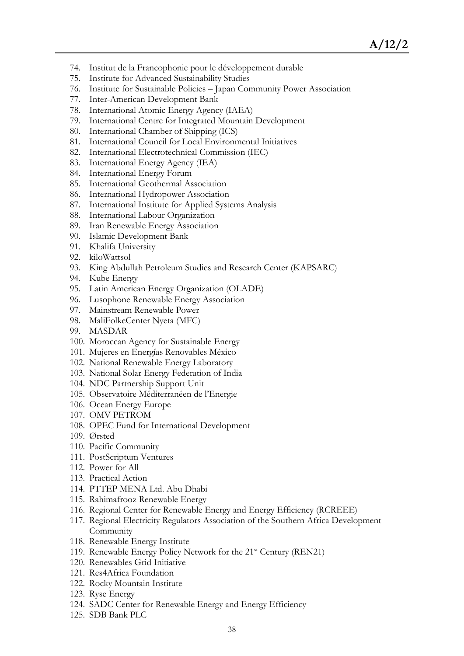- 74. Institut de la Francophonie pour le développement durable
- 75. Institute for Advanced Sustainability Studies
- 76. Institute for Sustainable Policies Japan Community Power Association
- 77. Inter-American Development Bank
- 78. International Atomic Energy Agency (IAEA)
- 79. International Centre for Integrated Mountain Development
- 80. International Chamber of Shipping (ICS)
- 81. International Council for Local Environmental Initiatives
- 82. International Electrotechnical Commission (IEC)
- 83. International Energy Agency (IEA)
- 84. International Energy Forum
- 85. International Geothermal Association
- 86. International Hydropower Association
- 87. International Institute for Applied Systems Analysis
- 88. International Labour Organization
- 89. Iran Renewable Energy Association
- 90. Islamic Development Bank
- 91. Khalifa University
- 92. kiloWattsol
- 93. King Abdullah Petroleum Studies and Research Center (KAPSARC)
- 94. Kube Energy
- 95. Latin American Energy Organization (OLADE)
- 96. Lusophone Renewable Energy Association
- 97. Mainstream Renewable Power
- 98. MaliFolkeCenter Nyeta (MFC)
- 99. MASDAR
- 100. Moroccan Agency for Sustainable Energy
- 101. Mujeres en Energías Renovables México
- 102. National Renewable Energy Laboratory
- 103. National Solar Energy Federation of India
- 104. NDC Partnership Support Unit
- 105. Observatoire Méditerranéen de l'Energie
- 106. Ocean Energy Europe
- 107. OMV PETROM
- 108. OPEC Fund for International Development
- 109. Ørsted
- 110. Pacific Community
- 111. PostScriptum Ventures
- 112. Power for All
- 113. Practical Action
- 114. PTTEP MENA Ltd. Abu Dhabi
- 115. Rahimafrooz Renewable Energy
- 116. Regional Center for Renewable Energy and Energy Efficiency (RCREEE)
- 117. Regional Electricity Regulators Association of the Southern Africa Development **Community**
- 118. Renewable Energy Institute
- 119. Renewable Energy Policy Network for the 21<sup>st</sup> Century (REN21)
- 120. Renewables Grid Initiative
- 121. Res4Africa Foundation
- 122. Rocky Mountain Institute
- 123. Ryse Energy
- 124. SADC Center for Renewable Energy and Energy Efficiency
- 125. SDB Bank PLC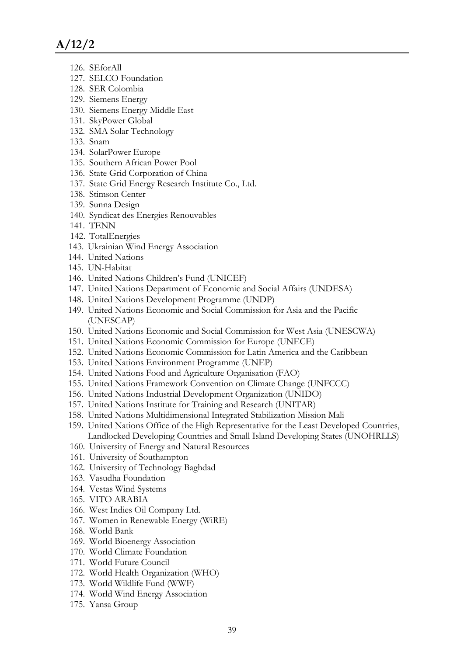- 126. SEforAll
- 127. SELCO Foundation
- 128. SER Colombia
- 129. Siemens Energy
- 130. Siemens Energy Middle East
- 131. SkyPower Global
- 132. SMA Solar Technology
- 133. Snam
- 134. SolarPower Europe
- 135. Southern African Power Pool
- 136. State Grid Corporation of China
- 137. State Grid Energy Research Institute Co., Ltd.
- 138. Stimson Center
- 139. Sunna Design
- 140. Syndicat des Energies Renouvables
- 141. TENN
- 142. TotalEnergies
- 143. Ukrainian Wind Energy Association
- 144. United Nations
- 145. UN-Habitat
- 146. United Nations Children's Fund (UNICEF)
- 147. United Nations Department of Economic and Social Affairs (UNDESA)
- 148. United Nations Development Programme (UNDP)
- 149. United Nations Economic and Social Commission for Asia and the Pacific (UNESCAP)
- 150. United Nations Economic and Social Commission for West Asia (UNESCWA)
- 151. United Nations Economic Commission for Europe (UNECE)
- 152. United Nations Economic Commission for Latin America and the Caribbean
- 153. United Nations Environment Programme (UNEP)
- 154. United Nations Food and Agriculture Organisation (FAO)
- 155. United Nations Framework Convention on Climate Change (UNFCCC)
- 156. United Nations Industrial Development Organization (UNIDO)
- 157. United Nations Institute for Training and Research (UNITAR)
- 158. United Nations Multidimensional Integrated Stabilization Mission Mali
- 159. United Nations Office of the High Representative for the Least Developed Countries, Landlocked Developing Countries and Small Island Developing States (UNOHRLLS)
- 160. University of Energy and Natural Resources
- 161. University of Southampton
- 162. University of Technology Baghdad
- 163. Vasudha Foundation
- 164. Vestas Wind Systems
- 165. VITO ARABIA
- 166. West Indies Oil Company Ltd.
- 167. Women in Renewable Energy (WiRE)
- 168. World Bank
- 169. World Bioenergy Association
- 170. World Climate Foundation
- 171. World Future Council
- 172. World Health Organization (WHO)
- 173. World Wildlife Fund (WWF)
- 174. World Wind Energy Association
- 175. Yansa Group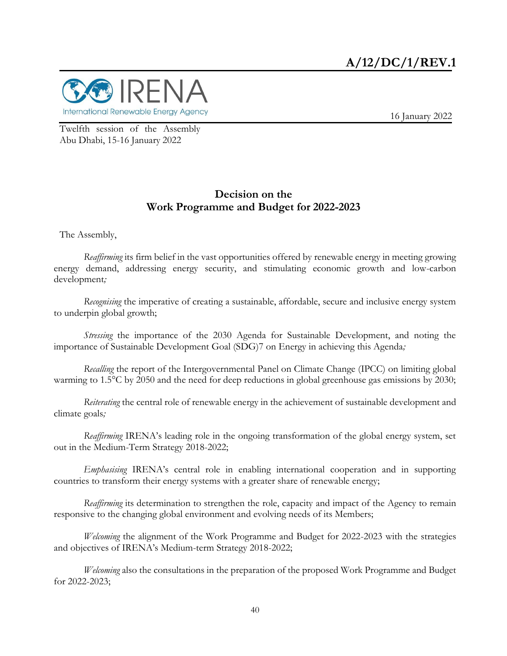

16 January 2022

Twelfth session of the Assembly Abu Dhabi, 15-16 January 2022

#### **Decision on the Work Programme and Budget for 2022-2023**

The Assembly,

*Reaffirming* its firm belief in the vast opportunities offered by renewable energy in meeting growing energy demand, addressing energy security, and stimulating economic growth and low-carbon development*;* 

*Recognising* the imperative of creating a sustainable, affordable, secure and inclusive energy system to underpin global growth;

*Stressing* the importance of the 2030 Agenda for Sustainable Development, and noting the importance of Sustainable Development Goal (SDG)7 on Energy in achieving this Agenda*;* 

*Recalling* the report of the Intergovernmental Panel on Climate Change (IPCC) on limiting global warming to 1.5°C by 2050 and the need for deep reductions in global greenhouse gas emissions by 2030;

*Reiterating* the central role of renewable energy in the achievement of sustainable development and climate goals*;* 

*Reaffirming* IRENA's leading role in the ongoing transformation of the global energy system, set out in the Medium-Term Strategy 2018-2022;

*Emphasising* IRENA's central role in enabling international cooperation and in supporting countries to transform their energy systems with a greater share of renewable energy;

*Reaffirming* its determination to strengthen the role, capacity and impact of the Agency to remain responsive to the changing global environment and evolving needs of its Members;

*Welcoming* the alignment of the Work Programme and Budget for 2022-2023 with the strategies and objectives of IRENA's Medium-term Strategy 2018-2022;

*Welcoming* also the consultations in the preparation of the proposed Work Programme and Budget for 2022-2023;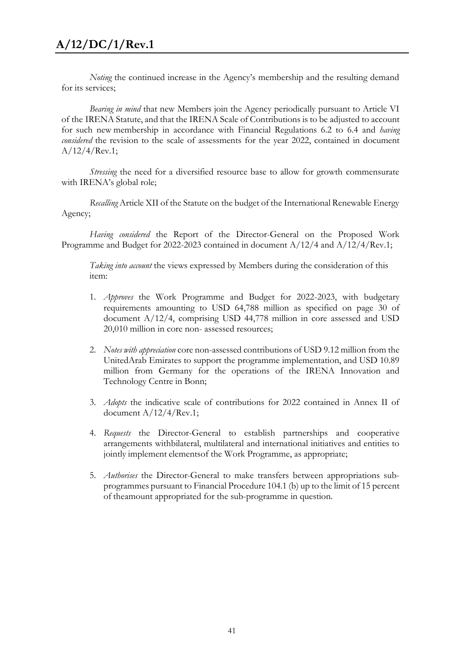*Noting* the continued increase in the Agency's membership and the resulting demand for its services;

*Bearing in mind* that new Members join the Agency periodically pursuant to Article VI of the IRENA Statute, and that the IRENA Scale of Contributions is to be adjusted to account for such new membership in accordance with Financial Regulations 6.2 to 6.4 and *having considered* the revision to the scale of assessments for the year 2022, contained in document  $A/12/4/$ Rev.1;

*Stressing* the need for a diversified resource base to allow for growth commensurate with IRENA's global role;

*Recalling* Article XII of the Statute on the budget of the International Renewable Energy Agency;

*Having considered* the Report of the Director-General on the Proposed Work Programme and Budget for 2022-2023 contained in document  $A/12/4$  and  $A/12/4/$ Rev.1;

*Taking into account* the views expressed by Members during the consideration of this item:

- 1. *Approves* the Work Programme and Budget for 2022-2023, with budgetary requirements amounting to USD 64,788 million as specified on page 30 of document A/12/4, comprising USD 44,778 million in core assessed and USD 20,010 million in core non- assessed resources;
- 2. *Notes with appreciation* core non-assessed contributions of USD 9.12 million from the UnitedArab Emirates to support the programme implementation, and USD 10.89 million from Germany for the operations of the IRENA Innovation and Technology Centre in Bonn;
- 3. *Adopts* the indicative scale of contributions for 2022 contained in Annex II of document A/12/4/Rev.1;
- 4. *Requests* the Director-General to establish partnerships and cooperative arrangements withbilateral, multilateral and international initiatives and entities to jointly implement elementsof the Work Programme, as appropriate;
- 5. *Authorises* the Director-General to make transfers between appropriations subprogrammes pursuant to Financial Procedure 104.1 (b) up to the limit of 15 percent of theamount appropriated for the sub-programme in question.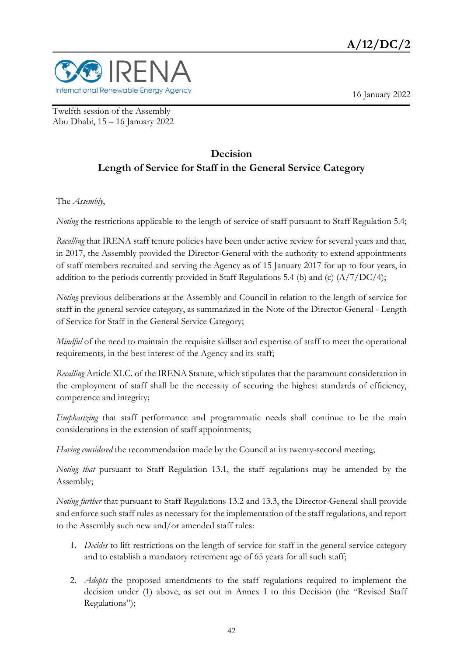

16 January 2022

Twelfth session of the Assembly Abu Dhabi, 15 – 16 January 2022

## **Decision Length of Service for Staff in the General Service Category**

The *Assembly*,

*Noting* the restrictions applicable to the length of service of staff pursuant to Staff Regulation 5.4;

*Recalling* that IRENA staff tenure policies have been under active review for several years and that, in 2017, the Assembly provided the Director-General with the authority to extend appointments of staff members recruited and serving the Agency as of 15 January 2017 for up to four years, in addition to the periods currently provided in Staff Regulations 5.4 (b) and (c) (A/7/DC/4);

*Noting* previous deliberations at the Assembly and Council in relation to the length of service for staff in the general service category, as summarized in the Note of the Director-General - Length of Service for Staff in the General Service Category;

*Mindful* of the need to maintain the requisite skillset and expertise of staff to meet the operational requirements, in the best interest of the Agency and its staff;

*Recalling* Article XI.C. of the IRENA Statute, which stipulates that the paramount consideration in the employment of staff shall be the necessity of securing the highest standards of efficiency, competence and integrity;

*Emphasizing* that staff performance and programmatic needs shall continue to be the main considerations in the extension of staff appointments;

*Having considered* the recommendation made by the Council at its twenty-second meeting;

*Noting that* pursuant to Staff Regulation 13.1, the staff regulations may be amended by the Assembly;

*Noting further* that pursuant to Staff Regulations 13.2 and 13.3, the Director-General shall provide and enforce such staff rules as necessary for the implementation of the staff regulations, and report to the Assembly such new and/or amended staff rules:

- 1. *Decides* to lift restrictions on the length of service for staff in the general service category and to establish a mandatory retirement age of 65 years for all such staff;
- 2. *Adopts* the proposed amendments to the staff regulations required to implement the decision under (1) above, as set out in Annex I to this Decision (the "Revised Staff Regulations");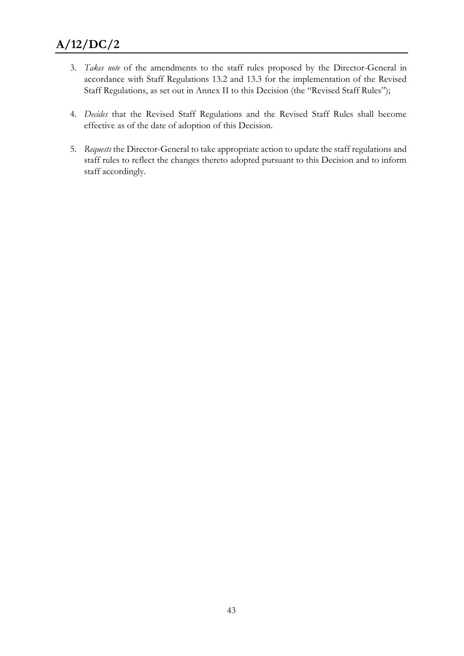- 3. *Takes note* of the amendments to the staff rules proposed by the Director-General in accordance with Staff Regulations 13.2 and 13.3 for the implementation of the Revised Staff Regulations, as set out in Annex II to this Decision (the "Revised Staff Rules");
- 4. *Decides* that the Revised Staff Regulations and the Revised Staff Rules shall become effective as of the date of adoption of this Decision.
- 5. *Requests* the Director-General to take appropriate action to update the staff regulations and staff rules to reflect the changes thereto adopted pursuant to this Decision and to inform staff accordingly.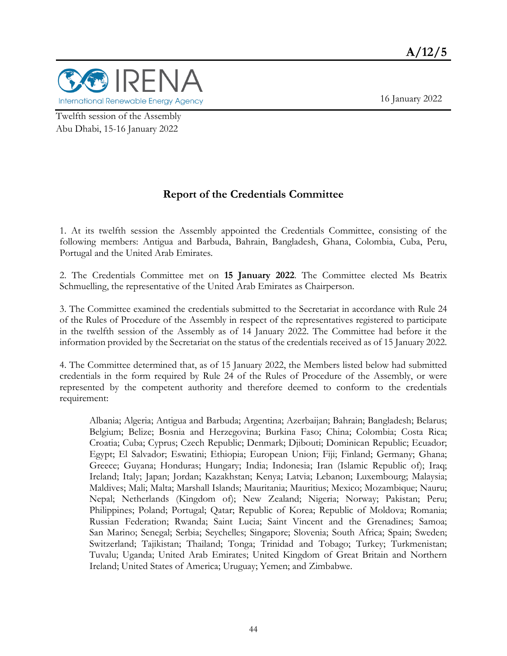

Twelfth session of the Assembly Abu Dhabi, 15-16 January 2022

### **Report of the Credentials Committee**

1. At its twelfth session the Assembly appointed the Credentials Committee, consisting of the following members: Antigua and Barbuda, Bahrain, Bangladesh, Ghana, Colombia, Cuba, Peru, Portugal and the United Arab Emirates.

2. The Credentials Committee met on **15 January 2022**. The Committee elected Ms Beatrix Schmuelling, the representative of the United Arab Emirates as Chairperson.

3. The Committee examined the credentials submitted to the Secretariat in accordance with Rule 24 of the Rules of Procedure of the Assembly in respect of the representatives registered to participate in the twelfth session of the Assembly as of 14 January 2022. The Committee had before it the information provided by the Secretariat on the status of the credentials received as of 15 January 2022.

4. The Committee determined that, as of 15 January 2022, the Members listed below had submitted credentials in the form required by Rule 24 of the Rules of Procedure of the Assembly, or were represented by the competent authority and therefore deemed to conform to the credentials requirement:

Albania; Algeria; Antigua and Barbuda; Argentina; Azerbaijan; Bahrain; Bangladesh; Belarus; Belgium; Belize; Bosnia and Herzegovina; Burkina Faso; China; Colombia; Costa Rica; Croatia; Cuba; Cyprus; Czech Republic; Denmark; Djibouti; Dominican Republic; Ecuador; Egypt; El Salvador; Eswatini; Ethiopia; European Union; Fiji; Finland; Germany; Ghana; Greece; Guyana; Honduras; Hungary; India; Indonesia; Iran (Islamic Republic of); Iraq; Ireland; Italy; Japan; Jordan; Kazakhstan; Kenya; Latvia; Lebanon; Luxembourg; Malaysia; Maldives; Mali; Malta; Marshall Islands; Mauritania; Mauritius; Mexico; Mozambique; Nauru; Nepal; Netherlands (Kingdom of); New Zealand; Nigeria; Norway; Pakistan; Peru; Philippines; Poland; Portugal; Qatar; Republic of Korea; Republic of Moldova; Romania; Russian Federation; Rwanda; Saint Lucia; Saint Vincent and the Grenadines; Samoa; San Marino; Senegal; Serbia; Seychelles; Singapore; Slovenia; South Africa; Spain; Sweden; Switzerland; Tajikistan; Thailand; Tonga; Trinidad and Tobago; Turkey; Turkmenistan; Tuvalu; Uganda; United Arab Emirates; United Kingdom of Great Britain and Northern Ireland; United States of America; Uruguay; Yemen; and Zimbabwe.

16 January 2022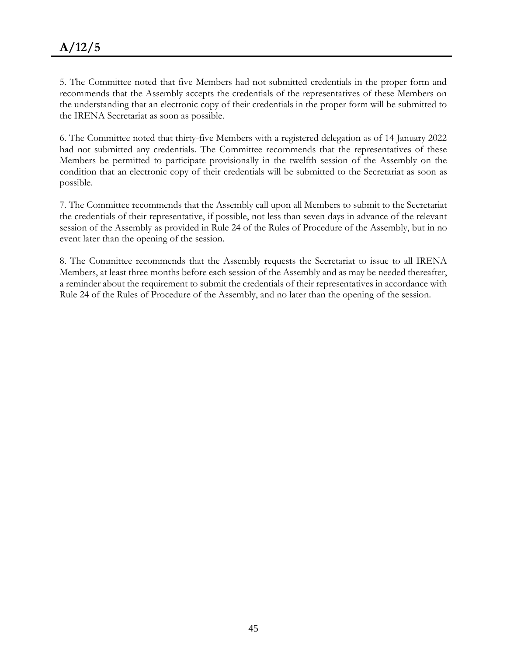5. The Committee noted that five Members had not submitted credentials in the proper form and recommends that the Assembly accepts the credentials of the representatives of these Members on the understanding that an electronic copy of their credentials in the proper form will be submitted to the IRENA Secretariat as soon as possible.

6. The Committee noted that thirty-five Members with a registered delegation as of 14 January 2022 had not submitted any credentials. The Committee recommends that the representatives of these Members be permitted to participate provisionally in the twelfth session of the Assembly on the condition that an electronic copy of their credentials will be submitted to the Secretariat as soon as possible.

7. The Committee recommends that the Assembly call upon all Members to submit to the Secretariat the credentials of their representative, if possible, not less than seven days in advance of the relevant session of the Assembly as provided in Rule 24 of the Rules of Procedure of the Assembly, but in no event later than the opening of the session.

8. The Committee recommends that the Assembly requests the Secretariat to issue to all IRENA Members, at least three months before each session of the Assembly and as may be needed thereafter, a reminder about the requirement to submit the credentials of their representatives in accordance with Rule 24 of the Rules of Procedure of the Assembly, and no later than the opening of the session.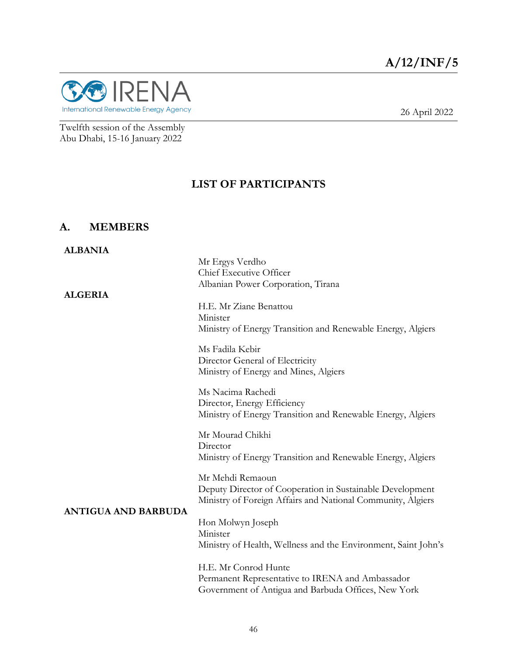

26 April 2022

Twelfth session of the Assembly Abu Dhabi, 15-16 January 2022

### **LIST OF PARTICIPANTS**

### **A. MEMBERS**

| <b>ALBANIA</b>             |                                                                                                                                                                                                  |
|----------------------------|--------------------------------------------------------------------------------------------------------------------------------------------------------------------------------------------------|
|                            | Mr Ergys Verdho                                                                                                                                                                                  |
|                            | Chief Executive Officer                                                                                                                                                                          |
|                            | Albanian Power Corporation, Tirana                                                                                                                                                               |
| <b>ALGERIA</b>             | H.E. Mr Ziane Benattou<br>Minister<br>Ministry of Energy Transition and Renewable Energy, Algiers<br>Ms Fadila Kebir<br>Director General of Electricity<br>Ministry of Energy and Mines, Algiers |
|                            | Ms Nacima Rachedi<br>Director, Energy Efficiency<br>Ministry of Energy Transition and Renewable Energy, Algiers                                                                                  |
|                            | Mr Mourad Chikhi<br>Director<br>Ministry of Energy Transition and Renewable Energy, Algiers                                                                                                      |
| <b>ANTIGUA AND BARBUDA</b> | Mr Mehdi Remaoun<br>Deputy Director of Cooperation in Sustainable Development<br>Ministry of Foreign Affairs and National Community, Algiers                                                     |
|                            | Hon Molwyn Joseph<br>Minister<br>Ministry of Health, Wellness and the Environment, Saint John's                                                                                                  |
|                            | H.E. Mr Conrod Hunte<br>Permanent Representative to IRENA and Ambassador<br>Government of Antigua and Barbuda Offices, New York                                                                  |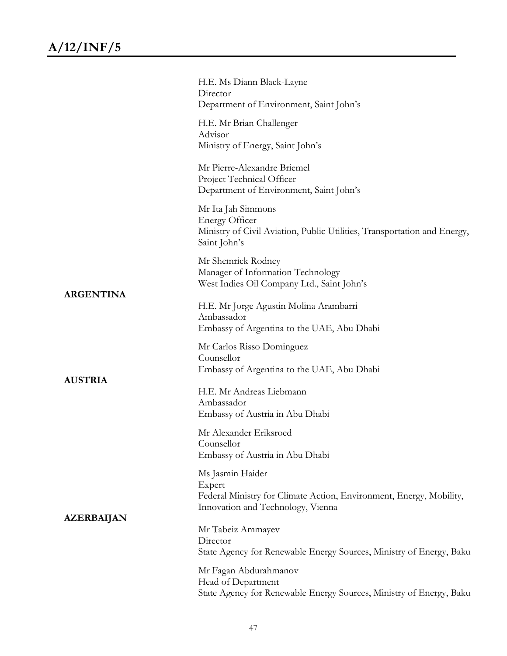|                   | H.E. Ms Diann Black-Layne<br>Director<br>Department of Environment, Saint John's                                                        |
|-------------------|-----------------------------------------------------------------------------------------------------------------------------------------|
|                   | H.E. Mr Brian Challenger<br>Advisor<br>Ministry of Energy, Saint John's                                                                 |
|                   | Mr Pierre-Alexandre Briemel<br>Project Technical Officer<br>Department of Environment, Saint John's                                     |
|                   | Mr Ita Jah Simmons<br><b>Energy Officer</b><br>Ministry of Civil Aviation, Public Utilities, Transportation and Energy,<br>Saint John's |
|                   | Mr Shemrick Rodney<br>Manager of Information Technology<br>West Indies Oil Company Ltd., Saint John's                                   |
| <b>ARGENTINA</b>  | H.E. Mr Jorge Agustin Molina Arambarri<br>Ambassador<br>Embassy of Argentina to the UAE, Abu Dhabi                                      |
|                   | Mr Carlos Risso Dominguez<br>Counsellor<br>Embassy of Argentina to the UAE, Abu Dhabi                                                   |
| <b>AUSTRIA</b>    | H.E. Mr Andreas Liebmann<br>Ambassador<br>Embassy of Austria in Abu Dhabi                                                               |
| <b>AZERBAIJAN</b> | Mr Alexander Eriksroed<br>Counsellor<br>Embassy of Austria in Abu Dhabi                                                                 |
|                   | Ms Jasmin Haider<br>Expert<br>Federal Ministry for Climate Action, Environment, Energy, Mobility,<br>Innovation and Technology, Vienna  |
|                   | Mr Tabeiz Ammayev<br>Director<br>State Agency for Renewable Energy Sources, Ministry of Energy, Baku                                    |
|                   | Mr Fagan Abdurahmanov<br>Head of Department<br>State Agency for Renewable Energy Sources, Ministry of Energy, Baku                      |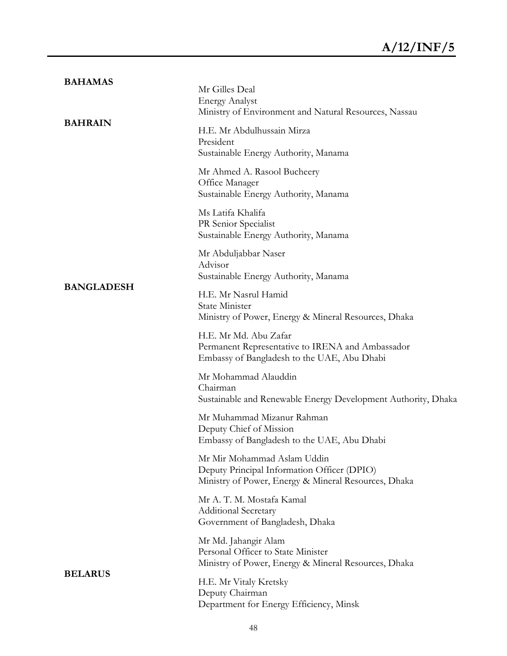| <b>BAHAMAS</b>    | Mr Gilles Deal<br><b>Energy Analyst</b><br>Ministry of Environment and Natural Resources, Nassau                                   |
|-------------------|------------------------------------------------------------------------------------------------------------------------------------|
| <b>BAHRAIN</b>    | H.E. Mr Abdulhussain Mirza<br>President<br>Sustainable Energy Authority, Manama                                                    |
|                   | Mr Ahmed A. Rasool Bucheery<br>Office Manager<br>Sustainable Energy Authority, Manama                                              |
|                   | Ms Latifa Khalifa<br>PR Senior Specialist<br>Sustainable Energy Authority, Manama                                                  |
| <b>BANGLADESH</b> | Mr Abduljabbar Naser<br>Advisor<br>Sustainable Energy Authority, Manama                                                            |
|                   | H.E. Mr Nasrul Hamid<br><b>State Minister</b><br>Ministry of Power, Energy & Mineral Resources, Dhaka                              |
|                   | H.E. Mr Md. Abu Zafar<br>Permanent Representative to IRENA and Ambassador<br>Embassy of Bangladesh to the UAE, Abu Dhabi           |
|                   | Mr Mohammad Alauddin<br>Chairman<br>Sustainable and Renewable Energy Development Authority, Dhaka                                  |
|                   | Mr Muhammad Mizanur Rahman<br>Deputy Chief of Mission<br>Embassy of Bangladesh to the UAE, Abu Dhabi                               |
|                   | Mr Mir Mohammad Aslam Uddin<br>Deputy Principal Information Officer (DPIO)<br>Ministry of Power, Energy & Mineral Resources, Dhaka |
|                   | Mr A. T. M. Mostafa Kamal<br><b>Additional Secretary</b><br>Government of Bangladesh, Dhaka                                        |
| <b>BELARUS</b>    | Mr Md. Jahangir Alam<br>Personal Officer to State Minister<br>Ministry of Power, Energy & Mineral Resources, Dhaka                 |
|                   | H.E. Mr Vitaly Kretsky<br>Deputy Chairman<br>Department for Energy Efficiency, Minsk                                               |
|                   |                                                                                                                                    |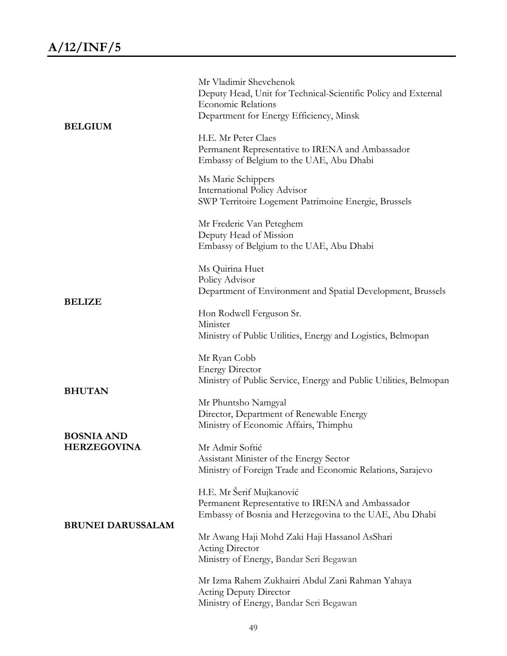| <b>BELGIUM</b>                          | Mr Vladimir Shevchenok<br>Deputy Head, Unit for Technical-Scientific Policy and External<br><b>Economic Relations</b><br>Department for Energy Efficiency, Minsk |
|-----------------------------------------|------------------------------------------------------------------------------------------------------------------------------------------------------------------|
|                                         | H.E. Mr Peter Claes<br>Permanent Representative to IRENA and Ambassador<br>Embassy of Belgium to the UAE, Abu Dhabi                                              |
|                                         | Ms Marie Schippers<br><b>International Policy Advisor</b><br>SWP Territoire Logement Patrimoine Energie, Brussels                                                |
|                                         | Mr Frederic Van Peteghem<br>Deputy Head of Mission<br>Embassy of Belgium to the UAE, Abu Dhabi                                                                   |
| <b>BELIZE</b>                           | Ms Quirina Huet<br>Policy Advisor<br>Department of Environment and Spatial Development, Brussels                                                                 |
|                                         | Hon Rodwell Ferguson Sr.<br>Minister<br>Ministry of Public Utilities, Energy and Logistics, Belmopan                                                             |
|                                         | Mr Ryan Cobb<br><b>Energy Director</b><br>Ministry of Public Service, Energy and Public Utilities, Belmopan                                                      |
| <b>BHUTAN</b>                           | Mr Phuntsho Namgyal<br>Director, Department of Renewable Energy<br>Ministry of Economic Affairs, Thimphu                                                         |
| <b>BOSNIA AND</b><br><b>HERZEGOVINA</b> | Mr Admir Softić<br>Assistant Minister of the Energy Sector<br>Ministry of Foreign Trade and Economic Relations, Sarajevo                                         |
| <b>BRUNEI DARUSSALAM</b>                | H.E. Mr Šerif Mujkanović<br>Permanent Representative to IRENA and Ambassador<br>Embassy of Bosnia and Herzegovina to the UAE, Abu Dhabi                          |
|                                         | Mr Awang Haji Mohd Zaki Haji Hassanol AsShari<br>Acting Director<br>Ministry of Energy, Bandar Seri Begawan                                                      |
|                                         | Mr Izma Rahem Zukhairri Abdul Zani Rahman Yahaya<br><b>Acting Deputy Director</b><br>Ministry of Energy, Bandar Seri Begawan                                     |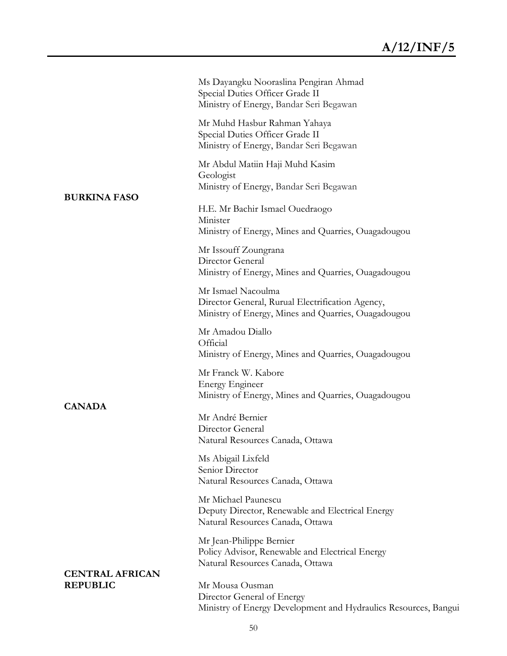|                                           | Ms Dayangku Nooraslina Pengiran Ahmad<br>Special Duties Officer Grade II<br>Ministry of Energy, Bandar Seri Begawan           |
|-------------------------------------------|-------------------------------------------------------------------------------------------------------------------------------|
|                                           | Mr Muhd Hasbur Rahman Yahaya<br>Special Duties Officer Grade II<br>Ministry of Energy, Bandar Seri Begawan                    |
|                                           | Mr Abdul Matiin Haji Muhd Kasim<br>Geologist<br>Ministry of Energy, Bandar Seri Begawan                                       |
| <b>BURKINA FASO</b>                       | H.E. Mr Bachir Ismael Ouedraogo<br>Minister<br>Ministry of Energy, Mines and Quarries, Ouagadougou                            |
|                                           | Mr Issouff Zoungrana<br>Director General<br>Ministry of Energy, Mines and Quarries, Ouagadougou                               |
|                                           | Mr Ismael Nacoulma<br>Director General, Rurual Electrification Agency,<br>Ministry of Energy, Mines and Quarries, Ouagadougou |
|                                           | Mr Amadou Diallo<br>Official<br>Ministry of Energy, Mines and Quarries, Ouagadougou                                           |
| <b>CANADA</b>                             | Mr Franck W. Kabore<br><b>Energy Engineer</b><br>Ministry of Energy, Mines and Quarries, Ouagadougou                          |
|                                           | Mr André Bernier<br>Director General<br>Natural Resources Canada, Ottawa                                                      |
|                                           | Ms Abigail Lixfeld<br>Senior Director<br>Natural Resources Canada, Ottawa                                                     |
|                                           | Mr Michael Paunescu<br>Deputy Director, Renewable and Electrical Energy<br>Natural Resources Canada, Ottawa                   |
|                                           | Mr Jean-Philippe Bernier<br>Policy Advisor, Renewable and Electrical Energy<br>Natural Resources Canada, Ottawa               |
| <b>CENTRAL AFRICAN</b><br><b>REPUBLIC</b> | Mr Mousa Ousman<br>Director General of Energy<br>Ministry of Energy Development and Hydraulics Resources, Bangui              |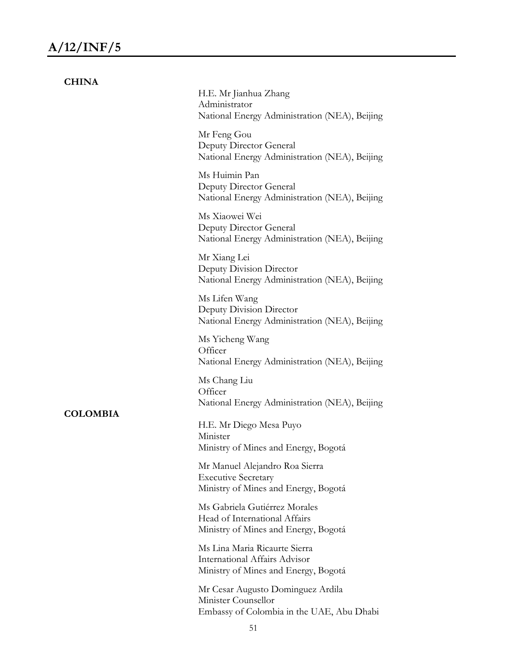| <b>CHINA</b>    |                                                                                                        |
|-----------------|--------------------------------------------------------------------------------------------------------|
|                 | H.E. Mr Jianhua Zhang<br>Administrator<br>National Energy Administration (NEA), Beijing                |
|                 | Mr Feng Gou<br>Deputy Director General<br>National Energy Administration (NEA), Beijing                |
|                 | Ms Huimin Pan<br>Deputy Director General<br>National Energy Administration (NEA), Beijing              |
|                 | Ms Xiaowei Wei<br>Deputy Director General<br>National Energy Administration (NEA), Beijing             |
|                 | Mr Xiang Lei<br>Deputy Division Director<br>National Energy Administration (NEA), Beijing              |
|                 | Ms Lifen Wang<br>Deputy Division Director<br>National Energy Administration (NEA), Beijing             |
|                 | Ms Yicheng Wang<br>Officer<br>National Energy Administration (NEA), Beijing                            |
|                 | Ms Chang Liu<br>Officer<br>National Energy Administration (NEA), Beijing                               |
| <b>COLOMBIA</b> | H.E. Mr Diego Mesa Puyo<br>Minister<br>Ministry of Mines and Energy, Bogotá                            |
|                 | Mr Manuel Alejandro Roa Sierra<br><b>Executive Secretary</b><br>Ministry of Mines and Energy, Bogotá   |
|                 | Ms Gabriela Gutiérrez Morales<br>Head of International Affairs<br>Ministry of Mines and Energy, Bogotá |
|                 | Ms Lina Maria Ricaurte Sierra<br>International Affairs Advisor<br>Ministry of Mines and Energy, Bogotá |
|                 | Mr Cesar Augusto Dominguez Ardila<br>Minister Counsellor<br>Embassy of Colombia in the UAE, Abu Dhabi  |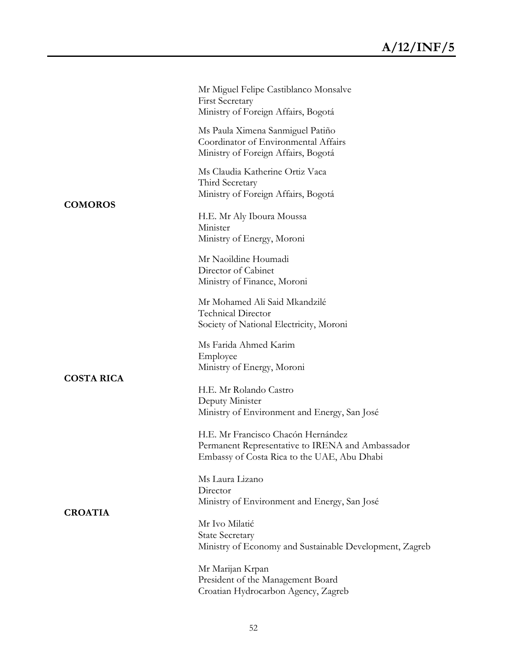|                   | Mr Miguel Felipe Castiblanco Monsalve<br><b>First Secretary</b><br>Ministry of Foreign Affairs, Bogotá                                |
|-------------------|---------------------------------------------------------------------------------------------------------------------------------------|
|                   | Ms Paula Ximena Sanmiguel Patiño<br>Coordinator of Environmental Affairs<br>Ministry of Foreign Affairs, Bogotá                       |
| <b>COMOROS</b>    | Ms Claudia Katherine Ortiz Vaca<br>Third Secretary<br>Ministry of Foreign Affairs, Bogotá                                             |
|                   | H.E. Mr Aly Iboura Moussa<br>Minister<br>Ministry of Energy, Moroni                                                                   |
|                   | Mr Naoildine Houmadi<br>Director of Cabinet<br>Ministry of Finance, Moroni                                                            |
|                   | Mr Mohamed Ali Said Mkandzilé<br><b>Technical Director</b><br>Society of National Electricity, Moroni                                 |
|                   | Ms Farida Ahmed Karim<br>Employee<br>Ministry of Energy, Moroni                                                                       |
| <b>COSTA RICA</b> | H.E. Mr Rolando Castro<br>Deputy Minister<br>Ministry of Environment and Energy, San José                                             |
|                   | H.E. Mr Francisco Chacón Hernández<br>Permanent Representative to IRENA and Ambassador<br>Embassy of Costa Rica to the UAE, Abu Dhabi |
|                   | Ms Laura Lizano<br>Director<br>Ministry of Environment and Energy, San José                                                           |
| <b>CROATIA</b>    | Mr Ivo Milatić<br><b>State Secretary</b><br>Ministry of Economy and Sustainable Development, Zagreb                                   |
|                   | Mr Marijan Krpan<br>President of the Management Board<br>Croatian Hydrocarbon Agency, Zagreb                                          |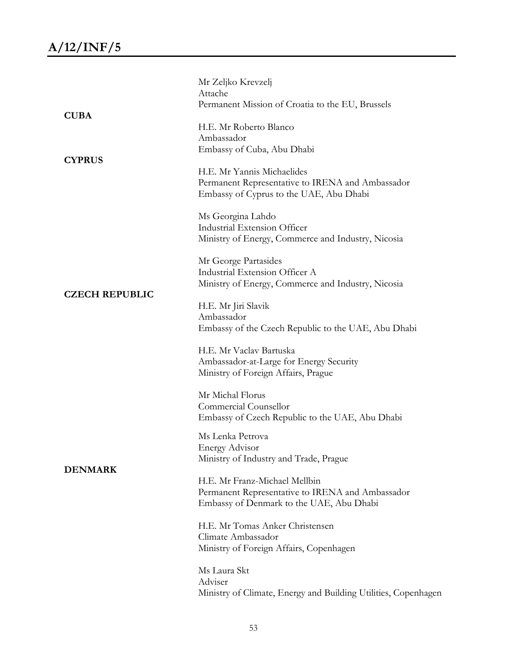|                       | Mr Zeljko Krevzelj<br>Attache                                                                                                 |
|-----------------------|-------------------------------------------------------------------------------------------------------------------------------|
|                       | Permanent Mission of Croatia to the EU, Brussels                                                                              |
| <b>CUBA</b>           | H.E. Mr Roberto Blanco<br>Ambassador                                                                                          |
| <b>CYPRUS</b>         | Embassy of Cuba, Abu Dhabi                                                                                                    |
|                       | H.E. Mr Yannis Michaelides<br>Permanent Representative to IRENA and Ambassador<br>Embassy of Cyprus to the UAE, Abu Dhabi     |
|                       | Ms Georgina Lahdo<br>Industrial Extension Officer<br>Ministry of Energy, Commerce and Industry, Nicosia                       |
|                       | Mr George Partasides<br>Industrial Extension Officer A<br>Ministry of Energy, Commerce and Industry, Nicosia                  |
| <b>CZECH REPUBLIC</b> | H.E. Mr Jiri Slavik<br>Ambassador<br>Embassy of the Czech Republic to the UAE, Abu Dhabi                                      |
|                       | H.E. Mr Vaclav Bartuska<br>Ambassador-at-Large for Energy Security<br>Ministry of Foreign Affairs, Prague                     |
|                       | Mr Michal Florus<br>Commercial Counsellor<br>Embassy of Czech Republic to the UAE, Abu Dhabi                                  |
| <b>DENMARK</b>        | Ms Lenka Petrova<br><b>Energy Advisor</b><br>Ministry of Industry and Trade, Prague                                           |
|                       | H.E. Mr Franz-Michael Mellbin<br>Permanent Representative to IRENA and Ambassador<br>Embassy of Denmark to the UAE, Abu Dhabi |
|                       | H.E. Mr Tomas Anker Christensen<br>Climate Ambassador<br>Ministry of Foreign Affairs, Copenhagen                              |
|                       | Ms Laura Skt<br>Adviser<br>Ministry of Climate, Energy and Building Utilities, Copenhagen                                     |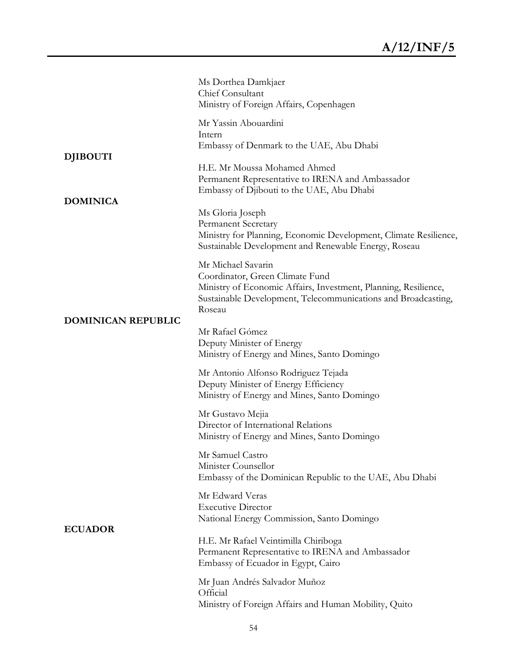|                           | Ms Dorthea Damkjaer<br>Chief Consultant<br>Ministry of Foreign Affairs, Copenhagen                                                                                                                  |
|---------------------------|-----------------------------------------------------------------------------------------------------------------------------------------------------------------------------------------------------|
|                           | Mr Yassin Abouardini<br>Intern<br>Embassy of Denmark to the UAE, Abu Dhabi                                                                                                                          |
| <b>DJIBOUTI</b>           | H.E. Mr Moussa Mohamed Ahmed<br>Permanent Representative to IRENA and Ambassador<br>Embassy of Djibouti to the UAE, Abu Dhabi                                                                       |
| <b>DOMINICA</b>           | Ms Gloria Joseph<br><b>Permanent Secretary</b><br>Ministry for Planning, Economic Development, Climate Resilience,<br>Sustainable Development and Renewable Energy, Roseau                          |
| <b>DOMINICAN REPUBLIC</b> | Mr Michael Savarin<br>Coordinator, Green Climate Fund<br>Ministry of Economic Affairs, Investment, Planning, Resilience,<br>Sustainable Development, Telecommunications and Broadcasting,<br>Roseau |
|                           | Mr Rafael Gómez<br>Deputy Minister of Energy<br>Ministry of Energy and Mines, Santo Domingo                                                                                                         |
|                           | Mr Antonio Alfonso Rodriguez Tejada<br>Deputy Minister of Energy Efficiency<br>Ministry of Energy and Mines, Santo Domingo                                                                          |
|                           | Mr Gustavo Mejia<br>Director of International Relations<br>Ministry of Energy and Mines, Santo Domingo                                                                                              |
|                           | Mr Samuel Castro<br>Minister Counsellor<br>Embassy of the Dominican Republic to the UAE, Abu Dhabi                                                                                                  |
| <b>ECUADOR</b>            | Mr Edward Veras<br><b>Executive Director</b><br>National Energy Commission, Santo Domingo                                                                                                           |
|                           | H.E. Mr Rafael Veintimilla Chiriboga<br>Permanent Representative to IRENA and Ambassador<br>Embassy of Ecuador in Egypt, Cairo                                                                      |
|                           | Mr Juan Andrés Salvador Muñoz<br>Official<br>Ministry of Foreign Affairs and Human Mobility, Quito                                                                                                  |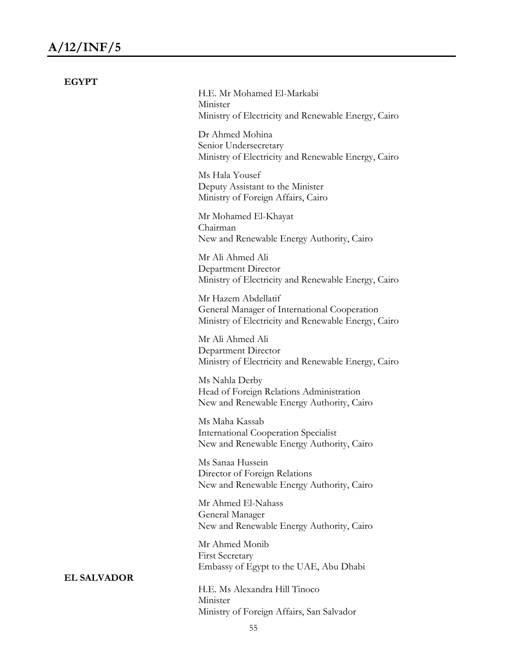| <b>EGYPT</b>       |                                                                                                                            |
|--------------------|----------------------------------------------------------------------------------------------------------------------------|
|                    | H.E. Mr Mohamed El-Markabi<br>Minister<br>Ministry of Electricity and Renewable Energy, Cairo                              |
|                    | Dr Ahmed Mohina<br>Senior Undersecretary<br>Ministry of Electricity and Renewable Energy, Cairo                            |
|                    | Ms Hala Yousef<br>Deputy Assistant to the Minister<br>Ministry of Foreign Affairs, Cairo                                   |
|                    | Mr Mohamed El-Khayat<br>Chairman<br>New and Renewable Energy Authority, Cairo                                              |
|                    | Mr Ali Ahmed Ali<br>Department Director<br>Ministry of Electricity and Renewable Energy, Cairo                             |
|                    | Mr Hazem Abdellatif<br>General Manager of International Cooperation<br>Ministry of Electricity and Renewable Energy, Cairo |
|                    | Mr Ali Ahmed Ali<br>Department Director<br>Ministry of Electricity and Renewable Energy, Cairo                             |
|                    | Ms Nahla Derby<br>Head of Foreign Relations Administration<br>New and Renewable Energy Authority, Cairo                    |
|                    | Ms Maha Kassab<br><b>International Cooperation Specialist</b><br>New and Renewable Energy Authority, Cairo                 |
|                    | Ms Sanaa Hussein<br>Director of Foreign Relations<br>New and Renewable Energy Authority, Cairo                             |
|                    | Mr Ahmed El-Nahass<br>General Manager<br>New and Renewable Energy Authority, Cairo                                         |
|                    | Mr Ahmed Monib<br><b>First Secretary</b><br>Embassy of Egypt to the UAE, Abu Dhabi                                         |
| <b>EL SALVADOR</b> | H.E. Ms Alexandra Hill Tinoco<br>Minister                                                                                  |

Ministry of Foreign Affairs, San Salvador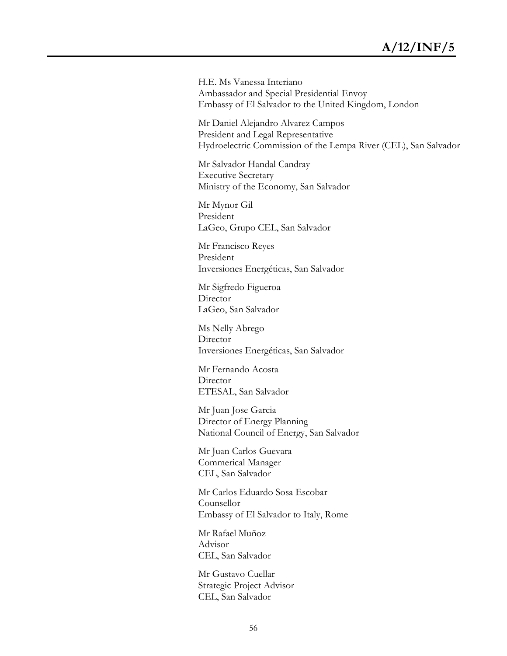H.E. Ms Vanessa Interiano Ambassador and Special Presidential Envoy Embassy of El Salvador to the United Kingdom, London

Mr Daniel Alejandro Alvarez Campos President and Legal Representative Hydroelectric Commission of the Lempa River (CEL), San Salvador

Mr Salvador Handal Candray Executive Secretary Ministry of the Economy, San Salvador

Mr Mynor Gil President LaGeo, Grupo CEL, San Salvador

Mr Francisco Reyes President Inversiones Energéticas, San Salvador

Mr Sigfredo Figueroa Director LaGeo, San Salvador

Ms Nelly Abrego Director Inversiones Energéticas, San Salvador

Mr Fernando Acosta Director ETESAL, San Salvador

Mr Juan Jose Garcia Director of Energy Planning National Council of Energy, San Salvador

Mr Juan Carlos Guevara Commerical Manager CEL, San Salvador

Mr Carlos Eduardo Sosa Escobar Counsellor Embassy of El Salvador to Italy, Rome

Mr Rafael Muñoz Advisor CEL, San Salvador

Mr Gustavo Cuellar Strategic Project Advisor CEL, San Salvador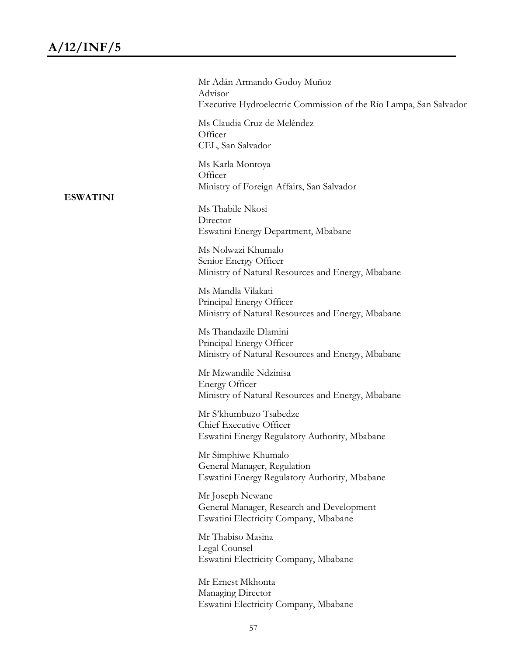| <b>ESWATINI</b> | Mr Adán Armando Godoy Muñoz<br>Advisor<br>Executive Hydroelectric Commission of the Río Lampa, San Salvador |
|-----------------|-------------------------------------------------------------------------------------------------------------|
|                 | Ms Claudia Cruz de Meléndez<br>Officer<br>CEL, San Salvador                                                 |
|                 | Ms Karla Montoya<br>Officer<br>Ministry of Foreign Affairs, San Salvador                                    |
|                 | Ms Thabile Nkosi<br>Director<br>Eswatini Energy Department, Mbabane                                         |
|                 | Ms Nolwazi Khumalo<br>Senior Energy Officer<br>Ministry of Natural Resources and Energy, Mbabane            |
|                 | Ms Mandla Vilakati<br>Principal Energy Officer<br>Ministry of Natural Resources and Energy, Mbabane         |
|                 | Ms Thandazile Dlamini<br>Principal Energy Officer<br>Ministry of Natural Resources and Energy, Mbabane      |
|                 | Mr Mzwandile Ndzinisa<br><b>Energy Officer</b><br>Ministry of Natural Resources and Energy, Mbabane         |
|                 | Mr S'khumbuzo Tsabedze<br>Chief Executive Officer<br>Eswatini Energy Regulatory Authority, Mbabane          |
|                 | Mr Simphiwe Khumalo<br>General Manager, Regulation<br>Eswatini Energy Regulatory Authority, Mbabane         |
|                 | Mr Joseph Ncwane<br>General Manager, Research and Development<br>Eswatini Electricity Company, Mbabane      |
|                 | Mr Thabiso Masina<br>Legal Counsel<br>Eswatini Electricity Company, Mbabane                                 |
|                 | Mr Ernest Mkhonta<br>Managing Director<br>Eswatini Electricity Company, Mbabane                             |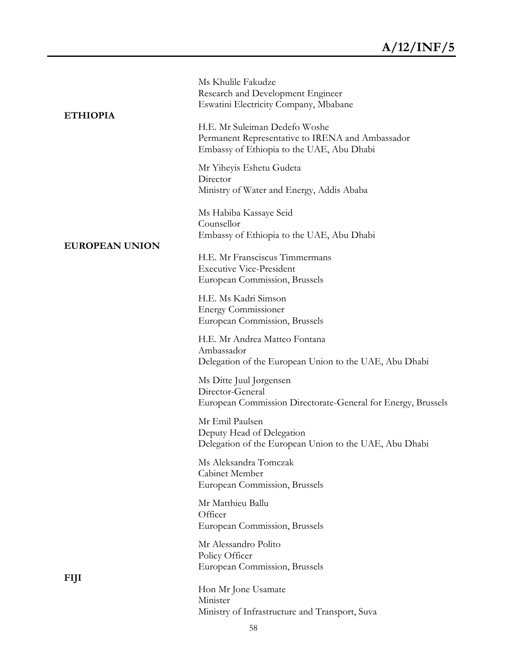| <b>ETHIOPIA</b>       | Ms Khulile Fakudze<br>Research and Development Engineer<br>Eswatini Electricity Company, Mbabane                               |
|-----------------------|--------------------------------------------------------------------------------------------------------------------------------|
|                       | H.E. Mr Suleiman Dedefo Woshe<br>Permanent Representative to IRENA and Ambassador<br>Embassy of Ethiopia to the UAE, Abu Dhabi |
|                       | Mr Yiheyis Eshetu Gudeta<br>Director<br>Ministry of Water and Energy, Addis Ababa                                              |
| <b>EUROPEAN UNION</b> | Ms Habiba Kassaye Seid<br>Counsellor<br>Embassy of Ethiopia to the UAE, Abu Dhabi                                              |
|                       | H.E. Mr Fransciscus Timmermans<br><b>Executive Vice-President</b><br>European Commission, Brussels                             |
|                       | H.E. Ms Kadri Simson<br><b>Energy Commissioner</b><br>European Commission, Brussels                                            |
|                       | H.E. Mr Andrea Matteo Fontana<br>Ambassador<br>Delegation of the European Union to the UAE, Abu Dhabi                          |
|                       | Ms Ditte Juul Jørgensen<br>Director-General<br>European Commission Directorate-General for Energy, Brussels                    |
|                       | Mr Emil Paulsen<br>Deputy Head of Delegation<br>Delegation of the European Union to the UAE, Abu Dhabi                         |
|                       | Ms Aleksandra Tomczak<br>Cabinet Member<br>European Commission, Brussels                                                       |
|                       | Mr Matthieu Ballu<br>Officer<br>European Commission, Brussels                                                                  |
|                       | Mr Alessandro Polito<br>Policy Officer<br>European Commission, Brussels                                                        |
| FIJI                  | Hon Mr Jone Usamate<br>Minister<br>Ministry of Infrastructure and Transport, Suva                                              |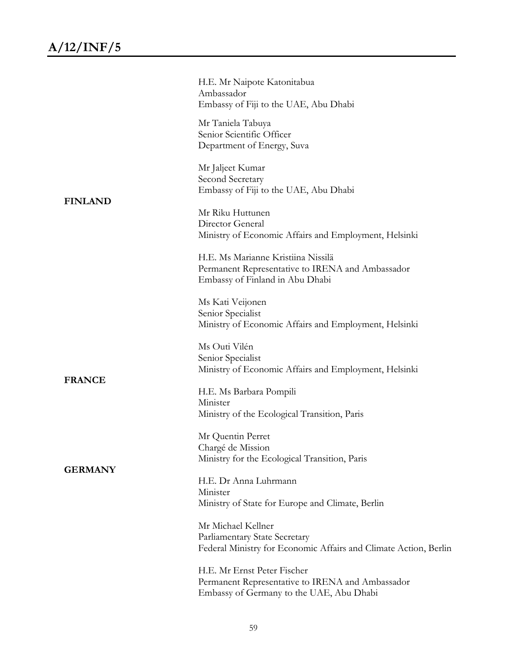|                | H.E. Mr Naipote Katonitabua<br>Ambassador<br>Embassy of Fiji to the UAE, Abu Dhabi                                          |
|----------------|-----------------------------------------------------------------------------------------------------------------------------|
|                | Mr Taniela Tabuya<br>Senior Scientific Officer<br>Department of Energy, Suva                                                |
| <b>FINLAND</b> | Mr Jaljeet Kumar<br>Second Secretary<br>Embassy of Fiji to the UAE, Abu Dhabi                                               |
|                | Mr Riku Huttunen<br>Director General<br>Ministry of Economic Affairs and Employment, Helsinki                               |
|                | H.E. Ms Marianne Kristiina Nissilä<br>Permanent Representative to IRENA and Ambassador<br>Embassy of Finland in Abu Dhabi   |
|                | Ms Kati Veijonen<br>Senior Specialist<br>Ministry of Economic Affairs and Employment, Helsinki                              |
|                | Ms Outi Vilén<br>Senior Specialist<br>Ministry of Economic Affairs and Employment, Helsinki                                 |
| <b>FRANCE</b>  | H.E. Ms Barbara Pompili<br>Minister<br>Ministry of the Ecological Transition, Paris                                         |
| <b>GERMANY</b> | Mr Quentin Perret<br>Chargé de Mission<br>Ministry for the Ecological Transition, Paris                                     |
|                | H.E. Dr Anna Luhrmann<br>Minister<br>Ministry of State for Europe and Climate, Berlin                                       |
|                | Mr Michael Kellner<br>Parliamentary State Secretary<br>Federal Ministry for Economic Affairs and Climate Action, Berlin     |
|                | H.E. Mr Ernst Peter Fischer<br>Permanent Representative to IRENA and Ambassador<br>Embassy of Germany to the UAE, Abu Dhabi |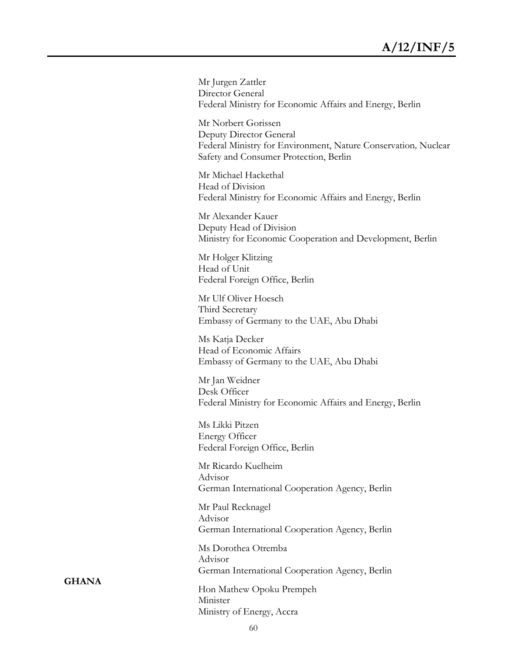Mr Jurgen Zattler Director General Federal Ministry for Economic Affairs and Energy, Berlin

Mr Norbert Gorissen Deputy Director General Federal Ministry for Environment, Nature Conservation*,* Nuclear Safety and Consumer Protection, Berlin

Mr Michael Hackethal Head of Division Federal Ministry for Economic Affairs and Energy, Berlin

Mr Alexander Kauer Deputy Head of Division Ministry for Economic Cooperation and Development, Berlin

Mr Holger Klitzing Head of Unit Federal Foreign Office, Berlin

Mr Ulf Oliver Hoesch Third Secretary Embassy of Germany to the UAE, Abu Dhabi

Ms Katja Decker Head of Economic Affairs Embassy of Germany to the UAE, Abu Dhabi

Mr Jan Weidner Desk Officer Federal Ministry for Economic Affairs and Energy, Berlin

Ms Likki Pitzen Energy Officer Federal Foreign Office, Berlin

Mr Ricardo Kuelheim Advisor German International Cooperation Agency, Berlin

Mr Paul Recknagel Advisor German International Cooperation Agency, Berlin

Ms Dorothea Otremba Advisor German International Cooperation Agency, Berlin

Hon Mathew Opoku Prempeh Minister Ministry of Energy, Accra

**GHANA**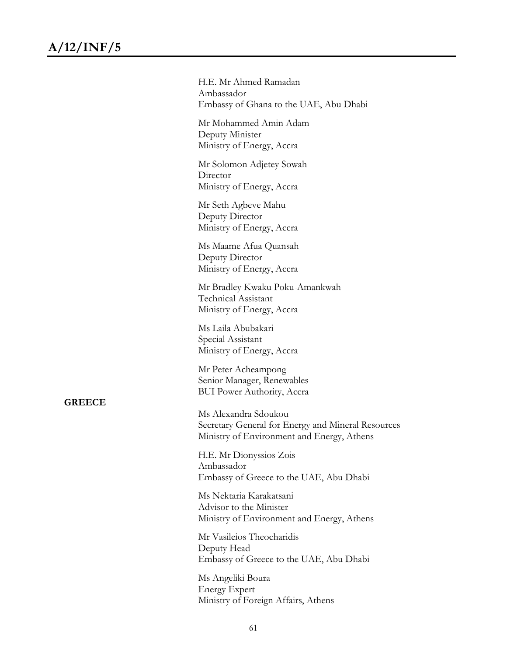H.E. Mr Ahmed Ramadan Ambassador Embassy of Ghana to the UAE, Abu Dhabi

Mr Mohammed Amin Adam Deputy Minister Ministry of Energy, Accra

Mr Solomon Adjetey Sowah Director Ministry of Energy, Accra

Mr Seth Agbeve Mahu Deputy Director Ministry of Energy, Accra

Ms Maame Afua Quansah Deputy Director Ministry of Energy, Accra

Mr Bradley Kwaku Poku-Amankwah Technical Assistant Ministry of Energy, Accra

Ms Laila Abubakari Special Assistant Ministry of Energy, Accra

Mr Peter Acheampong Senior Manager, Renewables BUI Power Authority, Accra

**GREECE**

Ms Alexandra Sdoukou Secretary General for Energy and Mineral Resources Ministry of Environment and Energy, Athens

H.E. Mr Dionyssios Zois Ambassador Embassy of Greece to the UAE, Abu Dhabi

Ms Nektaria Karakatsani Advisor to the Minister Ministry of Environment and Energy, Athens

Mr Vasileios Theocharidis Deputy Head Embassy of Greece to the UAE, Abu Dhabi

Ms Angeliki Boura Energy Expert Ministry of Foreign Affairs, Athens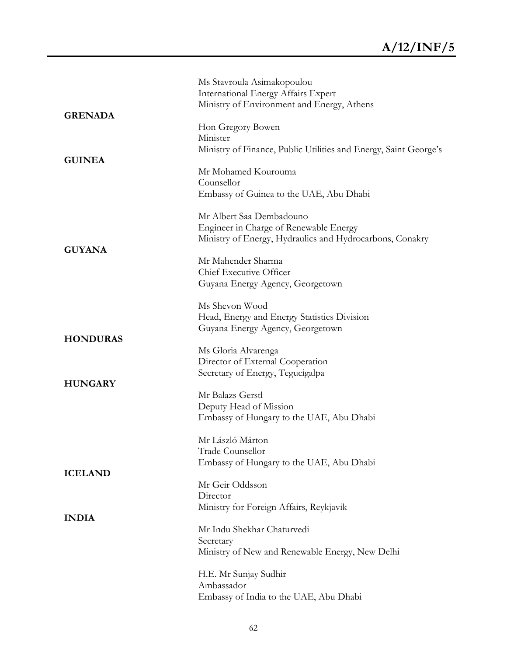|                 | Ms Stavroula Asimakopoulou                                       |
|-----------------|------------------------------------------------------------------|
|                 | <b>International Energy Affairs Expert</b>                       |
|                 | Ministry of Environment and Energy, Athens                       |
| <b>GRENADA</b>  |                                                                  |
|                 | Hon Gregory Bowen                                                |
|                 | Minister                                                         |
|                 | Ministry of Finance, Public Utilities and Energy, Saint George's |
| <b>GUINEA</b>   |                                                                  |
|                 | Mr Mohamed Kourouma                                              |
|                 | Counsellor                                                       |
|                 | Embassy of Guinea to the UAE, Abu Dhabi                          |
|                 |                                                                  |
|                 | Mr Albert Saa Dembadouno                                         |
|                 | Engineer in Charge of Renewable Energy                           |
| <b>GUYANA</b>   | Ministry of Energy, Hydraulics and Hydrocarbons, Conakry         |
|                 | Mr Mahender Sharma                                               |
|                 | Chief Executive Officer                                          |
|                 | Guyana Energy Agency, Georgetown                                 |
|                 |                                                                  |
|                 | Ms Shevon Wood                                                   |
|                 | Head, Energy and Energy Statistics Division                      |
|                 | Guyana Energy Agency, Georgetown                                 |
| <b>HONDURAS</b> |                                                                  |
|                 | Ms Gloria Alvarenga                                              |
|                 | Director of External Cooperation                                 |
| <b>HUNGARY</b>  | Secretary of Energy, Tegucigalpa                                 |
|                 | Mr Balazs Gerstl                                                 |
|                 | Deputy Head of Mission                                           |
|                 | Embassy of Hungary to the UAE, Abu Dhabi                         |
|                 |                                                                  |
|                 | Mr László Márton                                                 |
|                 | Trade Counsellor                                                 |
| <b>ICELAND</b>  | Embassy of Hungary to the UAE, Abu Dhabi                         |
|                 | Mr Geir Oddsson                                                  |
|                 | Director                                                         |
|                 | Ministry for Foreign Affairs, Reykjavik                          |
| <b>INDIA</b>    |                                                                  |
|                 | Mr Indu Shekhar Chaturvedi                                       |
|                 | Secretary                                                        |
|                 | Ministry of New and Renewable Energy, New Delhi                  |
|                 | H.E. Mr Sunjay Sudhir                                            |
|                 | Ambassador                                                       |
|                 | Embassy of India to the UAE, Abu Dhabi                           |
|                 |                                                                  |
|                 |                                                                  |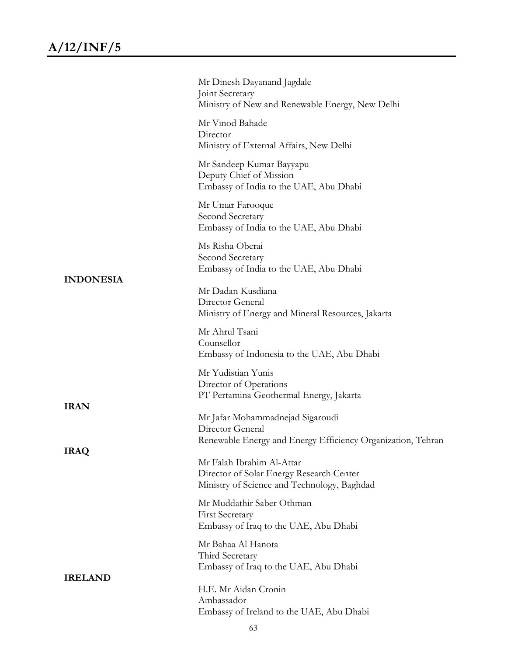|                  | Mr Dinesh Dayanand Jagdale<br>Joint Secretary<br>Ministry of New and Renewable Energy, New Delhi                     |
|------------------|----------------------------------------------------------------------------------------------------------------------|
|                  | Mr Vinod Bahade<br>Director<br>Ministry of External Affairs, New Delhi                                               |
|                  | Mr Sandeep Kumar Bayyapu<br>Deputy Chief of Mission<br>Embassy of India to the UAE, Abu Dhabi                        |
|                  | Mr Umar Farooque<br>Second Secretary<br>Embassy of India to the UAE, Abu Dhabi                                       |
|                  | Ms Risha Oberai<br>Second Secretary<br>Embassy of India to the UAE, Abu Dhabi                                        |
| <b>INDONESIA</b> | Mr Dadan Kusdiana<br>Director General<br>Ministry of Energy and Mineral Resources, Jakarta                           |
|                  | Mr Ahrul Tsani<br>Counsellor<br>Embassy of Indonesia to the UAE, Abu Dhabi                                           |
|                  | Mr Yudistian Yunis<br>Director of Operations<br>PT Pertamina Geothermal Energy, Jakarta                              |
| <b>IRAN</b>      | Mr Jafar Mohammadnejad Sigaroudi<br>Director General<br>Renewable Energy and Energy Efficiency Organization, Tehran  |
| <b>IRAQ</b>      | Mr Falah Ibrahim Al-Attar<br>Director of Solar Energy Research Center<br>Ministry of Science and Technology, Baghdad |
|                  | Mr Muddathir Saber Othman<br><b>First Secretary</b><br>Embassy of Iraq to the UAE, Abu Dhabi                         |
|                  | Mr Bahaa Al Hanota<br>Third Secretary<br>Embassy of Iraq to the UAE, Abu Dhabi                                       |
| <b>IRELAND</b>   | H.E. Mr Aidan Cronin<br>Ambassador<br>Embassy of Ireland to the UAE, Abu Dhabi                                       |
|                  |                                                                                                                      |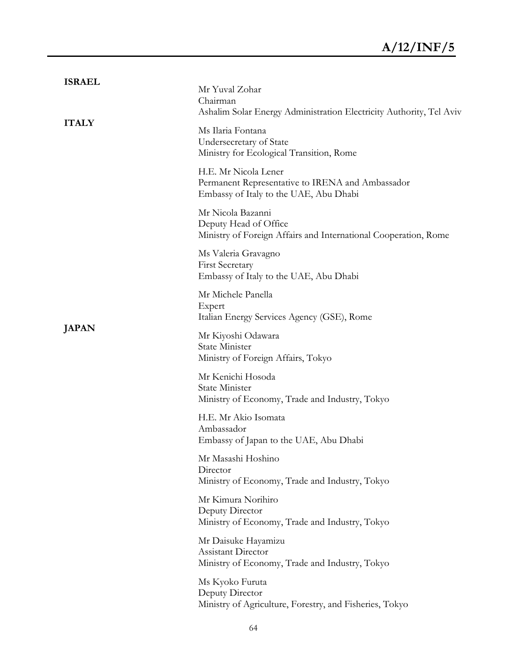| <b>ISRAEL</b> | Mr Yuval Zohar<br>Chairman<br>Ashalim Solar Energy Administration Electricity Authority, Tel Aviv                  |
|---------------|--------------------------------------------------------------------------------------------------------------------|
| <b>ITALY</b>  | Ms Ilaria Fontana<br>Undersecretary of State<br>Ministry for Ecological Transition, Rome                           |
|               | H.E. Mr Nicola Lener<br>Permanent Representative to IRENA and Ambassador<br>Embassy of Italy to the UAE, Abu Dhabi |
|               | Mr Nicola Bazanni<br>Deputy Head of Office<br>Ministry of Foreign Affairs and International Cooperation, Rome      |
|               | Ms Valeria Gravagno<br><b>First Secretary</b><br>Embassy of Italy to the UAE, Abu Dhabi                            |
|               | Mr Michele Panella<br>Expert<br>Italian Energy Services Agency (GSE), Rome                                         |
| <b>JAPAN</b>  | Mr Kiyoshi Odawara<br>State Minister<br>Ministry of Foreign Affairs, Tokyo                                         |
|               | Mr Kenichi Hosoda<br>State Minister<br>Ministry of Economy, Trade and Industry, Tokyo                              |
|               | H.E. Mr Akio Isomata<br>Ambassador<br>Embassy of Japan to the UAE, Abu Dhabi                                       |
|               | Mr Masashi Hoshino<br>Director<br>Ministry of Economy, Trade and Industry, Tokyo                                   |
|               | Mr Kimura Norihiro<br>Deputy Director<br>Ministry of Economy, Trade and Industry, Tokyo                            |
|               | Mr Daisuke Hayamizu<br><b>Assistant Director</b><br>Ministry of Economy, Trade and Industry, Tokyo                 |
|               | Ms Kyoko Furuta<br>Deputy Director<br>Ministry of Agriculture, Forestry, and Fisheries, Tokyo                      |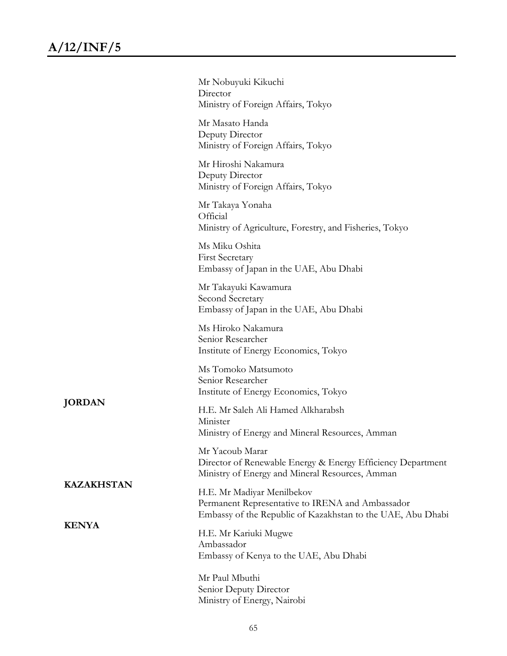|                   | Mr Nobuyuki Kikuchi<br>Director<br>Ministry of Foreign Affairs, Tokyo                                                                         |
|-------------------|-----------------------------------------------------------------------------------------------------------------------------------------------|
|                   | Mr Masato Handa<br>Deputy Director<br>Ministry of Foreign Affairs, Tokyo                                                                      |
|                   | Mr Hiroshi Nakamura<br>Deputy Director<br>Ministry of Foreign Affairs, Tokyo                                                                  |
|                   | Mr Takaya Yonaha<br>Official<br>Ministry of Agriculture, Forestry, and Fisheries, Tokyo                                                       |
|                   | Ms Miku Oshita<br><b>First Secretary</b><br>Embassy of Japan in the UAE, Abu Dhabi                                                            |
|                   | Mr Takayuki Kawamura<br>Second Secretary<br>Embassy of Japan in the UAE, Abu Dhabi                                                            |
|                   | Ms Hiroko Nakamura<br>Senior Researcher<br>Institute of Energy Economics, Tokyo                                                               |
|                   | Ms Tomoko Matsumoto<br>Senior Researcher<br>Institute of Energy Economics, Tokyo                                                              |
| <b>JORDAN</b>     | H.E. Mr Saleh Ali Hamed Alkharabsh<br>Minister<br>Ministry of Energy and Mineral Resources, Amman                                             |
| <b>KAZAKHSTAN</b> | Mr Yacoub Marar<br>Director of Renewable Energy & Energy Efficiency Department<br>Ministry of Energy and Mineral Resources, Amman             |
|                   | H.E. Mr Madiyar Menilbekov<br>Permanent Representative to IRENA and Ambassador<br>Embassy of the Republic of Kazakhstan to the UAE, Abu Dhabi |
| <b>KENYA</b>      | H.E. Mr Kariuki Mugwe<br>Ambassador<br>Embassy of Kenya to the UAE, Abu Dhabi                                                                 |
|                   | Mr Paul Mbuthi<br>Senior Deputy Director<br>Ministry of Energy, Nairobi                                                                       |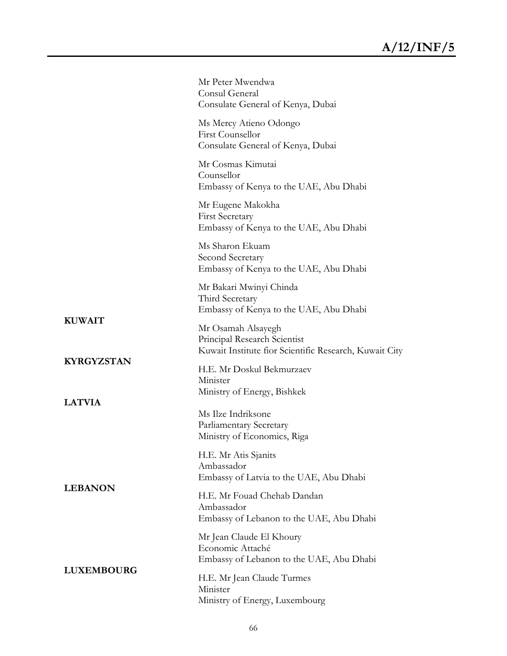|                   | Mr Peter Mwendwa<br>Consul General<br>Consulate General of Kenya, Dubai                                      |
|-------------------|--------------------------------------------------------------------------------------------------------------|
|                   | Ms Mercy Atieno Odongo<br>First Counsellor<br>Consulate General of Kenya, Dubai                              |
|                   | Mr Cosmas Kimutai<br>Counsellor<br>Embassy of Kenya to the UAE, Abu Dhabi                                    |
|                   | Mr Eugene Makokha<br><b>First Secretary</b><br>Embassy of Kenya to the UAE, Abu Dhabi                        |
|                   | Ms Sharon Ekuam<br>Second Secretary<br>Embassy of Kenya to the UAE, Abu Dhabi                                |
|                   | Mr Bakari Mwinyi Chinda<br>Third Secretary<br>Embassy of Kenya to the UAE, Abu Dhabi                         |
| <b>KUWAIT</b>     | Mr Osamah Alsayegh<br>Principal Research Scientist<br>Kuwait Institute fior Scientific Research, Kuwait City |
| <b>KYRGYZSTAN</b> | H.E. Mr Doskul Bekmurzaev<br>Minister<br>Ministry of Energy, Bishkek                                         |
| <b>LATVIA</b>     | Ms Ilze Indriksone<br><b>Parliamentary Secretary</b><br>Ministry of Economics, Riga                          |
| <b>LEBANON</b>    | H.E. Mr Atis Sjanits<br>Ambassador<br>Embassy of Latvia to the UAE, Abu Dhabi                                |
|                   | H.E. Mr Fouad Chehab Dandan<br>Ambassador<br>Embassy of Lebanon to the UAE, Abu Dhabi                        |
|                   | Mr Jean Claude El Khoury<br>Economic Attaché<br>Embassy of Lebanon to the UAE, Abu Dhabi                     |
| <b>LUXEMBOURG</b> | H.E. Mr Jean Claude Turmes<br>Minister<br>Ministry of Energy, Luxembourg                                     |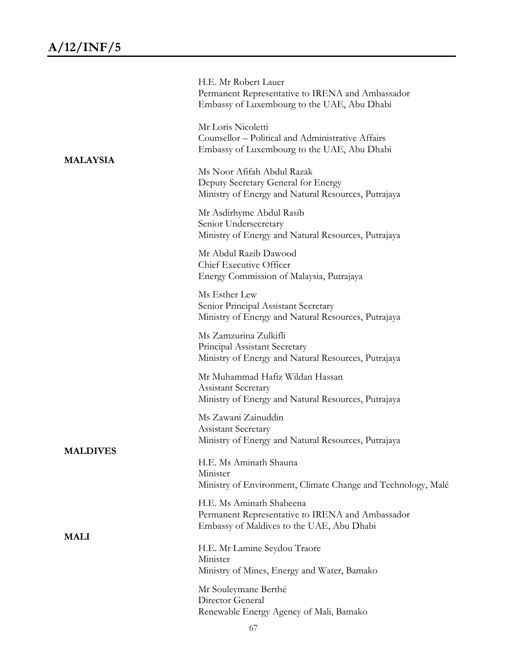| <b>MALAYSIA</b> | H.E. Mr Robert Lauer<br>Permanent Representative to IRENA and Ambassador<br>Embassy of Luxembourg to the UAE, Abu Dhabi   |
|-----------------|---------------------------------------------------------------------------------------------------------------------------|
|                 | Mr Loris Nicoletti<br>Counsellor - Political and Administrative Affairs<br>Embassy of Luxembourg to the UAE, Abu Dhabi    |
|                 | Ms Noor Afifah Abdul Razak<br>Deputy Secretary General for Energy<br>Ministry of Energy and Natural Resources, Putrajaya  |
|                 | Mr Asdirhyme Abdul Rasib<br>Senior Undersecretary<br>Ministry of Energy and Natural Resources, Putrajaya                  |
|                 | Mr Abdul Razib Dawood<br>Chief Executive Officer<br>Energy Commission of Malaysia, Putrajaya                              |
|                 | Ms Esther Lew<br>Senior Principal Assistant Secretary<br>Ministry of Energy and Natural Resources, Putrajaya              |
|                 | Ms Zamzurina Zulkifli<br>Principal Assistant Secretary<br>Ministry of Energy and Natural Resources, Putrajaya             |
|                 | Mr Muhammad Hafiz Wildan Hassan<br><b>Assistant Secretary</b><br>Ministry of Energy and Natural Resources, Putrajaya      |
|                 | Ms Zawani Zainuddin<br><b>Assistant Secretary</b><br>Ministry of Energy and Natural Resources, Putrajaya                  |
| <b>MALDIVES</b> | H.E. Ms Aminath Shauna<br>Minister<br>Ministry of Environment, Climate Change and Technology, Malé                        |
|                 | H.E. Ms Aminath Shabeena<br>Permanent Representative to IRENA and Ambassador<br>Embassy of Maldives to the UAE, Abu Dhabi |
| <b>MALI</b>     | H.E. Mr Lamine Seydou Traore<br>Minister<br>Ministry of Mines, Energy and Water, Bamako                                   |
|                 | Mr Souleymane Berthé<br>Director General<br>Renewable Energy Agency of Mali, Bamako                                       |
|                 | 67                                                                                                                        |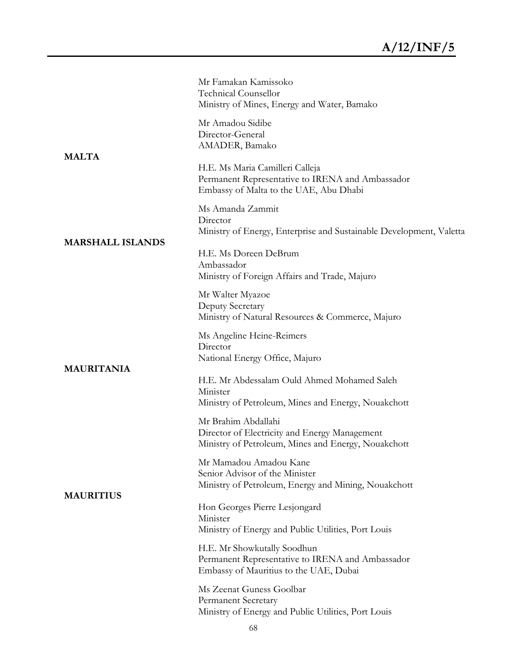|                         | Mr Famakan Kamissoko<br><b>Technical Counsellor</b><br>Ministry of Mines, Energy and Water, Bamako                            |
|-------------------------|-------------------------------------------------------------------------------------------------------------------------------|
| <b>MALTA</b>            | Mr Amadou Sidibe<br>Director-General<br>AMADER, Bamako                                                                        |
|                         | H.E. Ms Maria Camilleri Calleja<br>Permanent Representative to IRENA and Ambassador<br>Embassy of Malta to the UAE, Abu Dhabi |
|                         | Ms Amanda Zammit<br>Director<br>Ministry of Energy, Enterprise and Sustainable Development, Valetta                           |
| <b>MARSHALL ISLANDS</b> | H.E. Ms Doreen DeBrum<br>Ambassador<br>Ministry of Foreign Affairs and Trade, Majuro                                          |
|                         | Mr Walter Myazoe<br>Deputy Secretary<br>Ministry of Natural Resources & Commerce, Majuro                                      |
|                         | Ms Angeline Heine-Reimers<br>Director<br>National Energy Office, Majuro                                                       |
| <b>MAURITANIA</b>       | H.E. Mr Abdessalam Ould Ahmed Mohamed Saleh<br>Minister<br>Ministry of Petroleum, Mines and Energy, Nouakchott                |
|                         | Mr Brahim Abdallahi<br>Director of Electricity and Energy Management<br>Ministry of Petroleum, Mines and Energy, Nouakchott   |
| <b>MAURITIUS</b>        | Mr Mamadou Amadou Kane<br>Senior Advisor of the Minister<br>Ministry of Petroleum, Energy and Mining, Nouakchott              |
|                         | Hon Georges Pierre Lesjongard<br>Minister<br>Ministry of Energy and Public Utilities, Port Louis                              |
|                         | H.E. Mr Showkutally Soodhun<br>Permanent Representative to IRENA and Ambassador<br>Embassy of Mauritius to the UAE, Dubai     |
|                         | Ms Zeenat Guness Goolbar<br><b>Permanent Secretary</b><br>Ministry of Energy and Public Utilities, Port Louis                 |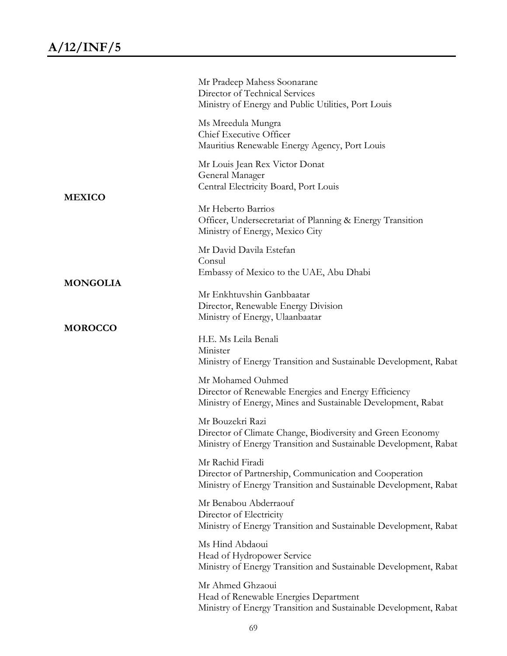|                 | Mr Pradeep Mahess Soonarane<br>Director of Technical Services<br>Ministry of Energy and Public Utilities, Port Louis                               |
|-----------------|----------------------------------------------------------------------------------------------------------------------------------------------------|
|                 | Ms Mreedula Mungra<br>Chief Executive Officer<br>Mauritius Renewable Energy Agency, Port Louis                                                     |
|                 | Mr Louis Jean Rex Victor Donat<br>General Manager<br>Central Electricity Board, Port Louis                                                         |
| <b>MEXICO</b>   | Mr Heberto Barrios<br>Officer, Undersecretariat of Planning & Energy Transition<br>Ministry of Energy, Mexico City                                 |
|                 | Mr David Davila Estefan<br>Consul<br>Embassy of Mexico to the UAE, Abu Dhabi                                                                       |
| <b>MONGOLIA</b> | Mr Enkhtuvshin Ganbbaatar<br>Director, Renewable Energy Division<br>Ministry of Energy, Ulaanbaatar                                                |
| <b>MOROCCO</b>  | H.E. Ms Leila Benali<br>Minister<br>Ministry of Energy Transition and Sustainable Development, Rabat                                               |
|                 | Mr Mohamed Ouhmed<br>Director of Renewable Energies and Energy Efficiency<br>Ministry of Energy, Mines and Sustainable Development, Rabat          |
|                 | Mr Bouzekri Razi<br>Director of Climate Change, Biodiversity and Green Economy<br>Ministry of Energy Transition and Sustainable Development, Rabat |
|                 | Mr Rachid Firadi<br>Director of Partnership, Communication and Cooperation<br>Ministry of Energy Transition and Sustainable Development, Rabat     |
|                 | Mr Benabou Abderraouf<br>Director of Electricity<br>Ministry of Energy Transition and Sustainable Development, Rabat                               |
|                 | Ms Hind Abdaoui<br>Head of Hydropower Service<br>Ministry of Energy Transition and Sustainable Development, Rabat                                  |
|                 | Mr Ahmed Ghzaoui<br>Head of Renewable Energies Department<br>Ministry of Energy Transition and Sustainable Development, Rabat                      |
|                 |                                                                                                                                                    |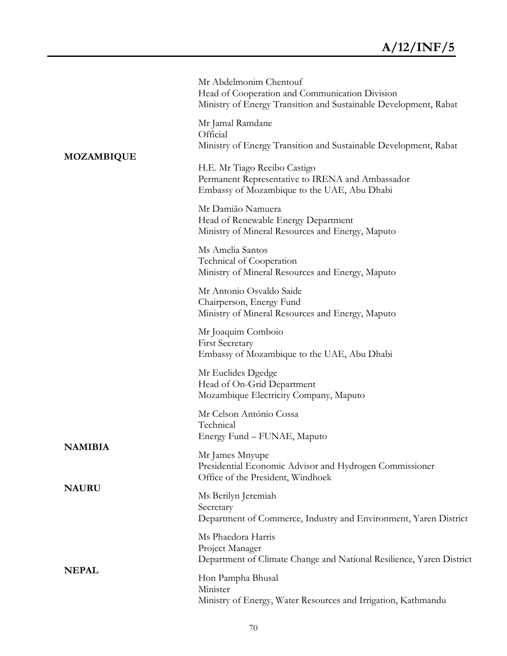|                   | Mr Abdelmonim Chentouf<br>Head of Cooperation and Communication Division<br>Ministry of Energy Transition and Sustainable Development, Rabat |
|-------------------|----------------------------------------------------------------------------------------------------------------------------------------------|
|                   | Mr Jamal Ramdane<br>Official<br>Ministry of Energy Transition and Sustainable Development, Rabat                                             |
| <b>MOZAMBIQUE</b> | H.E. Mr Tiago Recibo Castigo<br>Permanent Representative to IRENA and Ambassador<br>Embassy of Mozambique to the UAE, Abu Dhabi              |
|                   | Mr Damião Namuera<br>Head of Renewable Energy Department<br>Ministry of Mineral Resources and Energy, Maputo                                 |
|                   | Ms Amelia Santos<br>Technical of Cooperation<br>Ministry of Mineral Resources and Energy, Maputo                                             |
|                   | Mr Antonio Osvaldo Saide<br>Chairperson, Energy Fund<br>Ministry of Mineral Resources and Energy, Maputo                                     |
|                   | Mr Joaquim Comboio<br><b>First Secretary</b><br>Embassy of Mozambique to the UAE, Abu Dhabi                                                  |
|                   | Mr Euclides Dgedge<br>Head of On-Grid Department<br>Mozambique Electricity Company, Maputo                                                   |
|                   | Mr Celson António Cossa<br>Technical<br>Energy Fund – FUNAE, Maputo                                                                          |
| <b>NAMIBIA</b>    | Mr James Mnyupe<br>Presidential Economic Advisor and Hydrogen Commissioner<br>Office of the President, Windhoek                              |
| <b>NAURU</b>      | Ms Berilyn Jeremiah<br>Secretary<br>Department of Commerce, Industry and Environment, Yaren District                                         |
| <b>NEPAL</b>      | Ms Phaedora Harris<br>Project Manager<br>Department of Climate Change and National Resilience, Yaren District                                |
|                   | Hon Pampha Bhusal<br>Minister<br>Ministry of Energy, Water Resources and Irrigation, Kathmandu                                               |
|                   |                                                                                                                                              |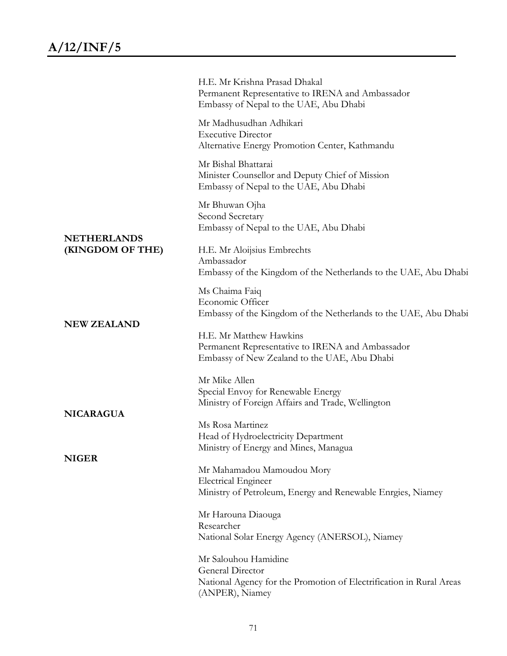|                                        | H.E. Mr Krishna Prasad Dhakal<br>Permanent Representative to IRENA and Ambassador<br>Embassy of Nepal to the UAE, Abu Dhabi        |
|----------------------------------------|------------------------------------------------------------------------------------------------------------------------------------|
|                                        | Mr Madhusudhan Adhikari<br><b>Executive Director</b><br>Alternative Energy Promotion Center, Kathmandu                             |
|                                        | Mr Bishal Bhattarai<br>Minister Counsellor and Deputy Chief of Mission<br>Embassy of Nepal to the UAE, Abu Dhabi                   |
|                                        | Mr Bhuwan Ojha<br>Second Secretary<br>Embassy of Nepal to the UAE, Abu Dhabi                                                       |
| <b>NETHERLANDS</b><br>(KINGDOM OF THE) | H.E. Mr Aloijsius Embrechts<br>Ambassador<br>Embassy of the Kingdom of the Netherlands to the UAE, Abu Dhabi                       |
|                                        | Ms Chaima Faiq<br>Economic Officer<br>Embassy of the Kingdom of the Netherlands to the UAE, Abu Dhabi                              |
| <b>NEW ZEALAND</b>                     | H.E. Mr Matthew Hawkins<br>Permanent Representative to IRENA and Ambassador<br>Embassy of New Zealand to the UAE, Abu Dhabi        |
| <b>NICARAGUA</b>                       | Mr Mike Allen<br>Special Envoy for Renewable Energy<br>Ministry of Foreign Affairs and Trade, Wellington                           |
|                                        | Ms Rosa Martinez<br>Head of Hydroelectricity Department<br>Ministry of Energy and Mines, Managua                                   |
| <b>NIGER</b>                           | Mr Mahamadou Mamoudou Mory<br><b>Electrical Engineer</b><br>Ministry of Petroleum, Energy and Renewable Enrgies, Niamey            |
|                                        | Mr Harouna Diaouga<br>Researcher<br>National Solar Energy Agency (ANERSOL), Niamey                                                 |
|                                        | Mr Salouhou Hamidine<br>General Director<br>National Agency for the Promotion of Electrification in Rural Areas<br>(ANPER), Niamey |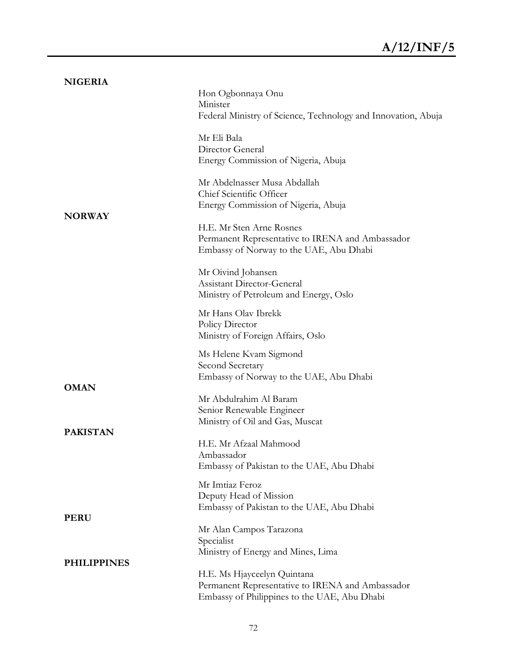| <b>NIGERIA</b><br><b>NORWAY</b>   | Hon Ogbonnaya Onu<br>Minister<br>Federal Ministry of Science, Technology and Innovation, Abuja<br>Mr Eli Bala<br>Director General<br>Energy Commission of Nigeria, Abuja<br>Mr Abdelnasser Musa Abdallah<br>Chief Scientific Officer<br>Energy Commission of Nigeria, Abuja<br>H.E. Mr Sten Arne Rosnes<br>Permanent Representative to IRENA and Ambassador<br>Embassy of Norway to the UAE, Abu Dhabi<br>Mr Oivind Johansen<br><b>Assistant Director-General</b><br>Ministry of Petroleum and Energy, Oslo<br>Mr Hans Olav Ibrekk<br>Policy Director |
|-----------------------------------|-------------------------------------------------------------------------------------------------------------------------------------------------------------------------------------------------------------------------------------------------------------------------------------------------------------------------------------------------------------------------------------------------------------------------------------------------------------------------------------------------------------------------------------------------------|
| <b>OMAN</b><br><b>PAKISTAN</b>    | Ministry of Foreign Affairs, Oslo<br>Ms Helene Kvam Sigmond<br>Second Secretary<br>Embassy of Norway to the UAE, Abu Dhabi<br>Mr Abdulrahim Al Baram<br>Senior Renewable Engineer<br>Ministry of Oil and Gas, Muscat<br>H.E. Mr Afzaal Mahmood<br>Ambassador                                                                                                                                                                                                                                                                                          |
| <b>PERU</b><br><b>PHILIPPINES</b> | Embassy of Pakistan to the UAE, Abu Dhabi<br>Mr Imtiaz Feroz<br>Deputy Head of Mission<br>Embassy of Pakistan to the UAE, Abu Dhabi<br>Mr Alan Campos Tarazona<br>Specialist<br>Ministry of Energy and Mines, Lima<br>H.E. Ms Hjayceelyn Quintana<br>Permanent Representative to IRENA and Ambassador<br>Embassy of Philippines to the UAE, Abu Dhabi                                                                                                                                                                                                 |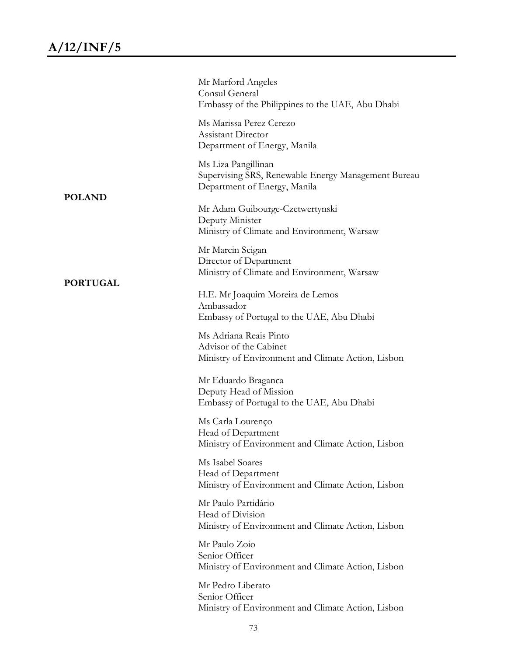|                 | Mr Marford Angeles<br>Consul General<br>Embassy of the Philippines to the UAE, Abu Dhabi                   |
|-----------------|------------------------------------------------------------------------------------------------------------|
|                 | Ms Marissa Perez Cerezo<br><b>Assistant Director</b><br>Department of Energy, Manila                       |
|                 | Ms Liza Pangillinan<br>Supervising SRS, Renewable Energy Management Bureau<br>Department of Energy, Manila |
| <b>POLAND</b>   | Mr Adam Guibourge-Czetwertynski<br>Deputy Minister<br>Ministry of Climate and Environment, Warsaw          |
|                 | Mr Marcin Scigan<br>Director of Department<br>Ministry of Climate and Environment, Warsaw                  |
| <b>PORTUGAL</b> | H.E. Mr Joaquim Moreira de Lemos<br>Ambassador<br>Embassy of Portugal to the UAE, Abu Dhabi                |
|                 | Ms Adriana Reais Pinto<br>Advisor of the Cabinet<br>Ministry of Environment and Climate Action, Lisbon     |
|                 | Mr Eduardo Braganca<br>Deputy Head of Mission<br>Embassy of Portugal to the UAE, Abu Dhabi                 |
|                 | Ms Carla Lourenço<br>Head of Department<br>Ministry of Environment and Climate Action, Lisbon              |
|                 | Ms Isabel Soares<br>Head of Department<br>Ministry of Environment and Climate Action, Lisbon               |
|                 | Mr Paulo Partidário<br>Head of Division<br>Ministry of Environment and Climate Action, Lisbon              |
|                 | Mr Paulo Zoio<br>Senior Officer<br>Ministry of Environment and Climate Action, Lisbon                      |
|                 | Mr Pedro Liberato<br>Senior Officer<br>Ministry of Environment and Climate Action, Lisbon                  |
|                 |                                                                                                            |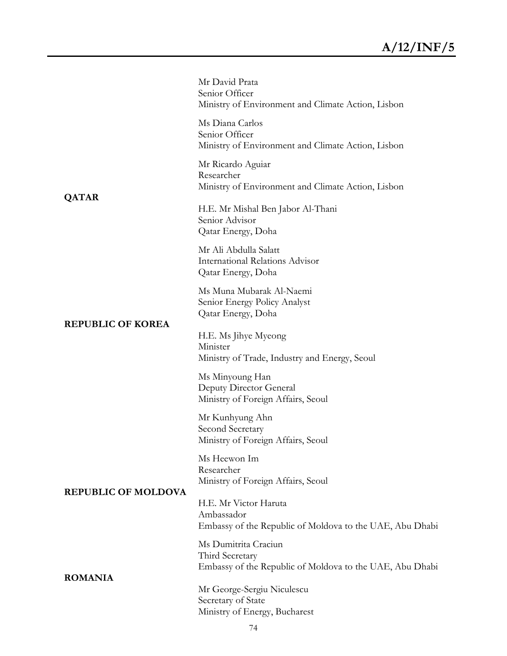|                                          | Mr David Prata<br>Senior Officer<br>Ministry of Environment and Climate Action, Lisbon              |
|------------------------------------------|-----------------------------------------------------------------------------------------------------|
|                                          | Ms Diana Carlos<br>Senior Officer<br>Ministry of Environment and Climate Action, Lisbon             |
| <b>QATAR</b><br><b>REPUBLIC OF KOREA</b> | Mr Ricardo Aguiar<br>Researcher<br>Ministry of Environment and Climate Action, Lisbon               |
|                                          | H.E. Mr Mishal Ben Jabor Al-Thani<br>Senior Advisor<br>Qatar Energy, Doha                           |
|                                          | Mr Ali Abdulla Salatt<br><b>International Relations Advisor</b><br>Qatar Energy, Doha               |
|                                          | Ms Muna Mubarak Al-Naemi<br>Senior Energy Policy Analyst<br>Qatar Energy, Doha                      |
|                                          | H.E. Ms Jihye Myeong<br>Minister<br>Ministry of Trade, Industry and Energy, Seoul                   |
|                                          | Ms Minyoung Han<br>Deputy Director General<br>Ministry of Foreign Affairs, Seoul                    |
|                                          | Mr Kunhyung Ahn<br>Second Secretary<br>Ministry of Foreign Affairs, Seoul                           |
| <b>REPUBLIC OF MOLDOVA</b>               | Ms Heewon Im<br>Researcher<br>Ministry of Foreign Affairs, Seoul                                    |
|                                          | H.E. Mr Victor Haruta<br>Ambassador<br>Embassy of the Republic of Moldova to the UAE, Abu Dhabi     |
| <b>ROMANIA</b>                           | Ms Dumitrita Craciun<br>Third Secretary<br>Embassy of the Republic of Moldova to the UAE, Abu Dhabi |
|                                          | Mr George-Sergiu Niculescu<br>Secretary of State<br>Ministry of Energy, Bucharest                   |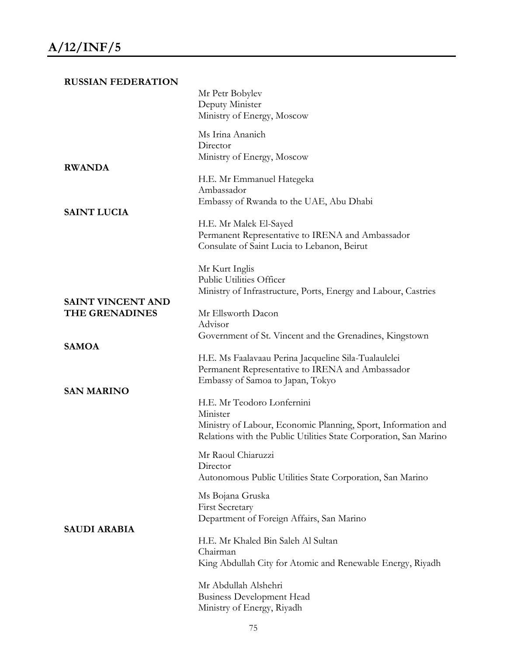| <b>RUSSIAN FEDERATION</b>                  |                                                                                                                                                                              |
|--------------------------------------------|------------------------------------------------------------------------------------------------------------------------------------------------------------------------------|
|                                            | Mr Petr Bobylev<br>Deputy Minister<br>Ministry of Energy, Moscow                                                                                                             |
|                                            | Ms Irina Ananich<br>Director<br>Ministry of Energy, Moscow                                                                                                                   |
| <b>RWANDA</b>                              | H.E. Mr Emmanuel Hategeka<br>Ambassador<br>Embassy of Rwanda to the UAE, Abu Dhabi                                                                                           |
| <b>SAINT LUCIA</b>                         | H.E. Mr Malek El-Sayed<br>Permanent Representative to IRENA and Ambassador<br>Consulate of Saint Lucia to Lebanon, Beirut                                                    |
|                                            | Mr Kurt Inglis<br>Public Utilities Officer<br>Ministry of Infrastructure, Ports, Energy and Labour, Castries                                                                 |
| <b>SAINT VINCENT AND</b><br>THE GRENADINES | Mr Ellsworth Dacon<br>Advisor                                                                                                                                                |
| <b>SAMOA</b>                               | Government of St. Vincent and the Grenadines, Kingstown                                                                                                                      |
| <b>SAN MARINO</b>                          | H.E. Ms Faalavaau Perina Jacqueline Sila-Tualaulelei<br>Permanent Representative to IRENA and Ambassador<br>Embassy of Samoa to Japan, Tokyo                                 |
|                                            | H.E. Mr Teodoro Lonfernini<br>Minister<br>Ministry of Labour, Economic Planning, Sport, Information and<br>Relations with the Public Utilities State Corporation, San Marino |
| <b>SAUDI ARABIA</b>                        | Mr Raoul Chiaruzzi<br>Director<br>Autonomous Public Utilities State Corporation, San Marino                                                                                  |
|                                            | Ms Bojana Gruska<br><b>First Secretary</b><br>Department of Foreign Affairs, San Marino                                                                                      |
|                                            | H.E. Mr Khaled Bin Saleh Al Sultan<br>Chairman<br>King Abdullah City for Atomic and Renewable Energy, Riyadh                                                                 |
|                                            | Mr Abdullah Alshehri<br><b>Business Development Head</b><br>Ministry of Energy, Riyadh                                                                                       |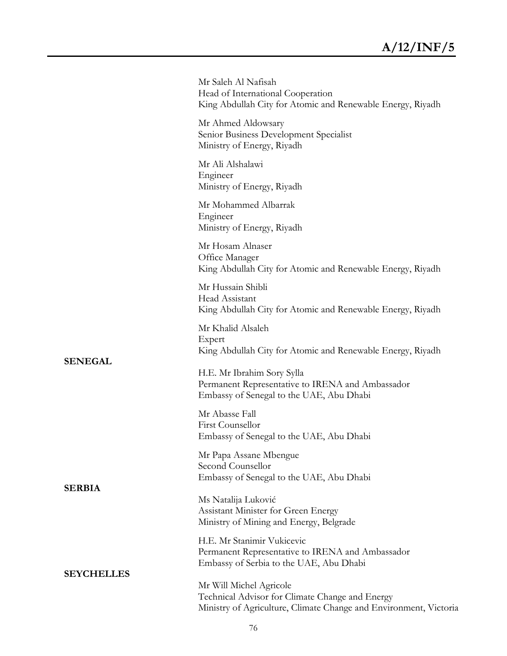|                   | Mr Saleh Al Nafisah<br>Head of International Cooperation<br>King Abdullah City for Atomic and Renewable Energy, Riyadh                          |
|-------------------|-------------------------------------------------------------------------------------------------------------------------------------------------|
|                   | Mr Ahmed Aldowsary<br>Senior Business Development Specialist<br>Ministry of Energy, Riyadh                                                      |
|                   | Mr Ali Alshalawi<br>Engineer<br>Ministry of Energy, Riyadh                                                                                      |
|                   | Mr Mohammed Albarrak<br>Engineer<br>Ministry of Energy, Riyadh                                                                                  |
|                   | Mr Hosam Alnaser<br>Office Manager<br>King Abdullah City for Atomic and Renewable Energy, Riyadh                                                |
|                   | Mr Hussain Shibli<br>Head Assistant<br>King Abdullah City for Atomic and Renewable Energy, Riyadh                                               |
|                   | Mr Khalid Alsaleh<br>Expert<br>King Abdullah City for Atomic and Renewable Energy, Riyadh                                                       |
| <b>SENEGAL</b>    | H.E. Mr Ibrahim Sory Sylla<br>Permanent Representative to IRENA and Ambassador<br>Embassy of Senegal to the UAE, Abu Dhabi                      |
|                   | Mr Abasse Fall<br>First Counsellor<br>Embassy of Senegal to the UAE, Abu Dhabi                                                                  |
| <b>SERBIA</b>     | Mr Papa Assane Mbengue<br>Second Counsellor<br>Embassy of Senegal to the UAE, Abu Dhabi                                                         |
|                   | Ms Natalija Luković<br>Assistant Minister for Green Energy<br>Ministry of Mining and Energy, Belgrade                                           |
|                   | H.E. Mr Stanimir Vukicevic<br>Permanent Representative to IRENA and Ambassador<br>Embassy of Serbia to the UAE, Abu Dhabi                       |
| <b>SEYCHELLES</b> | Mr Will Michel Agricole<br>Technical Advisor for Climate Change and Energy<br>Ministry of Agriculture, Climate Change and Environment, Victoria |
|                   |                                                                                                                                                 |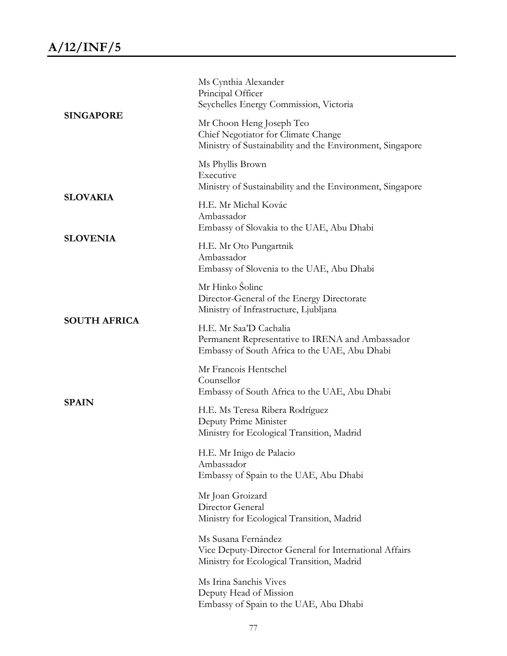| <b>SINGAPORE</b>    | Ms Cynthia Alexander<br>Principal Officer<br>Seychelles Energy Commission, Victoria<br>Mr Choon Heng Joseph Teo             |
|---------------------|-----------------------------------------------------------------------------------------------------------------------------|
|                     | Chief Negotiator for Climate Change<br>Ministry of Sustainability and the Environment, Singapore                            |
|                     | Ms Phyllis Brown<br>Executive<br>Ministry of Sustainability and the Environment, Singapore                                  |
| <b>SLOVAKIA</b>     | H.E. Mr Michal Kovác<br>Ambassador<br>Embassy of Slovakia to the UAE, Abu Dhabi                                             |
| <b>SLOVENIA</b>     | H.E. Mr Oto Pungartnik<br>Ambassador<br>Embassy of Slovenia to the UAE, Abu Dhabi                                           |
|                     | Mr Hinko Šolinc<br>Director-General of the Energy Directorate<br>Ministry of Infrastructure, Ljubljana                      |
| <b>SOUTH AFRICA</b> | H.E. Mr Saa'D Cachalia<br>Permanent Representative to IRENA and Ambassador<br>Embassy of South Africa to the UAE, Abu Dhabi |
|                     | Mr Francois Hentschel<br>Counsellor<br>Embassy of South Africa to the UAE, Abu Dhabi                                        |
| <b>SPAIN</b>        | H.E. Ms Teresa Ribera Rodríguez<br>Deputy Prime Minister<br>Ministry for Ecological Transition, Madrid                      |
|                     | H.E. Mr Inigo de Palacio<br>Ambassador<br>Embassy of Spain to the UAE, Abu Dhabi                                            |
|                     | Mr Joan Groizard<br>Director General<br>Ministry for Ecological Transition, Madrid                                          |
|                     | Ms Susana Fernández<br>Vice Deputy-Director General for International Affairs<br>Ministry for Ecological Transition, Madrid |
|                     | Ms Irina Sanchis Vives<br>Deputy Head of Mission<br>Embassy of Spain to the UAE, Abu Dhabi                                  |
|                     |                                                                                                                             |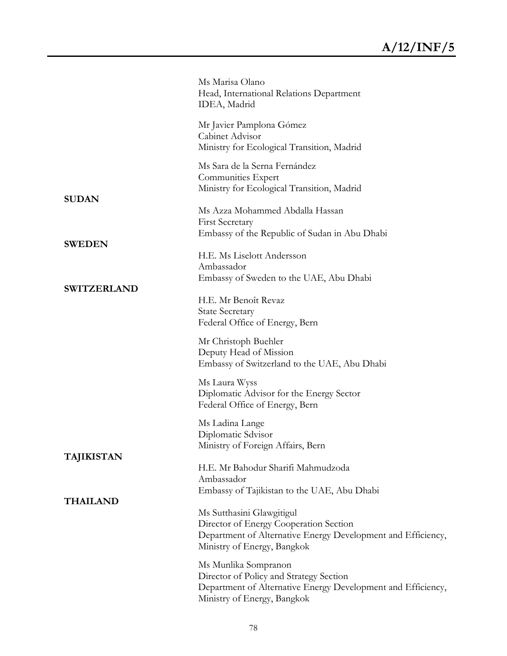|                    | Ms Marisa Olano<br>Head, International Relations Department<br>IDEA, Madrid                                                                                        |
|--------------------|--------------------------------------------------------------------------------------------------------------------------------------------------------------------|
|                    | Mr Javier Pamplona Gómez<br>Cabinet Advisor<br>Ministry for Ecological Transition, Madrid                                                                          |
| <b>SUDAN</b>       | Ms Sara de la Serna Fernández<br>Communities Expert<br>Ministry for Ecological Transition, Madrid                                                                  |
|                    | Ms Azza Mohammed Abdalla Hassan<br><b>First Secretary</b><br>Embassy of the Republic of Sudan in Abu Dhabi                                                         |
| <b>SWEDEN</b>      | H.E. Ms Liselott Andersson<br>Ambassador<br>Embassy of Sweden to the UAE, Abu Dhabi                                                                                |
| <b>SWITZERLAND</b> | H.E. Mr Benoît Revaz<br><b>State Secretary</b><br>Federal Office of Energy, Bern                                                                                   |
|                    | Mr Christoph Buehler<br>Deputy Head of Mission<br>Embassy of Switzerland to the UAE, Abu Dhabi                                                                     |
|                    | Ms Laura Wyss<br>Diplomatic Advisor for the Energy Sector<br>Federal Office of Energy, Bern                                                                        |
| <b>TAJIKISTAN</b>  | Ms Ladina Lange<br>Diplomatic Sdvisor<br>Ministry of Foreign Affairs, Bern                                                                                         |
|                    | H.E. Mr Bahodur Sharifi Mahmudzoda<br>Ambassador<br>Embassy of Tajikistan to the UAE, Abu Dhabi                                                                    |
| <b>THAILAND</b>    | Ms Sutthasini Glawgitigul<br>Director of Energy Cooperation Section<br>Department of Alternative Energy Development and Efficiency,<br>Ministry of Energy, Bangkok |
|                    | Ms Munlika Sompranon<br>Director of Policy and Strategy Section<br>Department of Alternative Energy Development and Efficiency,<br>Ministry of Energy, Bangkok     |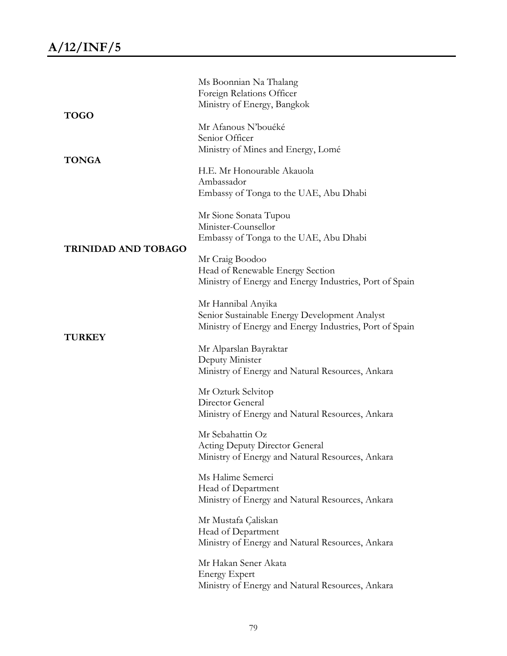|                            | Ms Boonnian Na Thalang<br>Foreign Relations Officer<br>Ministry of Energy, Bangkok                                             |
|----------------------------|--------------------------------------------------------------------------------------------------------------------------------|
| <b>TOGO</b>                | Mr Afanous N'bouéké<br>Senior Officer<br>Ministry of Mines and Energy, Lomé                                                    |
| <b>TONGA</b>               | H.E. Mr Honourable Akauola<br>Ambassador<br>Embassy of Tonga to the UAE, Abu Dhabi                                             |
|                            | Mr Sione Sonata Tupou<br>Minister-Counsellor<br>Embassy of Tonga to the UAE, Abu Dhabi                                         |
| <b>TRINIDAD AND TOBAGO</b> | Mr Craig Boodoo<br>Head of Renewable Energy Section<br>Ministry of Energy and Energy Industries, Port of Spain                 |
| <b>TURKEY</b>              | Mr Hannibal Anyika<br>Senior Sustainable Energy Development Analyst<br>Ministry of Energy and Energy Industries, Port of Spain |
|                            | Mr Alparslan Bayraktar<br>Deputy Minister<br>Ministry of Energy and Natural Resources, Ankara                                  |
|                            | Mr Ozturk Selvitop<br>Director General<br>Ministry of Energy and Natural Resources, Ankara                                     |
|                            | Mr Sebahattin Oz<br><b>Acting Deputy Director General</b><br>Ministry of Energy and Natural Resources, Ankara                  |
|                            | Ms Halime Semerci<br>Head of Department<br>Ministry of Energy and Natural Resources, Ankara                                    |
|                            | Mr Mustafa Çaliskan<br>Head of Department<br>Ministry of Energy and Natural Resources, Ankara                                  |
|                            | Mr Hakan Sener Akata<br><b>Energy Expert</b><br>Ministry of Energy and Natural Resources, Ankara                               |
|                            |                                                                                                                                |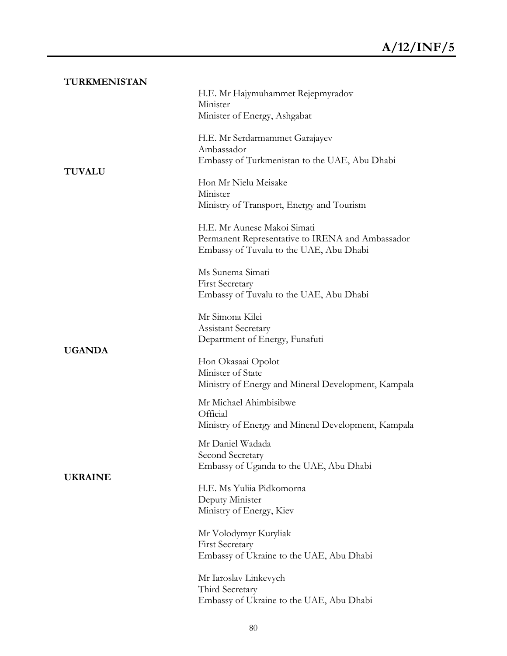| TURKMENISTAN   |                                                                                                                            |
|----------------|----------------------------------------------------------------------------------------------------------------------------|
|                | H.E. Mr Hajymuhammet Rejepmyradov<br>Minister                                                                              |
|                | Minister of Energy, Ashgabat                                                                                               |
|                | H.E. Mr Serdarmammet Garajayev<br>Ambassador                                                                               |
| <b>TUVALU</b>  | Embassy of Turkmenistan to the UAE, Abu Dhabi                                                                              |
|                | Hon Mr Nielu Meisake<br>Minister                                                                                           |
|                | Ministry of Transport, Energy and Tourism                                                                                  |
|                | H.E. Mr Aunese Makoi Simati<br>Permanent Representative to IRENA and Ambassador<br>Embassy of Tuvalu to the UAE, Abu Dhabi |
|                | Ms Sunema Simati                                                                                                           |
|                | <b>First Secretary</b><br>Embassy of Tuvalu to the UAE, Abu Dhabi                                                          |
|                | Mr Simona Kilei<br><b>Assistant Secretary</b>                                                                              |
| <b>UGANDA</b>  | Department of Energy, Funafuti                                                                                             |
|                | Hon Okasaai Opolot<br>Minister of State<br>Ministry of Energy and Mineral Development, Kampala                             |
|                | Mr Michael Ahimbisibwe                                                                                                     |
|                | Official<br>Ministry of Energy and Mineral Development, Kampala                                                            |
|                | Mr Daniel Wadada<br>Second Secretary                                                                                       |
| <b>UKRAINE</b> | Embassy of Uganda to the UAE, Abu Dhabi                                                                                    |
|                | H.E. Ms Yuliia Pidkomorna<br>Deputy Minister<br>Ministry of Energy, Kiev                                                   |
|                | Mr Volodymyr Kuryliak<br><b>First Secretary</b><br>Embassy of Ukraine to the UAE, Abu Dhabi                                |
|                | Mr Iaroslav Linkevych<br>Third Secretary<br>Embassy of Ukraine to the UAE, Abu Dhabi                                       |
|                |                                                                                                                            |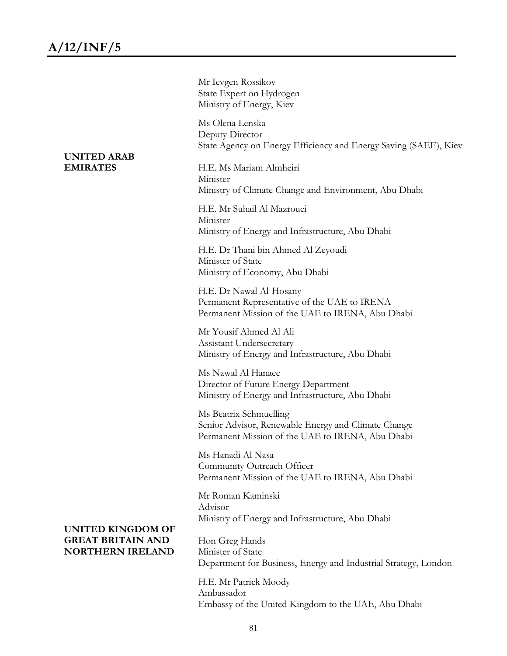**UNITED ARAB EMIRATES** 

**UNITED KINGDOM OF GREAT BRITAIN AND NORTHERN IRELAND**

| Mr Ievgen Rossikov<br>State Expert on Hydrogen<br>Ministry of Energy, Kiev                                                        |
|-----------------------------------------------------------------------------------------------------------------------------------|
| Ms Olena Lenska<br>Deputy Director<br>State Agency on Energy Efficiency and Energy Saving (SAEE), Kiev                            |
| H.E. Ms Mariam Almheiri<br>Minister<br>Ministry of Climate Change and Environment, Abu Dhabi                                      |
| H.E. Mr Suhail Al Mazrouei<br>Minister<br>Ministry of Energy and Infrastructure, Abu Dhabi                                        |
| H.E. Dr Thani bin Ahmed Al Zeyoudi<br>Minister of State<br>Ministry of Economy, Abu Dhabi                                         |
| H.E. Dr Nawal Al-Hosany<br>Permanent Representative of the UAE to IRENA<br>Permanent Mission of the UAE to IRENA, Abu Dhabi       |
| Mr Yousif Ahmed Al Ali<br>Assistant Undersecretary<br>Ministry of Energy and Infrastructure, Abu Dhabi                            |
| Ms Nawal Al Hanaee<br>Director of Future Energy Department<br>Ministry of Energy and Infrastructure, Abu Dhabi                    |
| Ms Beatrix Schmuelling<br>Senior Advisor, Renewable Energy and Climate Change<br>Permanent Mission of the UAE to IRENA, Abu Dhabi |
| Ms Hanadi Al Nasa<br>Community Outreach Officer<br>Permanent Mission of the UAE to IRENA, Abu Dhabi                               |
| Mr Roman Kaminski<br>Advisor<br>Ministry of Energy and Infrastructure, Abu Dhabi                                                  |
| Hon Greg Hands<br>Minister of State<br>Department for Business, Energy and Industrial Strategy, London                            |
|                                                                                                                                   |

H.E. Mr Patrick Moody Ambassador Embassy of the United Kingdom to the UAE, Abu Dhabi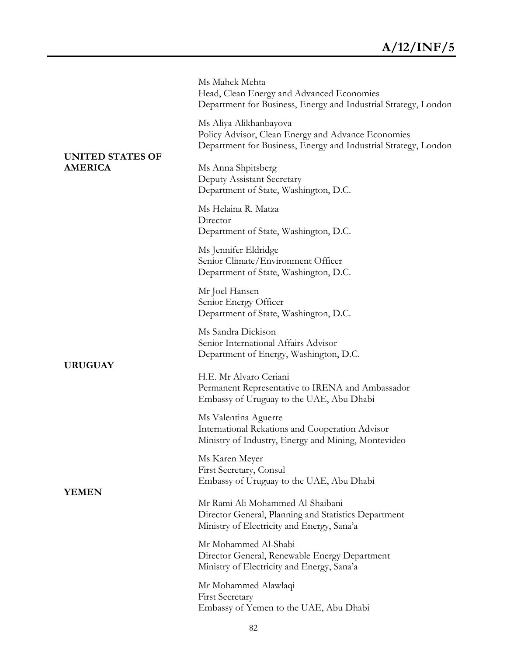Ms Mahek Mehta Head, Clean Energy and Advanced Economies Department for Business, Energy and Industrial Strategy, London

Ms Aliya Alikhanbayova Policy Advisor, Clean Energy and Advance Economies Department for Business, Energy and Industrial Strategy, London

Deputy Assistant Secretary Department of State, Washington, D.C.

Ms Helaina R. Matza Director Department of State, Washington, D.C.

Ms Jennifer Eldridge Senior Climate/Environment Officer Department of State, Washington, D.C.

Mr Joel Hansen Senior Energy Officer Department of State, Washington, D.C.

Ms Sandra Dickison Senior International Affairs Advisor Department of Energy, Washington, D.C.

H.E. Mr Alvaro Ceriani Permanent Representative to IRENA and Ambassador Embassy of Uruguay to the UAE, Abu Dhabi

Ms Valentina Aguerre International Rekations and Cooperation Advisor Ministry of Industry, Energy and Mining, Montevideo

Ms Karen Meyer First Secretary, Consul Embassy of Uruguay to the UAE, Abu Dhabi

Mr Rami Ali Mohammed Al-Shaibani Director General, Planning and Statistics Department Ministry of Electricity and Energy, Sana'a

Mr Mohammed Al-Shabi Director General, Renewable Energy Department Ministry of Electricity and Energy, Sana'a

Mr Mohammed Alawlaqi First Secretary Embassy of Yemen to the UAE, Abu Dhabi

## **UNITED STATES OF AMERICA** Ms Anna Shpitsberg

**URUGUAY**

**YEMEN**